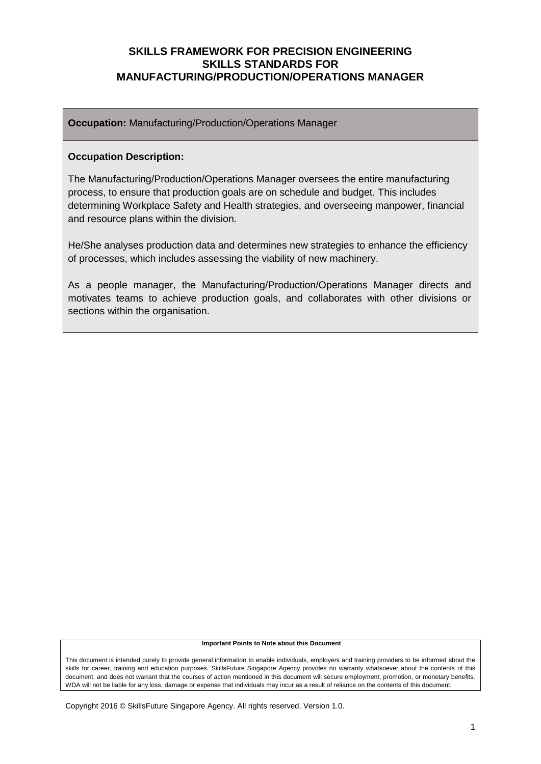**Occupation:** Manufacturing/Production/Operations Manager

#### **Occupation Description:**

The Manufacturing/Production/Operations Manager oversees the entire manufacturing process, to ensure that production goals are on schedule and budget. This includes determining Workplace Safety and Health strategies, and overseeing manpower, financial and resource plans within the division.

He/She analyses production data and determines new strategies to enhance the efficiency of processes, which includes assessing the viability of new machinery.

As a people manager, the Manufacturing/Production/Operations Manager directs and motivates teams to achieve production goals, and collaborates with other divisions or sections within the organisation.

#### **Important Points to Note about this Document**

This document is intended purely to provide general information to enable individuals, employers and training providers to be informed about the skills for career, training and education purposes. SkillsFuture Singapore Agency provides no warranty whatsoever about the contents of this document, and does not warrant that the courses of action mentioned in this document will secure employment, promotion, or monetary benefits. WDA will not be liable for any loss, damage or expense that individuals may incur as a result of reliance on the contents of this document.

Copyright 2016 © SkillsFuture Singapore Agency. All rights reserved. Version 1.0.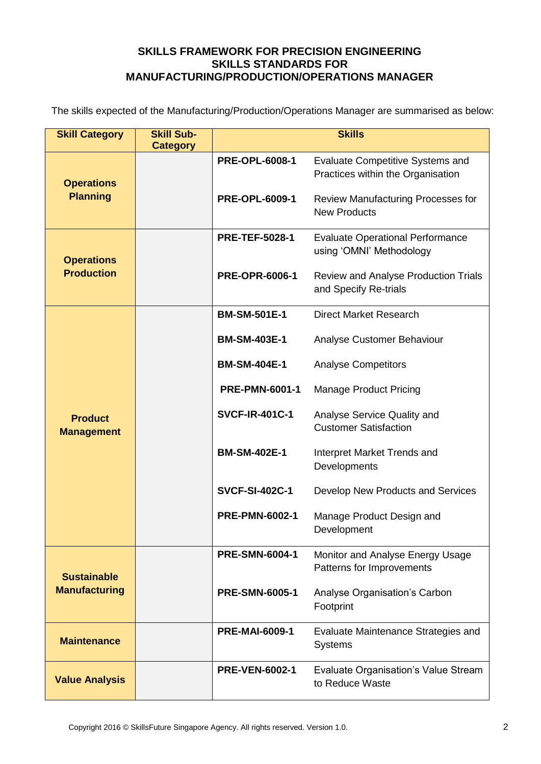The skills expected of the Manufacturing/Production/Operations Manager are summarised as below:

| <b>Skill Category</b>                  | <b>Skill Sub-</b><br><b>Category</b> | <b>Skills</b>         |                                                                              |  |
|----------------------------------------|--------------------------------------|-----------------------|------------------------------------------------------------------------------|--|
| <b>Operations</b><br><b>Planning</b>   |                                      | <b>PRE-OPL-6008-1</b> | <b>Evaluate Competitive Systems and</b><br>Practices within the Organisation |  |
|                                        |                                      | <b>PRE-OPL-6009-1</b> | Review Manufacturing Processes for<br><b>New Products</b>                    |  |
| <b>Operations</b><br><b>Production</b> |                                      | <b>PRE-TEF-5028-1</b> | <b>Evaluate Operational Performance</b><br>using 'OMNI' Methodology          |  |
|                                        |                                      | <b>PRE-OPR-6006-1</b> | <b>Review and Analyse Production Trials</b><br>and Specify Re-trials         |  |
|                                        |                                      | <b>BM-SM-501E-1</b>   | <b>Direct Market Research</b>                                                |  |
|                                        |                                      | <b>BM-SM-403E-1</b>   | Analyse Customer Behaviour                                                   |  |
| <b>Product</b><br><b>Management</b>    |                                      | <b>BM-SM-404E-1</b>   | <b>Analyse Competitors</b>                                                   |  |
|                                        |                                      | <b>PRE-PMN-6001-1</b> | <b>Manage Product Pricing</b>                                                |  |
|                                        |                                      | <b>SVCF-IR-401C-1</b> | Analyse Service Quality and<br><b>Customer Satisfaction</b>                  |  |
|                                        |                                      | <b>BM-SM-402E-1</b>   | Interpret Market Trends and<br>Developments                                  |  |
|                                        |                                      | <b>SVCF-SI-402C-1</b> | Develop New Products and Services                                            |  |
|                                        |                                      | <b>PRE-PMN-6002-1</b> | Manage Product Design and<br>Development                                     |  |
| <b>Sustainable</b>                     |                                      | <b>PRE-SMN-6004-1</b> | Monitor and Analyse Energy Usage<br>Patterns for Improvements                |  |
| <b>Manufacturing</b>                   |                                      | <b>PRE-SMN-6005-1</b> | Analyse Organisation's Carbon<br>Footprint                                   |  |
| <b>Maintenance</b>                     |                                      | <b>PRE-MAI-6009-1</b> | Evaluate Maintenance Strategies and<br><b>Systems</b>                        |  |
| <b>Value Analysis</b>                  |                                      | <b>PRE-VEN-6002-1</b> | Evaluate Organisation's Value Stream<br>to Reduce Waste                      |  |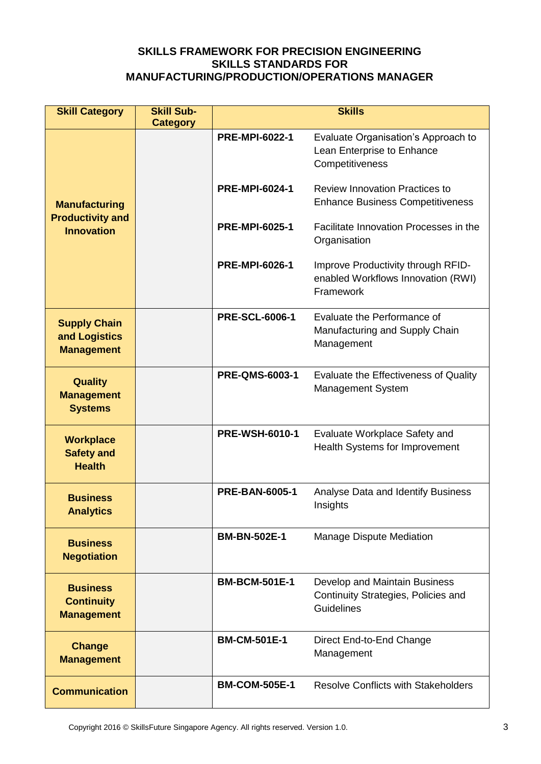| <b>Skill Category</b>                                     | <b>Skill Sub-</b> | <b>Skills</b>         |                                                                                           |  |
|-----------------------------------------------------------|-------------------|-----------------------|-------------------------------------------------------------------------------------------|--|
|                                                           | <b>Category</b>   |                       |                                                                                           |  |
|                                                           |                   | <b>PRE-MPI-6022-1</b> | Evaluate Organisation's Approach to<br>Lean Enterprise to Enhance<br>Competitiveness      |  |
| <b>Manufacturing</b>                                      |                   | PRE-MPI-6024-1        | <b>Review Innovation Practices to</b><br><b>Enhance Business Competitiveness</b>          |  |
| <b>Productivity and</b><br><b>Innovation</b>              |                   | <b>PRE-MPI-6025-1</b> | Facilitate Innovation Processes in the<br>Organisation                                    |  |
|                                                           |                   | <b>PRE-MPI-6026-1</b> | Improve Productivity through RFID-<br>enabled Workflows Innovation (RWI)<br>Framework     |  |
| <b>Supply Chain</b><br>and Logistics<br><b>Management</b> |                   | <b>PRE-SCL-6006-1</b> | Evaluate the Performance of<br>Manufacturing and Supply Chain<br>Management               |  |
| <b>Quality</b><br><b>Management</b><br><b>Systems</b>     |                   | <b>PRE-QMS-6003-1</b> | Evaluate the Effectiveness of Quality<br><b>Management System</b>                         |  |
| <b>Workplace</b><br><b>Safety and</b><br><b>Health</b>    |                   | <b>PRE-WSH-6010-1</b> | Evaluate Workplace Safety and<br>Health Systems for Improvement                           |  |
| <b>Business</b><br><b>Analytics</b>                       |                   | <b>PRE-BAN-6005-1</b> | Analyse Data and Identify Business<br>Insights                                            |  |
| <b>Business</b><br><b>Negotiation</b>                     |                   | <b>BM-BN-502E-1</b>   | Manage Dispute Mediation                                                                  |  |
| <b>Business</b><br><b>Continuity</b><br><b>Management</b> |                   | <b>BM-BCM-501E-1</b>  | Develop and Maintain Business<br>Continuity Strategies, Policies and<br><b>Guidelines</b> |  |
| <b>Change</b><br><b>Management</b>                        |                   | <b>BM-CM-501E-1</b>   | Direct End-to-End Change<br>Management                                                    |  |
| <b>Communication</b>                                      |                   | <b>BM-COM-505E-1</b>  | <b>Resolve Conflicts with Stakeholders</b>                                                |  |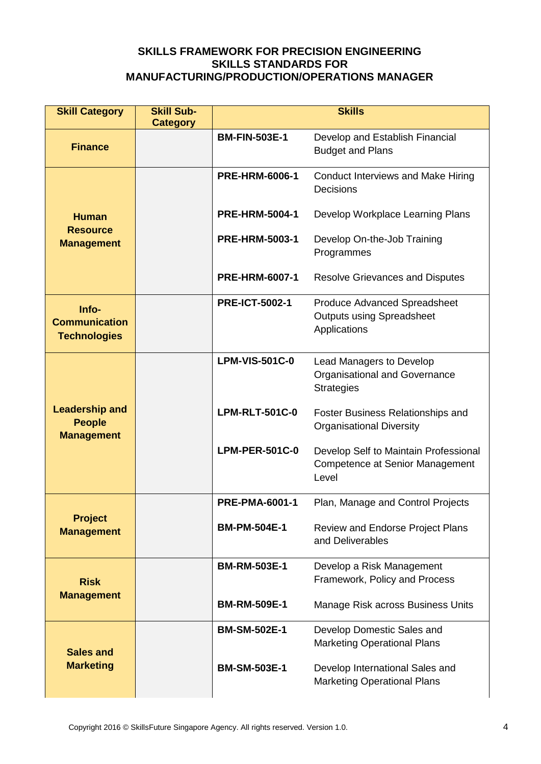| <b>Skill Category</b>                                       | <b>Skill Sub-</b> | <b>Skills</b>         |                                                                                          |  |
|-------------------------------------------------------------|-------------------|-----------------------|------------------------------------------------------------------------------------------|--|
|                                                             | <b>Category</b>   | <b>BM-FIN-503E-1</b>  |                                                                                          |  |
| <b>Finance</b>                                              |                   |                       | Develop and Establish Financial<br><b>Budget and Plans</b>                               |  |
|                                                             |                   | <b>PRE-HRM-6006-1</b> | <b>Conduct Interviews and Make Hiring</b><br>Decisions                                   |  |
| <b>Human</b>                                                |                   | <b>PRE-HRM-5004-1</b> | Develop Workplace Learning Plans                                                         |  |
| <b>Resource</b><br><b>Management</b>                        |                   | <b>PRE-HRM-5003-1</b> | Develop On-the-Job Training<br>Programmes                                                |  |
|                                                             |                   | <b>PRE-HRM-6007-1</b> | <b>Resolve Grievances and Disputes</b>                                                   |  |
| Info-<br><b>Communication</b><br><b>Technologies</b>        |                   | <b>PRE-ICT-5002-1</b> | <b>Produce Advanced Spreadsheet</b><br><b>Outputs using Spreadsheet</b><br>Applications  |  |
|                                                             |                   | <b>LPM-VIS-501C-0</b> | Lead Managers to Develop<br><b>Organisational and Governance</b><br><b>Strategies</b>    |  |
| <b>Leadership and</b><br><b>People</b><br><b>Management</b> |                   | <b>LPM-RLT-501C-0</b> | Foster Business Relationships and<br><b>Organisational Diversity</b>                     |  |
|                                                             |                   | <b>LPM-PER-501C-0</b> | Develop Self to Maintain Professional<br><b>Competence at Senior Management</b><br>Level |  |
|                                                             |                   | <b>PRE-PMA-6001-1</b> | Plan, Manage and Control Projects                                                        |  |
| <b>Project</b><br><b>Management</b>                         |                   | <b>BM-PM-504E-1</b>   | <b>Review and Endorse Project Plans</b><br>and Deliverables                              |  |
| <b>Risk</b>                                                 |                   | <b>BM-RM-503E-1</b>   | Develop a Risk Management<br>Framework, Policy and Process                               |  |
| <b>Management</b>                                           |                   | <b>BM-RM-509E-1</b>   | Manage Risk across Business Units                                                        |  |
| <b>Sales and</b><br><b>Marketing</b>                        |                   | <b>BM-SM-502E-1</b>   | Develop Domestic Sales and<br><b>Marketing Operational Plans</b>                         |  |
|                                                             |                   | <b>BM-SM-503E-1</b>   | Develop International Sales and<br><b>Marketing Operational Plans</b>                    |  |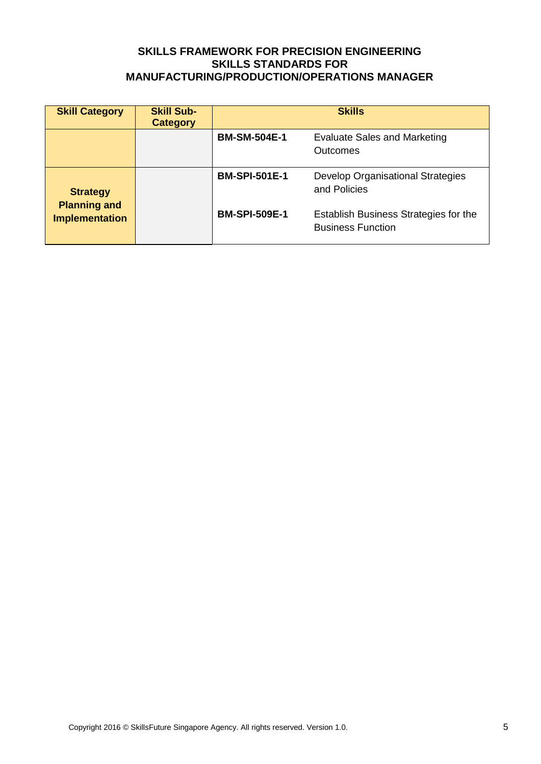| <b>Skill Category</b>                  | <b>Skill Sub-</b><br><b>Category</b> | <b>Skills</b>        |                                                                   |
|----------------------------------------|--------------------------------------|----------------------|-------------------------------------------------------------------|
|                                        |                                      | <b>BM-SM-504E-1</b>  | Evaluate Sales and Marketing<br><b>Outcomes</b>                   |
| <b>Strategy</b><br><b>Planning and</b> |                                      | <b>BM-SPI-501E-1</b> | Develop Organisational Strategies<br>and Policies                 |
| <b>Implementation</b>                  |                                      | <b>BM-SPI-509E-1</b> | Establish Business Strategies for the<br><b>Business Function</b> |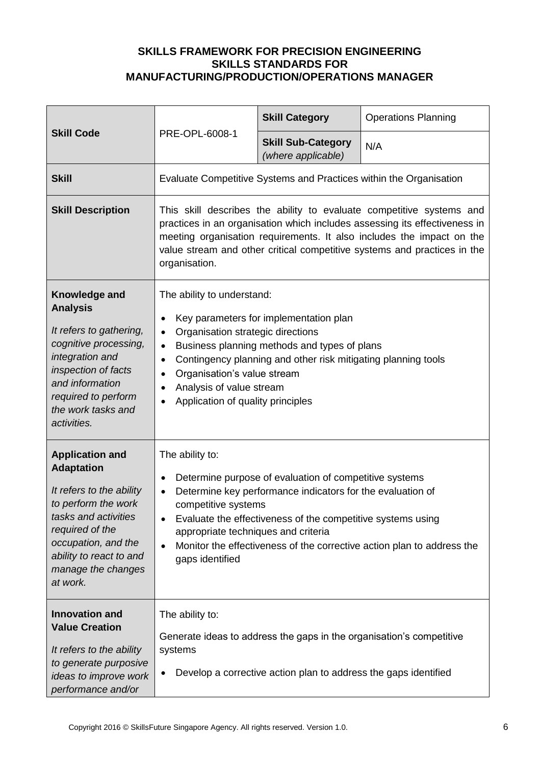|                                                                                                                                                                                                                               |                                                                                                                                                                                                                                                                                                                                                                                                                       | <b>Skill Category</b>                                                                                                                                                               | <b>Operations Planning</b>                                             |
|-------------------------------------------------------------------------------------------------------------------------------------------------------------------------------------------------------------------------------|-----------------------------------------------------------------------------------------------------------------------------------------------------------------------------------------------------------------------------------------------------------------------------------------------------------------------------------------------------------------------------------------------------------------------|-------------------------------------------------------------------------------------------------------------------------------------------------------------------------------------|------------------------------------------------------------------------|
| <b>Skill Code</b>                                                                                                                                                                                                             | PRE-OPL-6008-1                                                                                                                                                                                                                                                                                                                                                                                                        | <b>Skill Sub-Category</b><br>(where applicable)                                                                                                                                     | N/A                                                                    |
| <b>Skill</b>                                                                                                                                                                                                                  |                                                                                                                                                                                                                                                                                                                                                                                                                       |                                                                                                                                                                                     | Evaluate Competitive Systems and Practices within the Organisation     |
| <b>Skill Description</b>                                                                                                                                                                                                      | This skill describes the ability to evaluate competitive systems and<br>practices in an organisation which includes assessing its effectiveness in<br>meeting organisation requirements. It also includes the impact on the<br>value stream and other critical competitive systems and practices in the<br>organisation.                                                                                              |                                                                                                                                                                                     |                                                                        |
| Knowledge and<br><b>Analysis</b><br>It refers to gathering,<br>cognitive processing,<br>integration and<br>inspection of facts<br>and information<br>required to perform<br>the work tasks and<br>activities.                 | The ability to understand:<br>Key parameters for implementation plan<br>$\bullet$<br>Organisation strategic directions<br>$\bullet$<br>Business planning methods and types of plans<br>$\bullet$<br>Contingency planning and other risk mitigating planning tools<br>$\bullet$<br>Organisation's value stream<br>$\bullet$<br>Analysis of value stream<br>$\bullet$<br>Application of quality principles<br>$\bullet$ |                                                                                                                                                                                     |                                                                        |
| <b>Application and</b><br><b>Adaptation</b><br>It refers to the ability<br>to perform the work<br>tasks and activities<br>required of the<br>occupation, and the<br>ability to react to and<br>manage the changes<br>at work. | The ability to:<br>$\bullet$<br>$\bullet$<br>competitive systems<br>appropriate techniques and criteria<br>$\bullet$<br>gaps identified                                                                                                                                                                                                                                                                               | Determine purpose of evaluation of competitive systems<br>Determine key performance indicators for the evaluation of<br>Evaluate the effectiveness of the competitive systems using | Monitor the effectiveness of the corrective action plan to address the |
| <b>Innovation and</b><br><b>Value Creation</b><br>It refers to the ability<br>to generate purposive<br>ideas to improve work<br>performance and/or                                                                            | The ability to:<br>systems                                                                                                                                                                                                                                                                                                                                                                                            | Develop a corrective action plan to address the gaps identified                                                                                                                     | Generate ideas to address the gaps in the organisation's competitive   |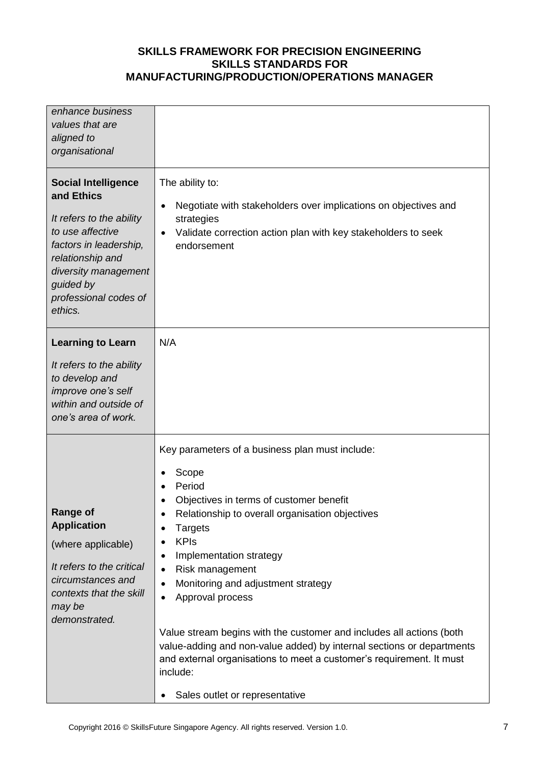| enhance business<br>values that are<br>aligned to<br>organisational                                                                                                                                             |                                                                                                                                                                                                                                                                                                                                                                                                                                                                                                                                                                                                                                                                             |
|-----------------------------------------------------------------------------------------------------------------------------------------------------------------------------------------------------------------|-----------------------------------------------------------------------------------------------------------------------------------------------------------------------------------------------------------------------------------------------------------------------------------------------------------------------------------------------------------------------------------------------------------------------------------------------------------------------------------------------------------------------------------------------------------------------------------------------------------------------------------------------------------------------------|
| <b>Social Intelligence</b><br>and Ethics<br>It refers to the ability<br>to use affective<br>factors in leadership,<br>relationship and<br>diversity management<br>guided by<br>professional codes of<br>ethics. | The ability to:<br>Negotiate with stakeholders over implications on objectives and<br>$\bullet$<br>strategies<br>Validate correction action plan with key stakeholders to seek<br>endorsement                                                                                                                                                                                                                                                                                                                                                                                                                                                                               |
| <b>Learning to Learn</b><br>It refers to the ability<br>to develop and<br>improve one's self<br>within and outside of<br>one's area of work.                                                                    | N/A                                                                                                                                                                                                                                                                                                                                                                                                                                                                                                                                                                                                                                                                         |
| <b>Range of</b><br><b>Application</b><br>(where applicable)<br>It refers to the critical<br>circumstances and<br>contexts that the skill<br>may be<br>demonstrated.                                             | Key parameters of a business plan must include:<br>Scope<br>Period<br>Objectives in terms of customer benefit<br>Relationship to overall organisation objectives<br>$\bullet$<br><b>Targets</b><br>$\bullet$<br><b>KPIs</b><br>$\bullet$<br>Implementation strategy<br>$\bullet$<br>Risk management<br>$\bullet$<br>Monitoring and adjustment strategy<br>$\bullet$<br>Approval process<br>$\bullet$<br>Value stream begins with the customer and includes all actions (both<br>value-adding and non-value added) by internal sections or departments<br>and external organisations to meet a customer's requirement. It must<br>include:<br>Sales outlet or representative |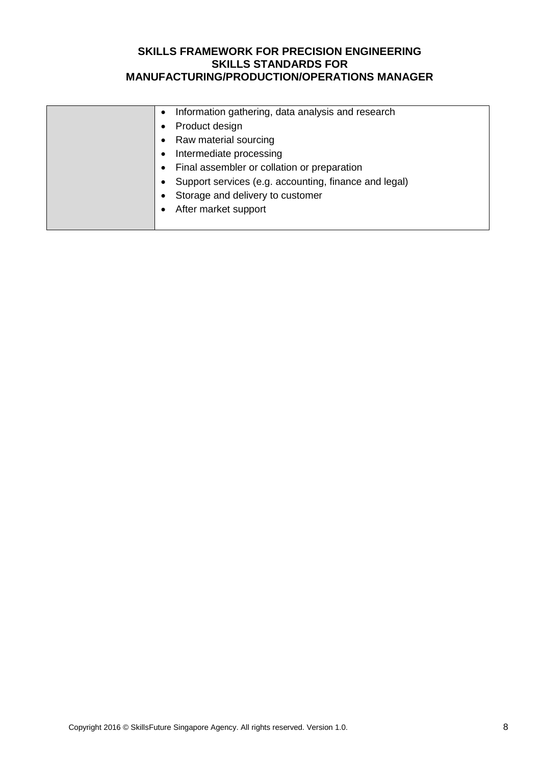| Information gathering, data analysis and research     |
|-------------------------------------------------------|
| Product design                                        |
| Raw material sourcing                                 |
| Intermediate processing                               |
| Final assembler or collation or preparation           |
| Support services (e.g. accounting, finance and legal) |
| Storage and delivery to customer                      |
| After market support                                  |
|                                                       |
|                                                       |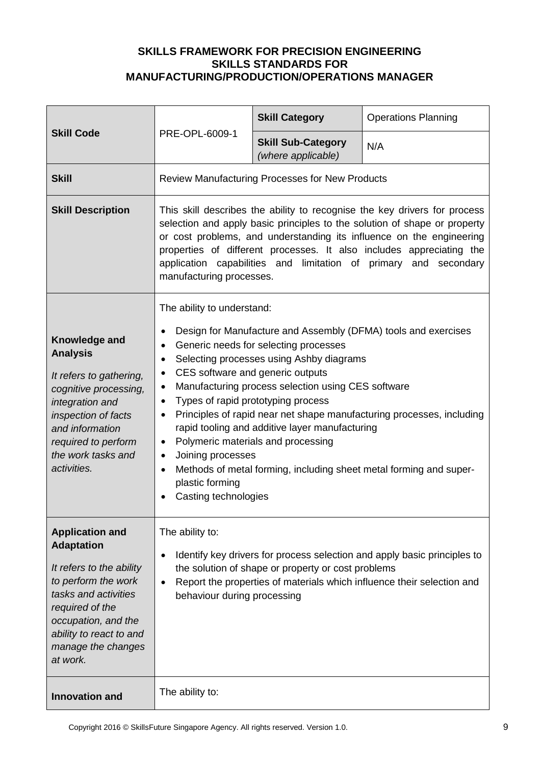|                                                                                                                                                                                                                               | PRE-OPL-6009-1                                                                                                                                                                                                                                                                                                                                                                                                                                                                                                                                                                                                                                                                                                                                             | <b>Skill Category</b>                                  | <b>Operations Planning</b> |
|-------------------------------------------------------------------------------------------------------------------------------------------------------------------------------------------------------------------------------|------------------------------------------------------------------------------------------------------------------------------------------------------------------------------------------------------------------------------------------------------------------------------------------------------------------------------------------------------------------------------------------------------------------------------------------------------------------------------------------------------------------------------------------------------------------------------------------------------------------------------------------------------------------------------------------------------------------------------------------------------------|--------------------------------------------------------|----------------------------|
| <b>Skill Code</b>                                                                                                                                                                                                             |                                                                                                                                                                                                                                                                                                                                                                                                                                                                                                                                                                                                                                                                                                                                                            | <b>Skill Sub-Category</b><br>(where applicable)        | N/A                        |
| <b>Skill</b>                                                                                                                                                                                                                  |                                                                                                                                                                                                                                                                                                                                                                                                                                                                                                                                                                                                                                                                                                                                                            | <b>Review Manufacturing Processes for New Products</b> |                            |
| <b>Skill Description</b>                                                                                                                                                                                                      | This skill describes the ability to recognise the key drivers for process<br>selection and apply basic principles to the solution of shape or property<br>or cost problems, and understanding its influence on the engineering<br>properties of different processes. It also includes appreciating the<br>application capabilities and limitation of primary<br>and secondary<br>manufacturing processes.                                                                                                                                                                                                                                                                                                                                                  |                                                        |                            |
| Knowledge and<br><b>Analysis</b><br>It refers to gathering,<br>cognitive processing,<br>integration and<br>inspection of facts<br>and information<br>required to perform<br>the work tasks and<br>activities.                 | The ability to understand:<br>Design for Manufacture and Assembly (DFMA) tools and exercises<br>$\bullet$<br>Generic needs for selecting processes<br>$\bullet$<br>Selecting processes using Ashby diagrams<br>$\bullet$<br>CES software and generic outputs<br>$\bullet$<br>Manufacturing process selection using CES software<br>$\bullet$<br>Types of rapid prototyping process<br>$\bullet$<br>Principles of rapid near net shape manufacturing processes, including<br>$\bullet$<br>rapid tooling and additive layer manufacturing<br>Polymeric materials and processing<br>$\bullet$<br>Joining processes<br>$\bullet$<br>Methods of metal forming, including sheet metal forming and super-<br>$\bullet$<br>plastic forming<br>Casting technologies |                                                        |                            |
| <b>Application and</b><br><b>Adaptation</b><br>It refers to the ability<br>to perform the work<br>tasks and activities<br>required of the<br>occupation, and the<br>ability to react to and<br>manage the changes<br>at work. | The ability to:<br>Identify key drivers for process selection and apply basic principles to<br>$\bullet$<br>the solution of shape or property or cost problems<br>Report the properties of materials which influence their selection and<br>$\bullet$<br>behaviour during processing                                                                                                                                                                                                                                                                                                                                                                                                                                                                       |                                                        |                            |
| <b>Innovation and</b>                                                                                                                                                                                                         | The ability to:                                                                                                                                                                                                                                                                                                                                                                                                                                                                                                                                                                                                                                                                                                                                            |                                                        |                            |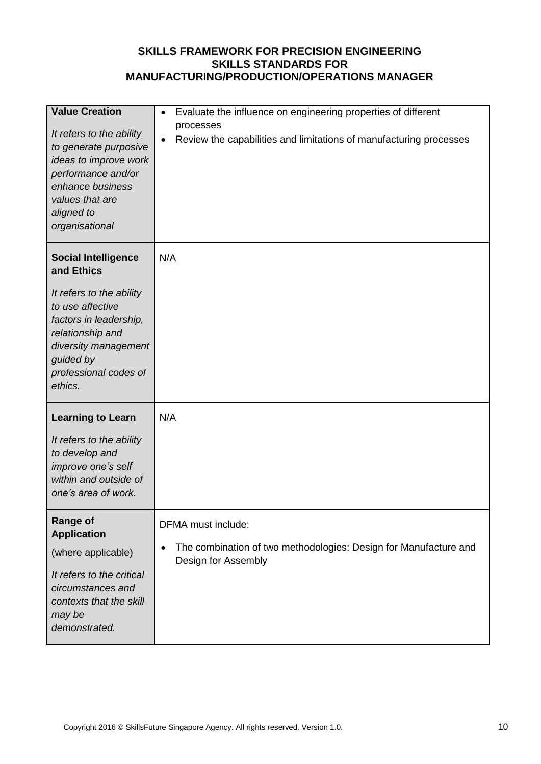| <b>Value Creation</b><br>It refers to the ability<br>to generate purposive<br>ideas to improve work<br>performance and/or<br>enhance business<br>values that are<br>aligned to<br>organisational                | Evaluate the influence on engineering properties of different<br>$\bullet$<br>processes<br>Review the capabilities and limitations of manufacturing processes<br>$\bullet$ |
|-----------------------------------------------------------------------------------------------------------------------------------------------------------------------------------------------------------------|----------------------------------------------------------------------------------------------------------------------------------------------------------------------------|
| <b>Social Intelligence</b><br>and Ethics<br>It refers to the ability<br>to use affective<br>factors in leadership,<br>relationship and<br>diversity management<br>guided by<br>professional codes of<br>ethics. | N/A                                                                                                                                                                        |
| <b>Learning to Learn</b><br>It refers to the ability<br>to develop and<br>improve one's self<br>within and outside of<br>one's area of work.                                                                    | N/A                                                                                                                                                                        |
| <b>Range of</b><br><b>Application</b><br>(where applicable)<br>It refers to the critical<br>circumstances and<br>contexts that the skill<br>may be<br>demonstrated.                                             | DFMA must include:<br>The combination of two methodologies: Design for Manufacture and<br>$\bullet$<br>Design for Assembly                                                 |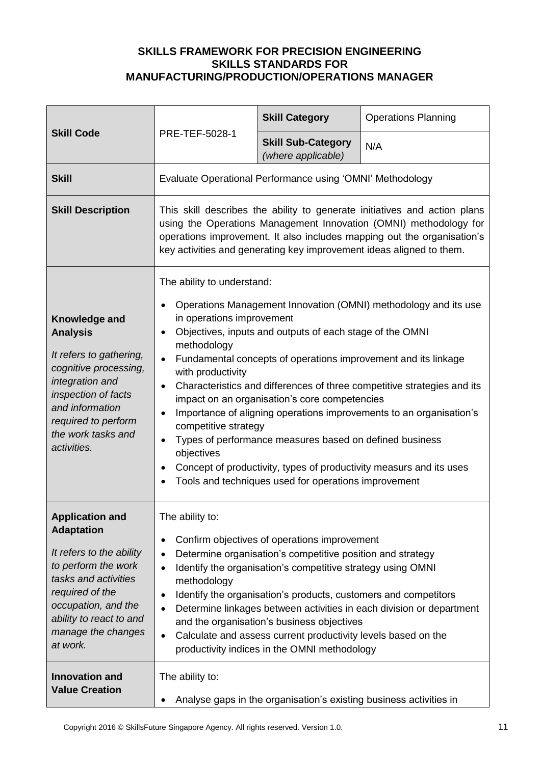| <b>Skill Code</b>                                                                                                                                                                                                             | PRE-TEF-5028-1                                                                                                                                                                                                                                                                                                                                                                                                                                                                                                                                                                                                                                                                                                                                                                                   | <b>Skill Category</b>                                              | <b>Operations Planning</b> |
|-------------------------------------------------------------------------------------------------------------------------------------------------------------------------------------------------------------------------------|--------------------------------------------------------------------------------------------------------------------------------------------------------------------------------------------------------------------------------------------------------------------------------------------------------------------------------------------------------------------------------------------------------------------------------------------------------------------------------------------------------------------------------------------------------------------------------------------------------------------------------------------------------------------------------------------------------------------------------------------------------------------------------------------------|--------------------------------------------------------------------|----------------------------|
|                                                                                                                                                                                                                               |                                                                                                                                                                                                                                                                                                                                                                                                                                                                                                                                                                                                                                                                                                                                                                                                  | <b>Skill Sub-Category</b><br>(where applicable)                    | N/A                        |
| <b>Skill</b>                                                                                                                                                                                                                  |                                                                                                                                                                                                                                                                                                                                                                                                                                                                                                                                                                                                                                                                                                                                                                                                  | Evaluate Operational Performance using 'OMNI' Methodology          |                            |
| <b>Skill Description</b>                                                                                                                                                                                                      | This skill describes the ability to generate initiatives and action plans<br>using the Operations Management Innovation (OMNI) methodology for<br>operations improvement. It also includes mapping out the organisation's<br>key activities and generating key improvement ideas aligned to them.                                                                                                                                                                                                                                                                                                                                                                                                                                                                                                |                                                                    |                            |
| Knowledge and<br><b>Analysis</b><br>It refers to gathering,<br>cognitive processing,<br>integration and<br>inspection of facts<br>and information<br>required to perform<br>the work tasks and<br>activities.                 | The ability to understand:<br>Operations Management Innovation (OMNI) methodology and its use<br>in operations improvement<br>Objectives, inputs and outputs of each stage of the OMNI<br>$\bullet$<br>methodology<br>Fundamental concepts of operations improvement and its linkage<br>with productivity<br>Characteristics and differences of three competitive strategies and its<br>$\bullet$<br>impact on an organisation's core competencies<br>Importance of aligning operations improvements to an organisation's<br>$\bullet$<br>competitive strategy<br>Types of performance measures based on defined business<br>$\bullet$<br>objectives<br>Concept of productivity, types of productivity measurs and its uses<br>$\bullet$<br>Tools and techniques used for operations improvement |                                                                    |                            |
| <b>Application and</b><br><b>Adaptation</b><br>It refers to the ability<br>to perform the work<br>tasks and activities<br>required of the<br>occupation, and the<br>ability to react to and<br>manage the changes<br>at work. | The ability to:<br>Confirm objectives of operations improvement<br>$\bullet$<br>Determine organisation's competitive position and strategy<br>$\bullet$<br>Identify the organisation's competitive strategy using OMNI<br>$\bullet$<br>methodology<br>Identify the organisation's products, customers and competitors<br>$\bullet$<br>Determine linkages between activities in each division or department<br>$\bullet$<br>and the organisation's business objectives<br>Calculate and assess current productivity levels based on the<br>$\bullet$<br>productivity indices in the OMNI methodology                                                                                                                                                                                              |                                                                    |                            |
| <b>Innovation and</b><br><b>Value Creation</b>                                                                                                                                                                                | The ability to:                                                                                                                                                                                                                                                                                                                                                                                                                                                                                                                                                                                                                                                                                                                                                                                  | Analyse gaps in the organisation's existing business activities in |                            |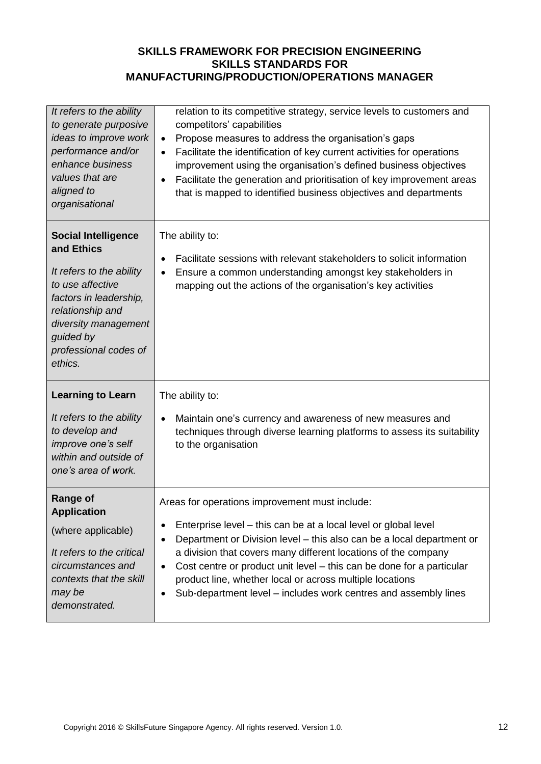| It refers to the ability<br>to generate purposive<br>ideas to improve work<br>performance and/or<br>enhance business<br>values that are<br>aligned to<br>organisational                                         | relation to its competitive strategy, service levels to customers and<br>competitors' capabilities<br>Propose measures to address the organisation's gaps<br>$\bullet$<br>Facilitate the identification of key current activities for operations<br>$\bullet$<br>improvement using the organisation's defined business objectives<br>Facilitate the generation and prioritisation of key improvement areas<br>that is mapped to identified business objectives and departments                 |
|-----------------------------------------------------------------------------------------------------------------------------------------------------------------------------------------------------------------|------------------------------------------------------------------------------------------------------------------------------------------------------------------------------------------------------------------------------------------------------------------------------------------------------------------------------------------------------------------------------------------------------------------------------------------------------------------------------------------------|
| <b>Social Intelligence</b><br>and Ethics<br>It refers to the ability<br>to use affective<br>factors in leadership,<br>relationship and<br>diversity management<br>guided by<br>professional codes of<br>ethics. | The ability to:<br>Facilitate sessions with relevant stakeholders to solicit information<br>$\bullet$<br>Ensure a common understanding amongst key stakeholders in<br>$\bullet$<br>mapping out the actions of the organisation's key activities                                                                                                                                                                                                                                                |
| <b>Learning to Learn</b><br>It refers to the ability<br>to develop and<br>improve one's self<br>within and outside of<br>one's area of work.                                                                    | The ability to:<br>Maintain one's currency and awareness of new measures and<br>$\bullet$<br>techniques through diverse learning platforms to assess its suitability<br>to the organisation                                                                                                                                                                                                                                                                                                    |
| <b>Range of</b><br><b>Application</b><br>(where applicable)<br>It refers to the critical<br>circumstances and<br>contexts that the skill<br>may be<br>demonstrated.                                             | Areas for operations improvement must include:<br>Enterprise level – this can be at a local level or global level<br>Department or Division level – this also can be a local department or<br>a division that covers many different locations of the company<br>Cost centre or product unit level – this can be done for a particular<br>$\bullet$<br>product line, whether local or across multiple locations<br>Sub-department level – includes work centres and assembly lines<br>$\bullet$ |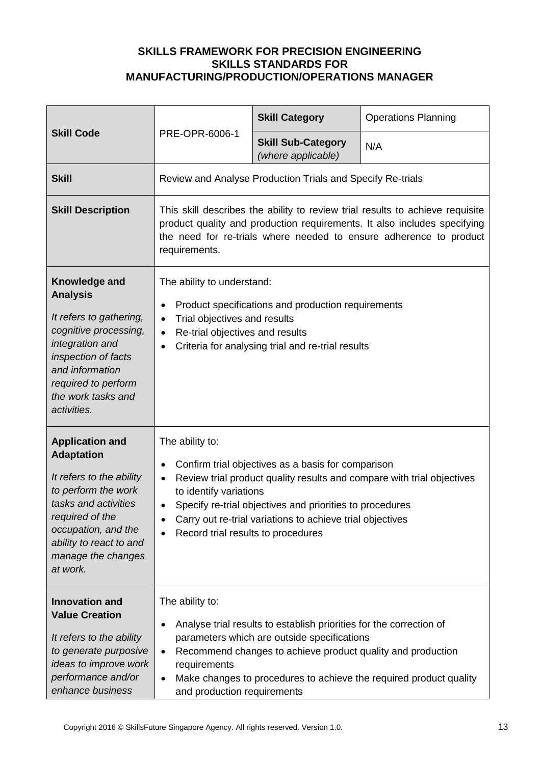|                                                                                                                                                                                                                               | PRE-OPR-6006-1                                                                                                                                                                                                                                   | <b>Skill Category</b>                                                                                                                                                             | <b>Operations Planning</b>                                             |
|-------------------------------------------------------------------------------------------------------------------------------------------------------------------------------------------------------------------------------|--------------------------------------------------------------------------------------------------------------------------------------------------------------------------------------------------------------------------------------------------|-----------------------------------------------------------------------------------------------------------------------------------------------------------------------------------|------------------------------------------------------------------------|
| <b>Skill Code</b>                                                                                                                                                                                                             |                                                                                                                                                                                                                                                  | <b>Skill Sub-Category</b><br>(where applicable)                                                                                                                                   | N/A                                                                    |
| <b>Skill</b>                                                                                                                                                                                                                  | Review and Analyse Production Trials and Specify Re-trials                                                                                                                                                                                       |                                                                                                                                                                                   |                                                                        |
| <b>Skill Description</b>                                                                                                                                                                                                      | This skill describes the ability to review trial results to achieve requisite<br>product quality and production requirements. It also includes specifying<br>the need for re-trials where needed to ensure adherence to product<br>requirements. |                                                                                                                                                                                   |                                                                        |
| Knowledge and<br><b>Analysis</b><br>It refers to gathering,<br>cognitive processing,<br>integration and<br>inspection of facts<br>and information<br>required to perform<br>the work tasks and<br>activities.                 | The ability to understand:<br>$\bullet$<br>Trial objectives and results<br>$\bullet$<br>Re-trial objectives and results<br>$\bullet$<br>$\bullet$                                                                                                | Product specifications and production requirements<br>Criteria for analysing trial and re-trial results                                                                           |                                                                        |
| <b>Application and</b><br><b>Adaptation</b><br>It refers to the ability<br>to perform the work<br>tasks and activities<br>required of the<br>occupation, and the<br>ability to react to and<br>manage the changes<br>at work. | The ability to:<br>$\bullet$<br>$\bullet$<br>to identify variations<br>Record trial results to procedures                                                                                                                                        | Confirm trial objectives as a basis for comparison<br>Specify re-trial objectives and priorities to procedures<br>Carry out re-trial variations to achieve trial objectives       | Review trial product quality results and compare with trial objectives |
| <b>Innovation and</b><br><b>Value Creation</b><br>It refers to the ability<br>to generate purposive<br>ideas to improve work<br>performance and/or<br>enhance business                                                        | The ability to:<br>٠<br>$\bullet$<br>requirements<br>$\bullet$<br>and production requirements                                                                                                                                                    | Analyse trial results to establish priorities for the correction of<br>parameters which are outside specifications<br>Recommend changes to achieve product quality and production | Make changes to procedures to achieve the required product quality     |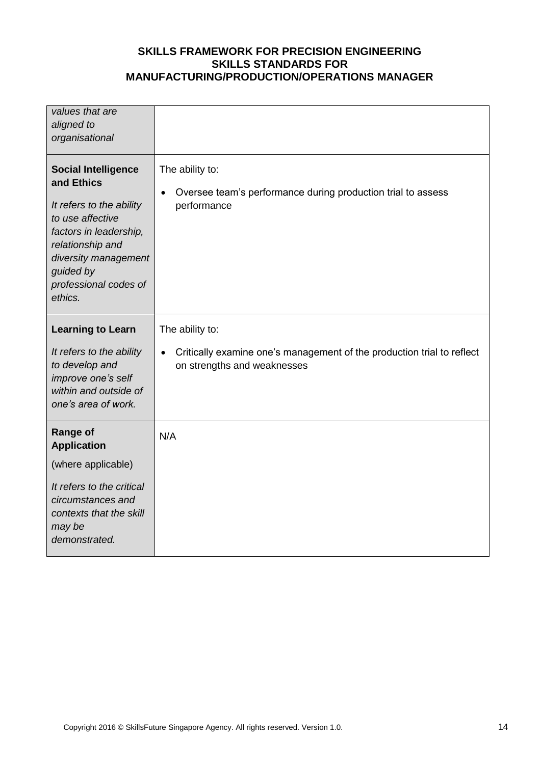| values that are<br>aligned to<br>organisational                                                                                                                                                                 |                                                                                                                                       |
|-----------------------------------------------------------------------------------------------------------------------------------------------------------------------------------------------------------------|---------------------------------------------------------------------------------------------------------------------------------------|
| <b>Social Intelligence</b><br>and Ethics<br>It refers to the ability<br>to use affective<br>factors in leadership,<br>relationship and<br>diversity management<br>guided by<br>professional codes of<br>ethics. | The ability to:<br>Oversee team's performance during production trial to assess<br>$\bullet$<br>performance                           |
| <b>Learning to Learn</b><br>It refers to the ability<br>to develop and<br>improve one's self<br>within and outside of<br>one's area of work.                                                                    | The ability to:<br>Critically examine one's management of the production trial to reflect<br>$\bullet$<br>on strengths and weaknesses |
| <b>Range of</b><br><b>Application</b><br>(where applicable)<br>It refers to the critical<br>circumstances and<br>contexts that the skill<br>may be<br>demonstrated.                                             | N/A                                                                                                                                   |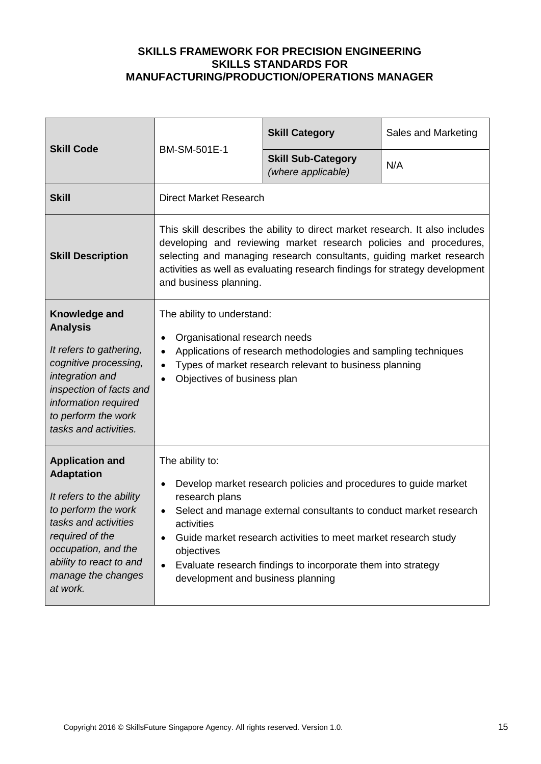| <b>Skill Code</b>                                                                                                                                                                                                             | BM-SM-501E-1                                                                                                                                                                                                                                                                                                                                                                                           | <b>Skill Category</b>                           | Sales and Marketing |
|-------------------------------------------------------------------------------------------------------------------------------------------------------------------------------------------------------------------------------|--------------------------------------------------------------------------------------------------------------------------------------------------------------------------------------------------------------------------------------------------------------------------------------------------------------------------------------------------------------------------------------------------------|-------------------------------------------------|---------------------|
|                                                                                                                                                                                                                               |                                                                                                                                                                                                                                                                                                                                                                                                        | <b>Skill Sub-Category</b><br>(where applicable) | N/A                 |
| <b>Skill</b>                                                                                                                                                                                                                  | <b>Direct Market Research</b>                                                                                                                                                                                                                                                                                                                                                                          |                                                 |                     |
| <b>Skill Description</b>                                                                                                                                                                                                      | This skill describes the ability to direct market research. It also includes<br>developing and reviewing market research policies and procedures,<br>selecting and managing research consultants, guiding market research<br>activities as well as evaluating research findings for strategy development<br>and business planning.                                                                     |                                                 |                     |
| Knowledge and<br><b>Analysis</b><br>It refers to gathering,<br>cognitive processing,<br>integration and<br>inspection of facts and<br>information required<br>to perform the work<br>tasks and activities.                    | The ability to understand:<br>Organisational research needs<br>٠<br>Applications of research methodologies and sampling techniques<br>Types of market research relevant to business planning<br>Objectives of business plan<br>$\bullet$                                                                                                                                                               |                                                 |                     |
| <b>Application and</b><br><b>Adaptation</b><br>It refers to the ability<br>to perform the work<br>tasks and activities<br>required of the<br>occupation, and the<br>ability to react to and<br>manage the changes<br>at work. | The ability to:<br>Develop market research policies and procedures to guide market<br>$\bullet$<br>research plans<br>Select and manage external consultants to conduct market research<br>$\bullet$<br>activities<br>Guide market research activities to meet market research study<br>objectives<br>Evaluate research findings to incorporate them into strategy<br>development and business planning |                                                 |                     |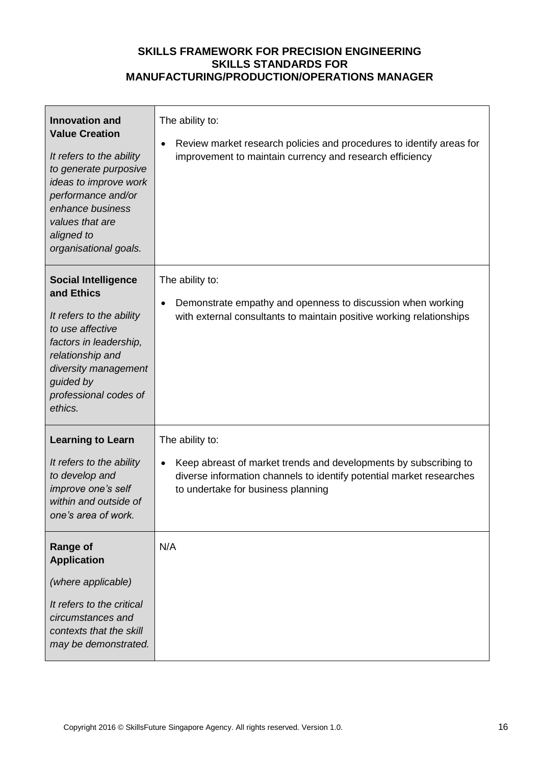| <b>Innovation and</b><br><b>Value Creation</b><br>It refers to the ability<br>to generate purposive<br>ideas to improve work<br>performance and/or<br>enhance business<br>values that are<br>aligned to<br>organisational goals. | The ability to:<br>Review market research policies and procedures to identify areas for<br>$\bullet$<br>improvement to maintain currency and research efficiency                                       |
|----------------------------------------------------------------------------------------------------------------------------------------------------------------------------------------------------------------------------------|--------------------------------------------------------------------------------------------------------------------------------------------------------------------------------------------------------|
| <b>Social Intelligence</b><br>and Ethics<br>It refers to the ability<br>to use affective<br>factors in leadership,<br>relationship and<br>diversity management<br>guided by<br>professional codes of<br>ethics.                  | The ability to:<br>Demonstrate empathy and openness to discussion when working<br>$\bullet$<br>with external consultants to maintain positive working relationships                                    |
| <b>Learning to Learn</b><br>It refers to the ability<br>to develop and<br>improve one's self<br>within and outside of<br>one's area of work.                                                                                     | The ability to:<br>Keep abreast of market trends and developments by subscribing to<br>٠<br>diverse information channels to identify potential market researches<br>to undertake for business planning |
| <b>Range of</b><br><b>Application</b><br>(where applicable)<br>It refers to the critical<br>circumstances and<br>contexts that the skill<br>may be demonstrated.                                                                 | N/A                                                                                                                                                                                                    |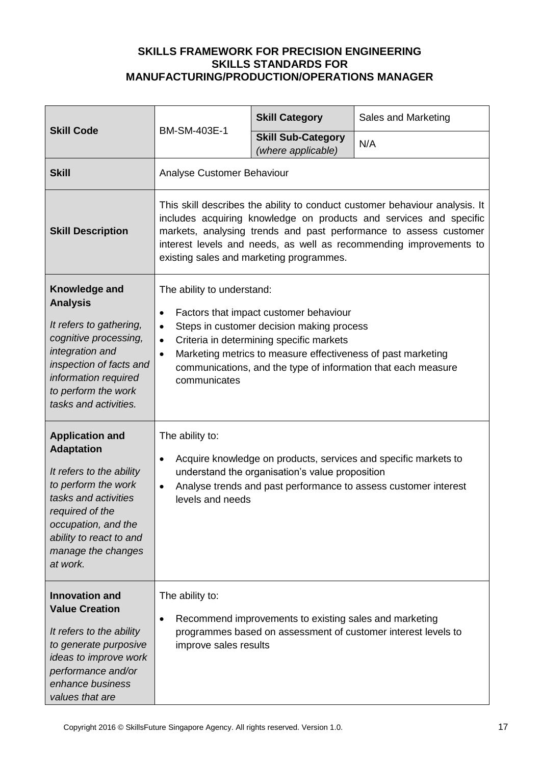|                                                                                                                                                                                                                               | BM-SM-403E-1                                                                                                                                                                                                                                                                                                                                                       | <b>Skill Category</b>                                  | Sales and Marketing                                           |
|-------------------------------------------------------------------------------------------------------------------------------------------------------------------------------------------------------------------------------|--------------------------------------------------------------------------------------------------------------------------------------------------------------------------------------------------------------------------------------------------------------------------------------------------------------------------------------------------------------------|--------------------------------------------------------|---------------------------------------------------------------|
| <b>Skill Code</b>                                                                                                                                                                                                             |                                                                                                                                                                                                                                                                                                                                                                    | <b>Skill Sub-Category</b><br>(where applicable)        | N/A                                                           |
| <b>Skill</b>                                                                                                                                                                                                                  | Analyse Customer Behaviour                                                                                                                                                                                                                                                                                                                                         |                                                        |                                                               |
| <b>Skill Description</b>                                                                                                                                                                                                      | This skill describes the ability to conduct customer behaviour analysis. It<br>includes acquiring knowledge on products and services and specific<br>markets, analysing trends and past performance to assess customer<br>interest levels and needs, as well as recommending improvements to<br>existing sales and marketing programmes.                           |                                                        |                                                               |
| Knowledge and<br><b>Analysis</b><br>It refers to gathering,<br>cognitive processing,<br>integration and<br>inspection of facts and<br>information required<br>to perform the work<br>tasks and activities.                    | The ability to understand:<br>Factors that impact customer behaviour<br>$\bullet$<br>Steps in customer decision making process<br>$\bullet$<br>Criteria in determining specific markets<br>$\bullet$<br>Marketing metrics to measure effectiveness of past marketing<br>$\bullet$<br>communications, and the type of information that each measure<br>communicates |                                                        |                                                               |
| <b>Application and</b><br><b>Adaptation</b><br>It refers to the ability<br>to perform the work<br>tasks and activities<br>required of the<br>occupation, and the<br>ability to react to and<br>manage the changes<br>at work. | The ability to:<br>Acquire knowledge on products, services and specific markets to<br>$\bullet$<br>understand the organisation's value proposition<br>Analyse trends and past performance to assess customer interest<br>$\bullet$<br>levels and needs                                                                                                             |                                                        |                                                               |
| <b>Innovation and</b><br><b>Value Creation</b><br>It refers to the ability<br>to generate purposive<br>ideas to improve work<br>performance and/or<br>enhance business<br>values that are                                     | The ability to:<br>$\bullet$<br>improve sales results                                                                                                                                                                                                                                                                                                              | Recommend improvements to existing sales and marketing | programmes based on assessment of customer interest levels to |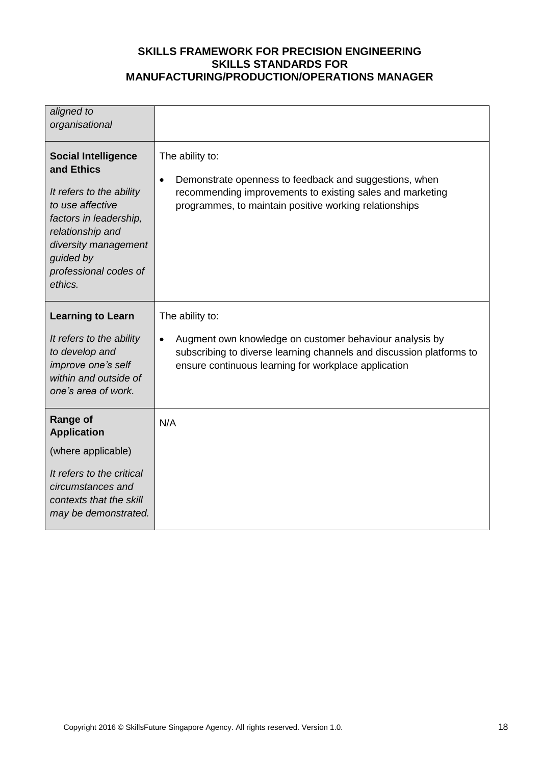| aligned to<br>organisational                                                                                                                                                                                    |                                                                                                                                                                                                                         |
|-----------------------------------------------------------------------------------------------------------------------------------------------------------------------------------------------------------------|-------------------------------------------------------------------------------------------------------------------------------------------------------------------------------------------------------------------------|
| <b>Social Intelligence</b><br>and Ethics<br>It refers to the ability<br>to use affective<br>factors in leadership,<br>relationship and<br>diversity management<br>guided by<br>professional codes of<br>ethics. | The ability to:<br>Demonstrate openness to feedback and suggestions, when<br>$\bullet$<br>recommending improvements to existing sales and marketing<br>programmes, to maintain positive working relationships           |
| <b>Learning to Learn</b><br>It refers to the ability<br>to develop and<br>improve one's self<br>within and outside of<br>one's area of work.                                                                    | The ability to:<br>Augment own knowledge on customer behaviour analysis by<br>$\bullet$<br>subscribing to diverse learning channels and discussion platforms to<br>ensure continuous learning for workplace application |
| <b>Range of</b><br><b>Application</b><br>(where applicable)<br>It refers to the critical<br>circumstances and<br>contexts that the skill<br>may be demonstrated.                                                | N/A                                                                                                                                                                                                                     |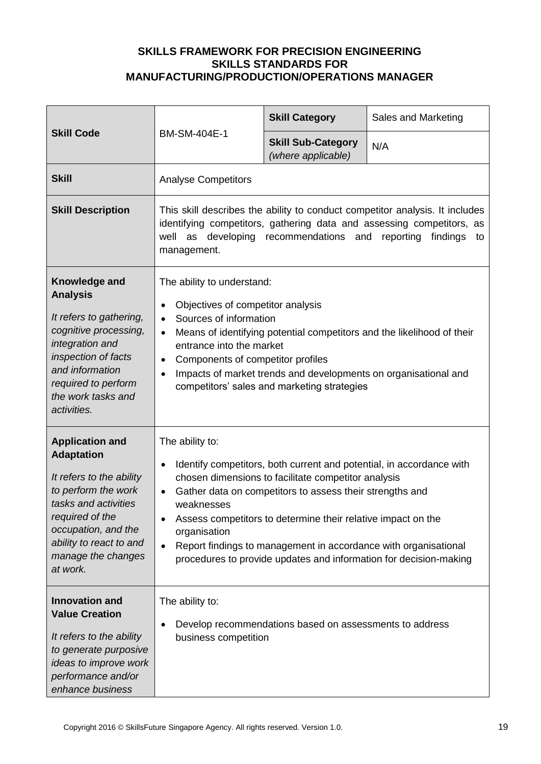| <b>Skill Code</b>                                                                                                                                                                                                             | BM-SM-404E-1                                                                                                                                                                                                                                                                                                                                                                                                                                                                            | <b>Skill Category</b>                           | Sales and Marketing |
|-------------------------------------------------------------------------------------------------------------------------------------------------------------------------------------------------------------------------------|-----------------------------------------------------------------------------------------------------------------------------------------------------------------------------------------------------------------------------------------------------------------------------------------------------------------------------------------------------------------------------------------------------------------------------------------------------------------------------------------|-------------------------------------------------|---------------------|
|                                                                                                                                                                                                                               |                                                                                                                                                                                                                                                                                                                                                                                                                                                                                         | <b>Skill Sub-Category</b><br>(where applicable) | N/A                 |
| <b>Skill</b>                                                                                                                                                                                                                  | <b>Analyse Competitors</b>                                                                                                                                                                                                                                                                                                                                                                                                                                                              |                                                 |                     |
| <b>Skill Description</b>                                                                                                                                                                                                      | This skill describes the ability to conduct competitor analysis. It includes<br>identifying competitors, gathering data and assessing competitors, as<br>developing<br>recommendations and<br>reporting<br>well<br>as<br>findings<br>to<br>management.                                                                                                                                                                                                                                  |                                                 |                     |
| Knowledge and<br><b>Analysis</b><br>It refers to gathering,<br>cognitive processing,<br>integration and<br>inspection of facts<br>and information<br>required to perform<br>the work tasks and<br>activities.                 | The ability to understand:<br>Objectives of competitor analysis<br>$\bullet$<br>Sources of information<br>$\bullet$<br>Means of identifying potential competitors and the likelihood of their<br>$\bullet$<br>entrance into the market<br>Components of competitor profiles<br>$\bullet$<br>Impacts of market trends and developments on organisational and<br>$\bullet$<br>competitors' sales and marketing strategies                                                                 |                                                 |                     |
| <b>Application and</b><br><b>Adaptation</b><br>It refers to the ability<br>to perform the work<br>tasks and activities<br>required of the<br>occupation, and the<br>ability to react to and<br>manage the changes<br>at work. | The ability to:<br>Identify competitors, both current and potential, in accordance with<br>$\bullet$<br>chosen dimensions to facilitate competitor analysis<br>Gather data on competitors to assess their strengths and<br>$\bullet$<br>weaknesses<br>Assess competitors to determine their relative impact on the<br>organisation<br>Report findings to management in accordance with organisational<br>$\bullet$<br>procedures to provide updates and information for decision-making |                                                 |                     |
| <b>Innovation and</b><br><b>Value Creation</b><br>It refers to the ability<br>to generate purposive<br>ideas to improve work<br>performance and/or<br>enhance business                                                        | The ability to:<br>Develop recommendations based on assessments to address<br>$\bullet$<br>business competition                                                                                                                                                                                                                                                                                                                                                                         |                                                 |                     |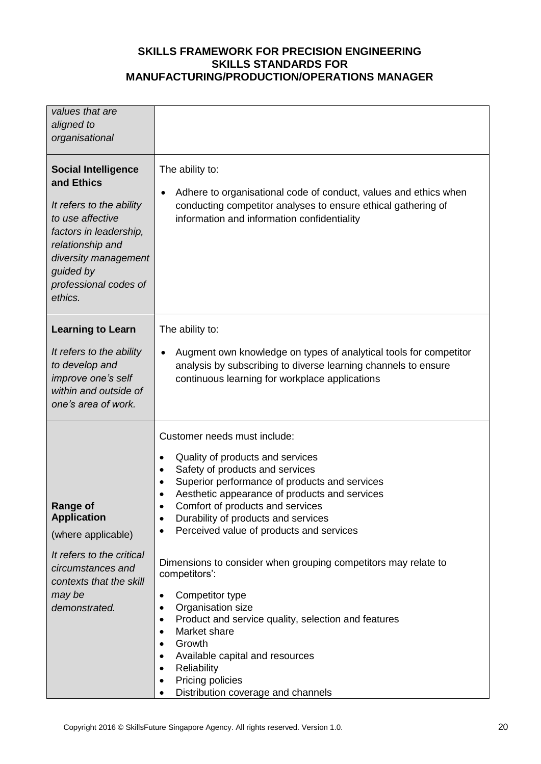| values that are<br>aligned to<br>organisational                                                                                                                                                                 |                                                                                                                                                                                                                                                                                                                                                                                                                                                                                                                                                                                                                                                                                                                                                                                               |
|-----------------------------------------------------------------------------------------------------------------------------------------------------------------------------------------------------------------|-----------------------------------------------------------------------------------------------------------------------------------------------------------------------------------------------------------------------------------------------------------------------------------------------------------------------------------------------------------------------------------------------------------------------------------------------------------------------------------------------------------------------------------------------------------------------------------------------------------------------------------------------------------------------------------------------------------------------------------------------------------------------------------------------|
| <b>Social Intelligence</b><br>and Ethics<br>It refers to the ability<br>to use affective<br>factors in leadership,<br>relationship and<br>diversity management<br>guided by<br>professional codes of<br>ethics. | The ability to:<br>Adhere to organisational code of conduct, values and ethics when<br>$\bullet$<br>conducting competitor analyses to ensure ethical gathering of<br>information and information confidentiality                                                                                                                                                                                                                                                                                                                                                                                                                                                                                                                                                                              |
| <b>Learning to Learn</b><br>It refers to the ability<br>to develop and<br>improve one's self<br>within and outside of<br>one's area of work.                                                                    | The ability to:<br>Augment own knowledge on types of analytical tools for competitor<br>$\bullet$<br>analysis by subscribing to diverse learning channels to ensure<br>continuous learning for workplace applications                                                                                                                                                                                                                                                                                                                                                                                                                                                                                                                                                                         |
| Range of<br><b>Application</b><br>(where applicable)<br>It refers to the critical<br>circumstances and<br>contexts that the skill<br>may be<br>demonstrated.                                                    | Customer needs must include:<br>Quality of products and services<br>$\bullet$<br>Safety of products and services<br>$\bullet$<br>Superior performance of products and services<br>$\bullet$<br>Aesthetic appearance of products and services<br>Comfort of products and services<br>Durability of products and services<br>٠<br>Perceived value of products and services<br>٠<br>Dimensions to consider when grouping competitors may relate to<br>competitors':<br>Competitor type<br>٠<br>Organisation size<br>Product and service quality, selection and features<br>٠<br>Market share<br>$\bullet$<br>Growth<br>$\bullet$<br>Available capital and resources<br>$\bullet$<br>Reliability<br>$\bullet$<br>Pricing policies<br>$\bullet$<br>Distribution coverage and channels<br>$\bullet$ |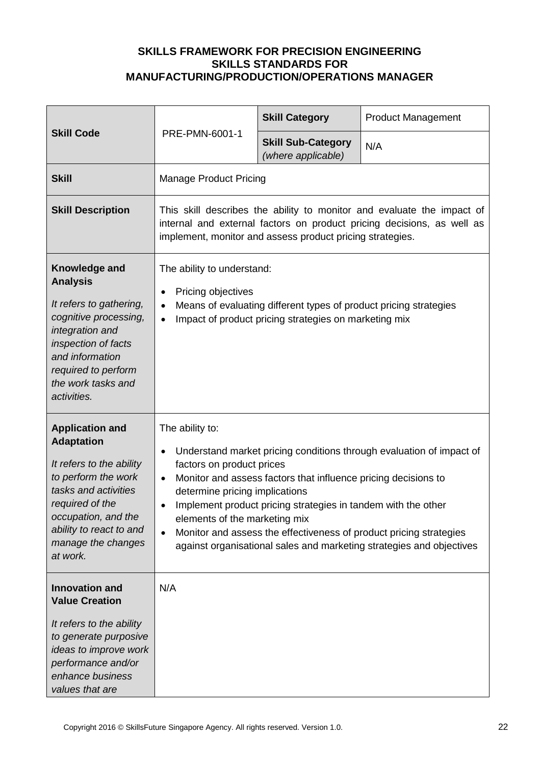| <b>Skill Code</b>                                                                                                                                                                                                             | PRE-PMN-6001-1                                                                                                                                                                                                        | <b>Skill Category</b>                                                                                                           | <b>Product Management</b>                                                                                                                                                                                          |
|-------------------------------------------------------------------------------------------------------------------------------------------------------------------------------------------------------------------------------|-----------------------------------------------------------------------------------------------------------------------------------------------------------------------------------------------------------------------|---------------------------------------------------------------------------------------------------------------------------------|--------------------------------------------------------------------------------------------------------------------------------------------------------------------------------------------------------------------|
|                                                                                                                                                                                                                               |                                                                                                                                                                                                                       | <b>Skill Sub-Category</b><br>(where applicable)                                                                                 | N/A                                                                                                                                                                                                                |
| <b>Skill</b>                                                                                                                                                                                                                  | <b>Manage Product Pricing</b>                                                                                                                                                                                         |                                                                                                                                 |                                                                                                                                                                                                                    |
| <b>Skill Description</b>                                                                                                                                                                                                      | This skill describes the ability to monitor and evaluate the impact of<br>internal and external factors on product pricing decisions, as well as<br>implement, monitor and assess product pricing strategies.         |                                                                                                                                 |                                                                                                                                                                                                                    |
| Knowledge and<br><b>Analysis</b><br>It refers to gathering,<br>cognitive processing,<br>integration and<br>inspection of facts<br>and information<br>required to perform<br>the work tasks and<br>activities.                 | The ability to understand:<br>Pricing objectives<br>$\bullet$<br>Means of evaluating different types of product pricing strategies<br>$\bullet$<br>Impact of product pricing strategies on marketing mix<br>$\bullet$ |                                                                                                                                 |                                                                                                                                                                                                                    |
| <b>Application and</b><br><b>Adaptation</b><br>It refers to the ability<br>to perform the work<br>tasks and activities<br>required of the<br>occupation, and the<br>ability to react to and<br>manage the changes<br>at work. | The ability to:<br>$\bullet$<br>factors on product prices<br>$\bullet$<br>determine pricing implications<br>$\bullet$<br>elements of the marketing mix<br>$\bullet$                                                   | Monitor and assess factors that influence pricing decisions to<br>Implement product pricing strategies in tandem with the other | Understand market pricing conditions through evaluation of impact of<br>Monitor and assess the effectiveness of product pricing strategies<br>against organisational sales and marketing strategies and objectives |
| <b>Innovation and</b><br><b>Value Creation</b><br>It refers to the ability<br>to generate purposive<br>ideas to improve work<br>performance and/or<br>enhance business<br>values that are                                     | N/A                                                                                                                                                                                                                   |                                                                                                                                 |                                                                                                                                                                                                                    |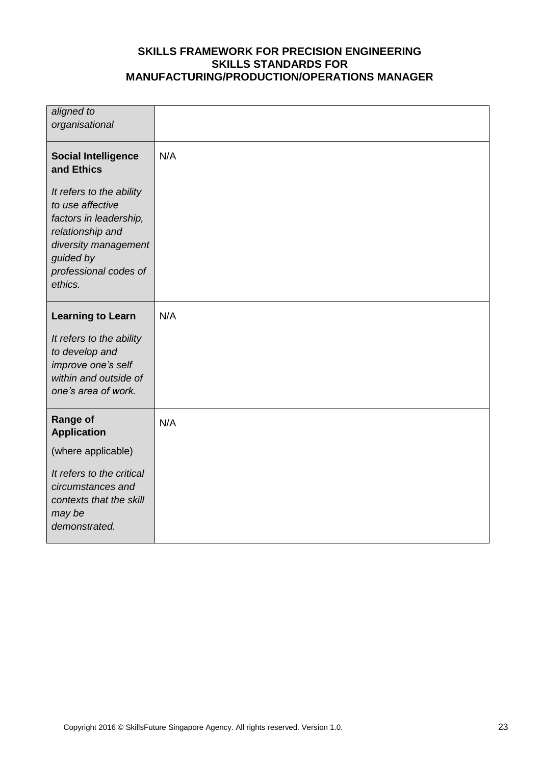| aligned to<br>organisational                                                                                                                                        |     |
|---------------------------------------------------------------------------------------------------------------------------------------------------------------------|-----|
| <b>Social Intelligence</b><br>and Ethics                                                                                                                            | N/A |
| It refers to the ability<br>to use affective<br>factors in leadership,<br>relationship and<br>diversity management<br>guided by<br>professional codes of<br>ethics. |     |
| <b>Learning to Learn</b>                                                                                                                                            | N/A |
| It refers to the ability<br>to develop and<br>improve one's self<br>within and outside of<br>one's area of work.                                                    |     |
| <b>Range of</b><br><b>Application</b>                                                                                                                               | N/A |
| (where applicable)                                                                                                                                                  |     |
| It refers to the critical<br>circumstances and<br>contexts that the skill<br>may be<br>demonstrated.                                                                |     |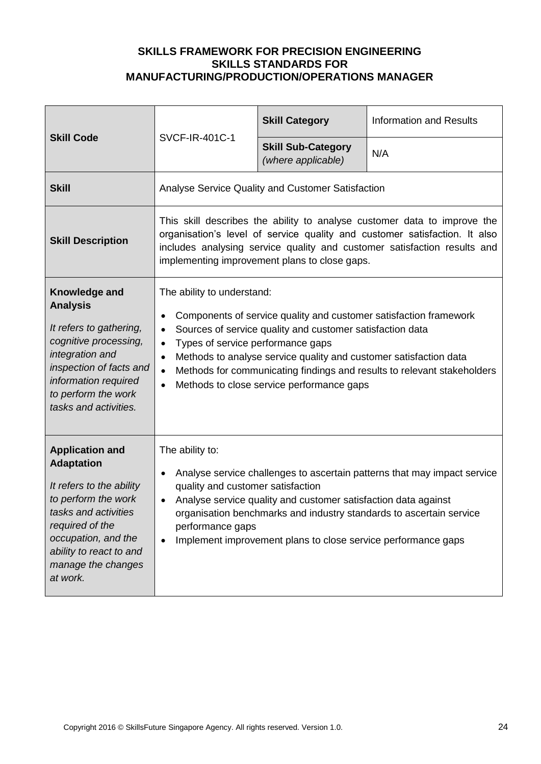| <b>Skill Code</b>                                                                                                                                                                                                             | <b>SVCF-IR-401C-1</b>                                                                                                                                                                                                                                                                                                                                                                                                                 | <b>Skill Category</b>                           | <b>Information and Results</b> |
|-------------------------------------------------------------------------------------------------------------------------------------------------------------------------------------------------------------------------------|---------------------------------------------------------------------------------------------------------------------------------------------------------------------------------------------------------------------------------------------------------------------------------------------------------------------------------------------------------------------------------------------------------------------------------------|-------------------------------------------------|--------------------------------|
|                                                                                                                                                                                                                               |                                                                                                                                                                                                                                                                                                                                                                                                                                       | <b>Skill Sub-Category</b><br>(where applicable) | N/A                            |
| <b>Skill</b>                                                                                                                                                                                                                  | Analyse Service Quality and Customer Satisfaction                                                                                                                                                                                                                                                                                                                                                                                     |                                                 |                                |
| <b>Skill Description</b>                                                                                                                                                                                                      | This skill describes the ability to analyse customer data to improve the<br>organisation's level of service quality and customer satisfaction. It also<br>includes analysing service quality and customer satisfaction results and<br>implementing improvement plans to close gaps.                                                                                                                                                   |                                                 |                                |
| Knowledge and<br><b>Analysis</b><br>It refers to gathering,<br>cognitive processing,<br>integration and<br>inspection of facts and<br>information required<br>to perform the work<br>tasks and activities.                    | The ability to understand:<br>Components of service quality and customer satisfaction framework<br>Sources of service quality and customer satisfaction data<br>$\bullet$<br>Types of service performance gaps<br>$\bullet$<br>Methods to analyse service quality and customer satisfaction data<br>$\bullet$<br>Methods for communicating findings and results to relevant stakeholders<br>Methods to close service performance gaps |                                                 |                                |
| <b>Application and</b><br><b>Adaptation</b><br>It refers to the ability<br>to perform the work<br>tasks and activities<br>required of the<br>occupation, and the<br>ability to react to and<br>manage the changes<br>at work. | The ability to:<br>Analyse service challenges to ascertain patterns that may impact service<br>$\bullet$<br>quality and customer satisfaction<br>Analyse service quality and customer satisfaction data against<br>organisation benchmarks and industry standards to ascertain service<br>performance gaps<br>Implement improvement plans to close service performance gaps                                                           |                                                 |                                |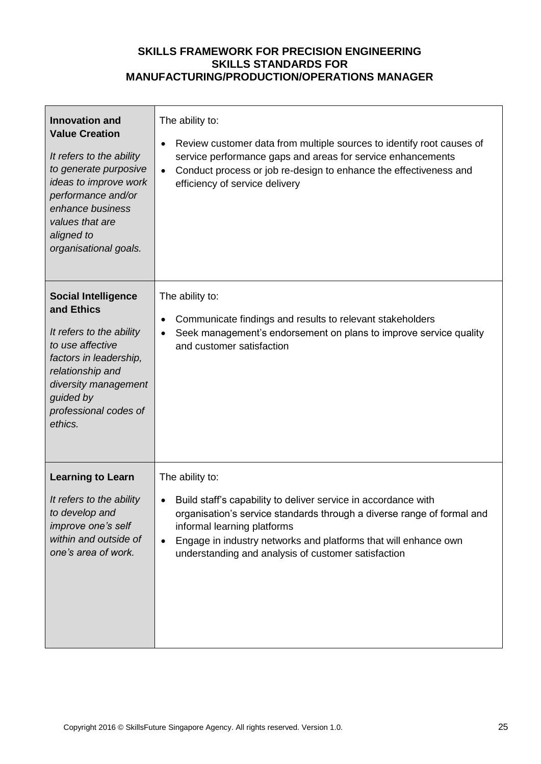| <b>Innovation and</b><br><b>Value Creation</b><br>It refers to the ability<br>to generate purposive<br>ideas to improve work<br>performance and/or<br>enhance business<br>values that are<br>aligned to<br>organisational goals. | The ability to:<br>Review customer data from multiple sources to identify root causes of<br>service performance gaps and areas for service enhancements<br>Conduct process or job re-design to enhance the effectiveness and<br>$\bullet$<br>efficiency of service delivery                                    |
|----------------------------------------------------------------------------------------------------------------------------------------------------------------------------------------------------------------------------------|----------------------------------------------------------------------------------------------------------------------------------------------------------------------------------------------------------------------------------------------------------------------------------------------------------------|
| <b>Social Intelligence</b><br>and Ethics<br>It refers to the ability<br>to use affective<br>factors in leadership,<br>relationship and<br>diversity management<br>guided by<br>professional codes of<br>ethics.                  | The ability to:<br>Communicate findings and results to relevant stakeholders<br>Seek management's endorsement on plans to improve service quality<br>and customer satisfaction                                                                                                                                 |
| <b>Learning to Learn</b>                                                                                                                                                                                                         | The ability to:                                                                                                                                                                                                                                                                                                |
| It refers to the ability<br>to develop and<br>improve one's self<br>within and outside of<br>one's area of work.                                                                                                                 | Build staff's capability to deliver service in accordance with<br>organisation's service standards through a diverse range of formal and<br>informal learning platforms<br>Engage in industry networks and platforms that will enhance own<br>$\bullet$<br>understanding and analysis of customer satisfaction |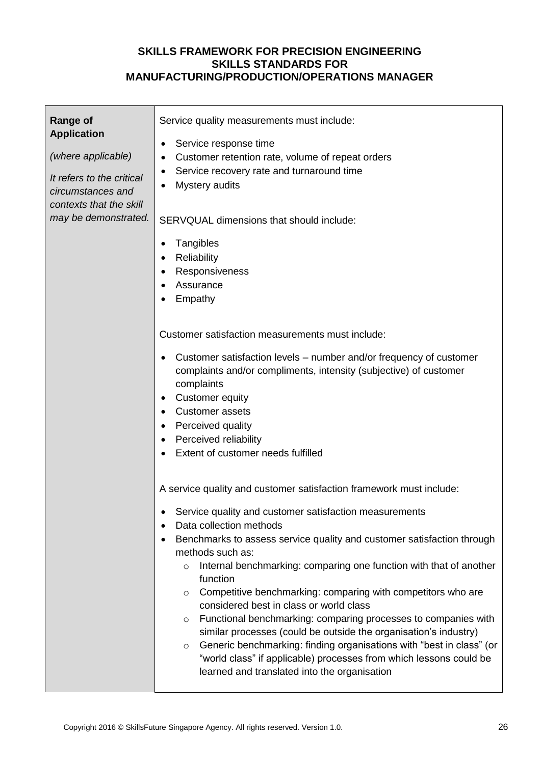| <b>Range of</b><br><b>Application</b><br>(where applicable)<br>It refers to the critical<br>circumstances and<br>contexts that the skill<br>may be demonstrated. | Service quality measurements must include:<br>Service response time<br>٠<br>Customer retention rate, volume of repeat orders<br>٠<br>Service recovery rate and turnaround time<br>٠<br>Mystery audits<br>SERVQUAL dimensions that should include:<br>Tangibles<br>Reliability<br>Responsiveness<br>Assurance<br>Empathy<br>Customer satisfaction measurements must include:<br>Customer satisfaction levels – number and/or frequency of customer<br>complaints and/or compliments, intensity (subjective) of customer<br>complaints<br><b>Customer equity</b><br><b>Customer assets</b><br>Perceived quality<br>Perceived reliability<br>Extent of customer needs fulfilled<br>A service quality and customer satisfaction framework must include:<br>Service quality and customer satisfaction measurements<br>Data collection methods<br>Benchmarks to assess service quality and customer satisfaction through<br>methods such as:<br>Internal benchmarking: comparing one function with that of another<br>$\circ$<br>function<br>Competitive benchmarking: comparing with competitors who are<br>$\circ$<br>considered best in class or world class<br>Functional benchmarking: comparing processes to companies with<br>$\circ$<br>similar processes (could be outside the organisation's industry)<br>Generic benchmarking: finding organisations with "best in class" (or<br>O<br>"world class" if applicable) processes from which lessons could be<br>learned and translated into the organisation |
|------------------------------------------------------------------------------------------------------------------------------------------------------------------|---------------------------------------------------------------------------------------------------------------------------------------------------------------------------------------------------------------------------------------------------------------------------------------------------------------------------------------------------------------------------------------------------------------------------------------------------------------------------------------------------------------------------------------------------------------------------------------------------------------------------------------------------------------------------------------------------------------------------------------------------------------------------------------------------------------------------------------------------------------------------------------------------------------------------------------------------------------------------------------------------------------------------------------------------------------------------------------------------------------------------------------------------------------------------------------------------------------------------------------------------------------------------------------------------------------------------------------------------------------------------------------------------------------------------------------------------------------------------------------------------------------|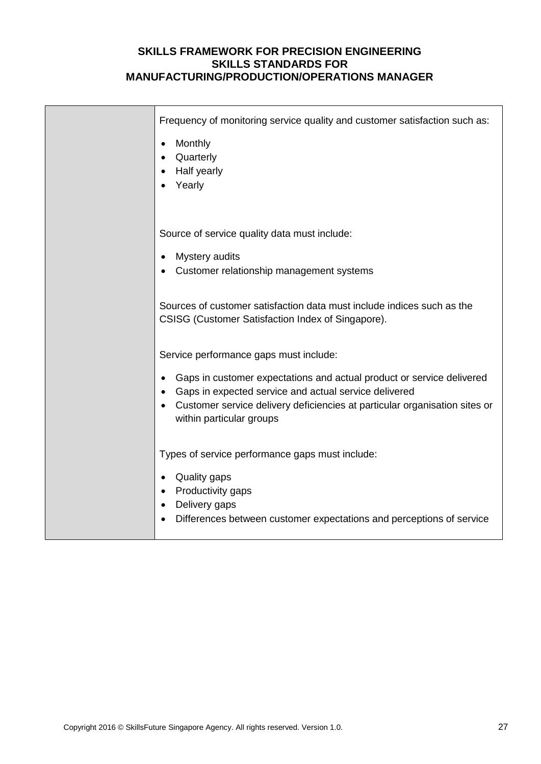| Frequency of monitoring service quality and customer satisfaction such as:<br>Monthly<br>٠<br>Quarterly<br>Half yearly<br>Yearly                                                                                                                                                   |
|------------------------------------------------------------------------------------------------------------------------------------------------------------------------------------------------------------------------------------------------------------------------------------|
| Source of service quality data must include:<br>Mystery audits<br>Customer relationship management systems                                                                                                                                                                         |
| Sources of customer satisfaction data must include indices such as the<br>CSISG (Customer Satisfaction Index of Singapore).                                                                                                                                                        |
| Service performance gaps must include:<br>Gaps in customer expectations and actual product or service delivered<br>Gaps in expected service and actual service delivered<br>Customer service delivery deficiencies at particular organisation sites or<br>within particular groups |
| Types of service performance gaps must include:<br>Quality gaps<br>Productivity gaps<br>Delivery gaps<br>Differences between customer expectations and perceptions of service                                                                                                      |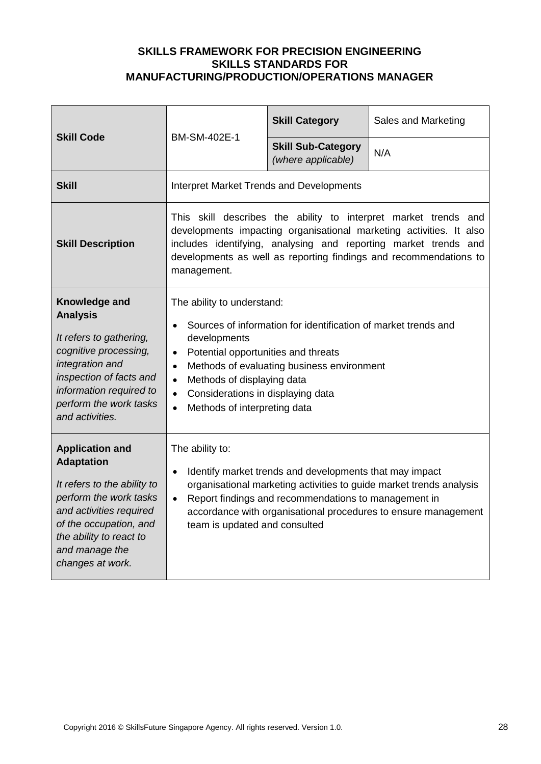| <b>Skill Code</b>                                                                                                                                                                                                          | BM-SM-402E-1                                                                                                                                                                                                                                                                                                                                                          | <b>Skill Category</b>                           | Sales and Marketing |
|----------------------------------------------------------------------------------------------------------------------------------------------------------------------------------------------------------------------------|-----------------------------------------------------------------------------------------------------------------------------------------------------------------------------------------------------------------------------------------------------------------------------------------------------------------------------------------------------------------------|-------------------------------------------------|---------------------|
|                                                                                                                                                                                                                            |                                                                                                                                                                                                                                                                                                                                                                       | <b>Skill Sub-Category</b><br>(where applicable) | N/A                 |
| <b>Skill</b>                                                                                                                                                                                                               | <b>Interpret Market Trends and Developments</b>                                                                                                                                                                                                                                                                                                                       |                                                 |                     |
| <b>Skill Description</b>                                                                                                                                                                                                   | This skill describes the ability to interpret market trends and<br>developments impacting organisational marketing activities. It also<br>includes identifying, analysing and reporting market trends and<br>developments as well as reporting findings and recommendations to<br>management.                                                                         |                                                 |                     |
| Knowledge and<br><b>Analysis</b><br>It refers to gathering,<br>cognitive processing,<br>integration and<br>inspection of facts and<br>information required to<br>perform the work tasks<br>and activities.                 | The ability to understand:<br>Sources of information for identification of market trends and<br>developments<br>Potential opportunities and threats<br>$\bullet$<br>Methods of evaluating business environment<br>$\bullet$<br>Methods of displaying data<br>$\bullet$<br>Considerations in displaying data<br>$\bullet$<br>Methods of interpreting data<br>$\bullet$ |                                                 |                     |
| <b>Application and</b><br><b>Adaptation</b><br>It refers to the ability to<br>perform the work tasks<br>and activities required<br>of the occupation, and<br>the ability to react to<br>and manage the<br>changes at work. | The ability to:<br>Identify market trends and developments that may impact<br>$\bullet$<br>organisational marketing activities to guide market trends analysis<br>Report findings and recommendations to management in<br>$\bullet$<br>accordance with organisational procedures to ensure management<br>team is updated and consulted                                |                                                 |                     |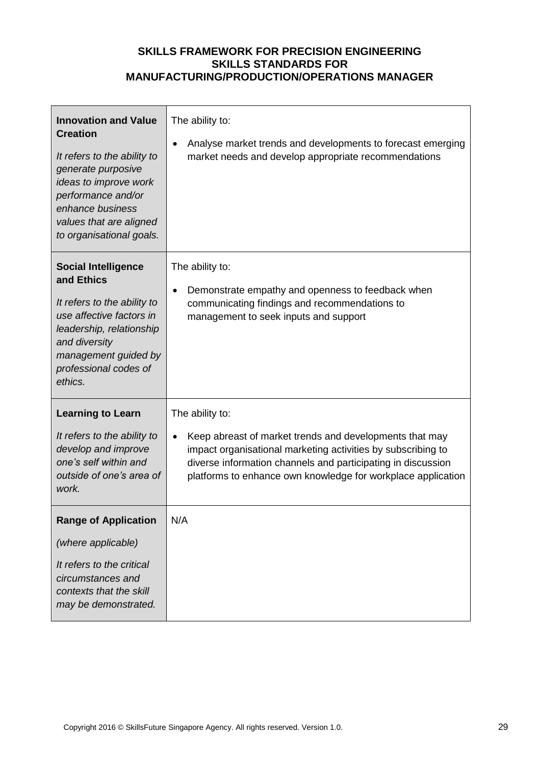| <b>Innovation and Value</b><br><b>Creation</b><br>It refers to the ability to<br>generate purposive<br>ideas to improve work<br>performance and/or<br>enhance business<br>values that are aligned<br>to organisational goals. | The ability to:<br>Analyse market trends and developments to forecast emerging<br>market needs and develop appropriate recommendations                                                                                                                  |
|-------------------------------------------------------------------------------------------------------------------------------------------------------------------------------------------------------------------------------|---------------------------------------------------------------------------------------------------------------------------------------------------------------------------------------------------------------------------------------------------------|
| <b>Social Intelligence</b><br>and Ethics<br>It refers to the ability to<br>use affective factors in<br>leadership, relationship<br>and diversity<br>management guided by<br>professional codes of<br>ethics.                  | The ability to:<br>Demonstrate empathy and openness to feedback when<br>communicating findings and recommendations to<br>management to seek inputs and support                                                                                          |
| <b>Learning to Learn</b>                                                                                                                                                                                                      | The ability to:                                                                                                                                                                                                                                         |
| It refers to the ability to<br>develop and improve<br>one's self within and<br>outside of one's area of<br>work.                                                                                                              | Keep abreast of market trends and developments that may<br>impact organisational marketing activities by subscribing to<br>diverse information channels and participating in discussion<br>platforms to enhance own knowledge for workplace application |
| <b>Range of Application</b>                                                                                                                                                                                                   | N/A                                                                                                                                                                                                                                                     |
| (where applicable)                                                                                                                                                                                                            |                                                                                                                                                                                                                                                         |
| It refers to the critical<br>circumstances and<br>contexts that the skill<br>may be demonstrated.                                                                                                                             |                                                                                                                                                                                                                                                         |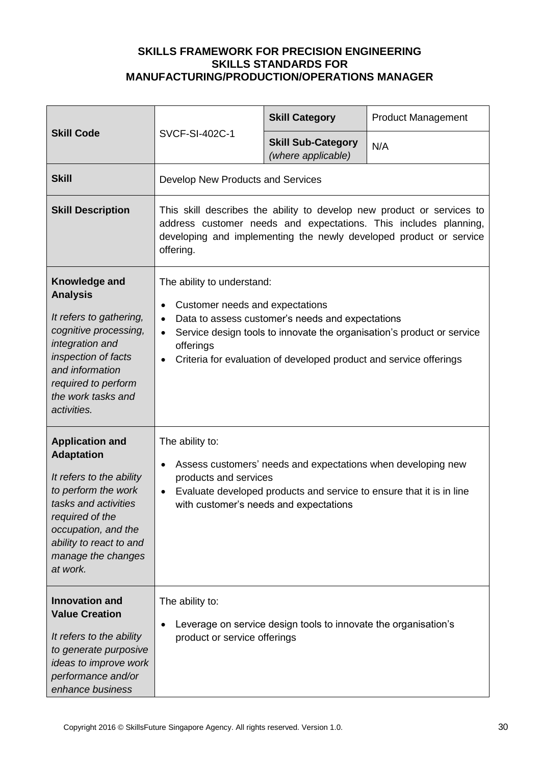| <b>Skill Code</b>                                                                                                                                                                                                             |                                                                                                                                                                                                                                                                                                                       | <b>Skill Category</b>                                           | <b>Product Management</b> |
|-------------------------------------------------------------------------------------------------------------------------------------------------------------------------------------------------------------------------------|-----------------------------------------------------------------------------------------------------------------------------------------------------------------------------------------------------------------------------------------------------------------------------------------------------------------------|-----------------------------------------------------------------|---------------------------|
|                                                                                                                                                                                                                               | <b>SVCF-SI-402C-1</b>                                                                                                                                                                                                                                                                                                 | <b>Skill Sub-Category</b><br>(where applicable)                 | N/A                       |
| <b>Skill</b>                                                                                                                                                                                                                  | Develop New Products and Services                                                                                                                                                                                                                                                                                     |                                                                 |                           |
| <b>Skill Description</b>                                                                                                                                                                                                      | This skill describes the ability to develop new product or services to<br>address customer needs and expectations. This includes planning,<br>developing and implementing the newly developed product or service<br>offering.                                                                                         |                                                                 |                           |
| Knowledge and<br><b>Analysis</b><br>It refers to gathering,<br>cognitive processing,<br>integration and<br>inspection of facts<br>and information<br>required to perform<br>the work tasks and<br>activities.                 | The ability to understand:<br>Customer needs and expectations<br>$\bullet$<br>Data to assess customer's needs and expectations<br>$\bullet$<br>Service design tools to innovate the organisation's product or service<br>$\bullet$<br>offerings<br>Criteria for evaluation of developed product and service offerings |                                                                 |                           |
| <b>Application and</b><br><b>Adaptation</b><br>It refers to the ability<br>to perform the work<br>tasks and activities<br>required of the<br>occupation, and the<br>ability to react to and<br>manage the changes<br>at work. | The ability to:<br>Assess customers' needs and expectations when developing new<br>$\bullet$<br>products and services<br>Evaluate developed products and service to ensure that it is in line<br>$\bullet$<br>with customer's needs and expectations                                                                  |                                                                 |                           |
| <b>Innovation and</b><br><b>Value Creation</b><br>It refers to the ability<br>to generate purposive<br>ideas to improve work<br>performance and/or<br>enhance business                                                        | The ability to:<br>$\bullet$<br>product or service offerings                                                                                                                                                                                                                                                          | Leverage on service design tools to innovate the organisation's |                           |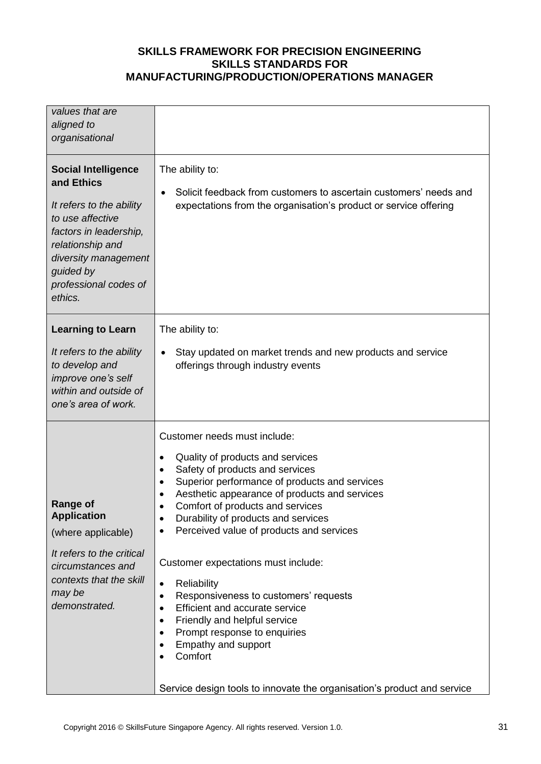| values that are<br>aligned to<br>organisational<br><b>Social Intelligence</b><br>and Ethics<br>It refers to the ability<br>to use affective<br>factors in leadership,<br>relationship and<br>diversity management | The ability to:<br>Solicit feedback from customers to ascertain customers' needs and<br>$\bullet$<br>expectations from the organisation's product or service offering                                                                                                                                                                                       |
|-------------------------------------------------------------------------------------------------------------------------------------------------------------------------------------------------------------------|-------------------------------------------------------------------------------------------------------------------------------------------------------------------------------------------------------------------------------------------------------------------------------------------------------------------------------------------------------------|
| guided by<br>professional codes of<br>ethics.                                                                                                                                                                     |                                                                                                                                                                                                                                                                                                                                                             |
| <b>Learning to Learn</b>                                                                                                                                                                                          | The ability to:                                                                                                                                                                                                                                                                                                                                             |
| It refers to the ability<br>to develop and<br>improve one's self<br>within and outside of<br>one's area of work.                                                                                                  | Stay updated on market trends and new products and service<br>offerings through industry events                                                                                                                                                                                                                                                             |
|                                                                                                                                                                                                                   | Customer needs must include:<br>Quality of products and services<br>$\bullet$                                                                                                                                                                                                                                                                               |
|                                                                                                                                                                                                                   | Safety of products and services<br>٠<br>Superior performance of products and services<br>$\bullet$                                                                                                                                                                                                                                                          |
| Range of                                                                                                                                                                                                          | Aesthetic appearance of products and services<br>Comfort of products and services                                                                                                                                                                                                                                                                           |
| <b>Application</b><br>(where applicable)                                                                                                                                                                          | Durability of products and services<br>٠<br>Perceived value of products and services<br>٠                                                                                                                                                                                                                                                                   |
| It refers to the critical<br>circumstances and<br>contexts that the skill<br>may be<br>demonstrated.                                                                                                              | Customer expectations must include:<br>Reliability<br>$\bullet$<br>Responsiveness to customers' requests<br>٠<br>Efficient and accurate service<br>$\bullet$<br>Friendly and helpful service<br>$\bullet$<br>Prompt response to enquiries<br>٠<br>Empathy and support<br>Comfort<br>Service design tools to innovate the organisation's product and service |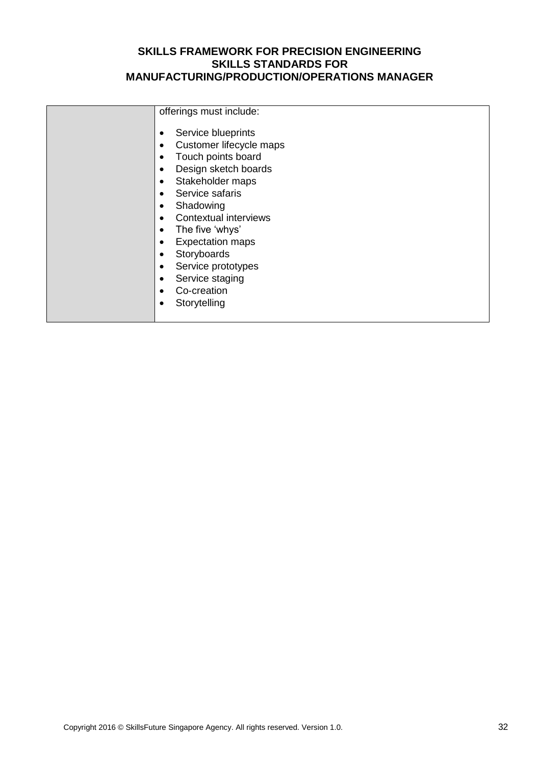| offerings must include:<br>Service blueprints<br>Customer lifecycle maps<br>٠<br>Touch points board<br>Design sketch boards<br>٠<br>Stakeholder maps<br>٠<br>Service safaris<br>Shadowing<br>Contextual interviews<br>The five 'whys'<br>٠<br><b>Expectation maps</b><br>٠<br>Storyboards<br>٠<br>Service prototypes<br>٠<br>Service staging<br>Co-creation |              |
|-------------------------------------------------------------------------------------------------------------------------------------------------------------------------------------------------------------------------------------------------------------------------------------------------------------------------------------------------------------|--------------|
|                                                                                                                                                                                                                                                                                                                                                             |              |
|                                                                                                                                                                                                                                                                                                                                                             | Storytelling |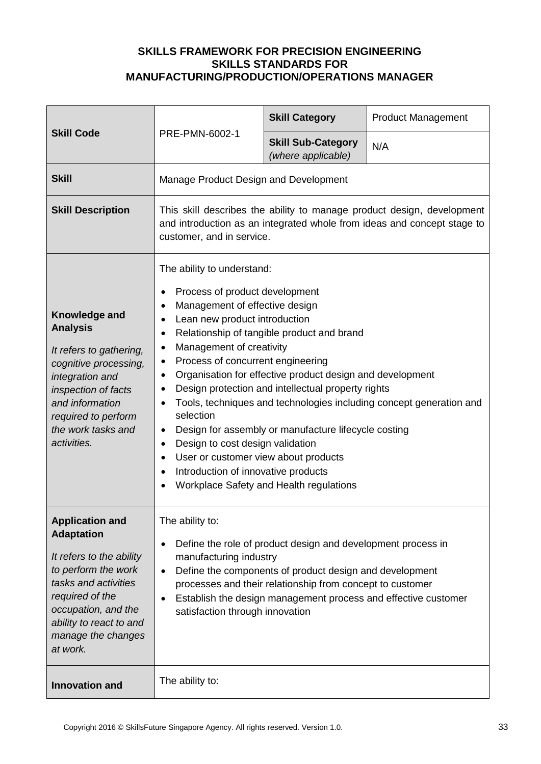| <b>Skill Code</b>                                                                                                                                                                                                             | PRE-PMN-6002-1                                                                                                                                                                                                                                                                                                                                                                                                                                                                                                                                                                                                                                                                                                                                                                                                                          | <b>Skill Category</b>                           | <b>Product Management</b> |
|-------------------------------------------------------------------------------------------------------------------------------------------------------------------------------------------------------------------------------|-----------------------------------------------------------------------------------------------------------------------------------------------------------------------------------------------------------------------------------------------------------------------------------------------------------------------------------------------------------------------------------------------------------------------------------------------------------------------------------------------------------------------------------------------------------------------------------------------------------------------------------------------------------------------------------------------------------------------------------------------------------------------------------------------------------------------------------------|-------------------------------------------------|---------------------------|
|                                                                                                                                                                                                                               |                                                                                                                                                                                                                                                                                                                                                                                                                                                                                                                                                                                                                                                                                                                                                                                                                                         | <b>Skill Sub-Category</b><br>(where applicable) | N/A                       |
| <b>Skill</b>                                                                                                                                                                                                                  | Manage Product Design and Development                                                                                                                                                                                                                                                                                                                                                                                                                                                                                                                                                                                                                                                                                                                                                                                                   |                                                 |                           |
| <b>Skill Description</b>                                                                                                                                                                                                      | This skill describes the ability to manage product design, development<br>and introduction as an integrated whole from ideas and concept stage to<br>customer, and in service.                                                                                                                                                                                                                                                                                                                                                                                                                                                                                                                                                                                                                                                          |                                                 |                           |
| Knowledge and<br><b>Analysis</b><br>It refers to gathering,<br>cognitive processing,<br>integration and<br>inspection of facts<br>and information<br>required to perform<br>the work tasks and<br>activities.                 | The ability to understand:<br>Process of product development<br>$\bullet$<br>Management of effective design<br>$\bullet$<br>Lean new product introduction<br>$\bullet$<br>Relationship of tangible product and brand<br>$\bullet$<br>Management of creativity<br>$\bullet$<br>Process of concurrent engineering<br>$\bullet$<br>Organisation for effective product design and development<br>$\bullet$<br>Design protection and intellectual property rights<br>$\bullet$<br>Tools, techniques and technologies including concept generation and<br>selection<br>Design for assembly or manufacture lifecycle costing<br>$\bullet$<br>Design to cost design validation<br>$\bullet$<br>User or customer view about products<br>$\bullet$<br>Introduction of innovative products<br>$\bullet$<br>Workplace Safety and Health regulations |                                                 |                           |
| <b>Application and</b><br><b>Adaptation</b><br>It refers to the ability<br>to perform the work<br>tasks and activities<br>required of the<br>occupation, and the<br>ability to react to and<br>manage the changes<br>at work. | The ability to:<br>Define the role of product design and development process in<br>$\bullet$<br>manufacturing industry<br>Define the components of product design and development<br>$\bullet$<br>processes and their relationship from concept to customer<br>Establish the design management process and effective customer<br>satisfaction through innovation                                                                                                                                                                                                                                                                                                                                                                                                                                                                        |                                                 |                           |
| <b>Innovation and</b>                                                                                                                                                                                                         | The ability to:                                                                                                                                                                                                                                                                                                                                                                                                                                                                                                                                                                                                                                                                                                                                                                                                                         |                                                 |                           |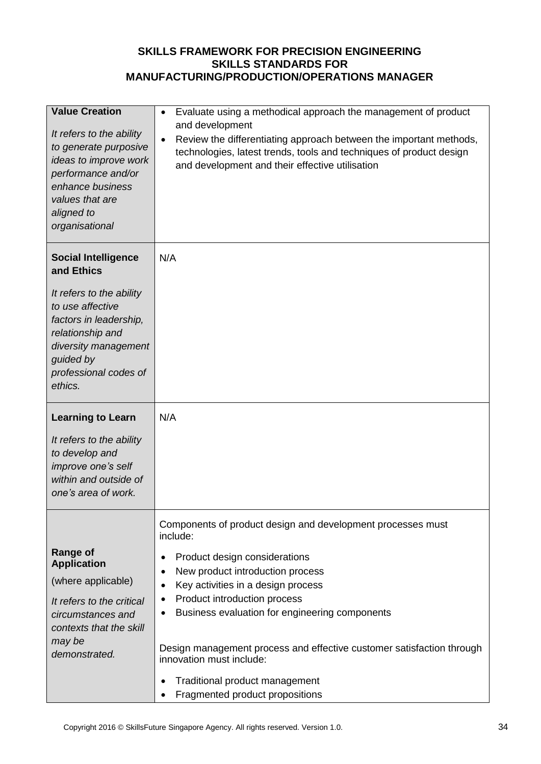| <b>Value Creation</b><br>It refers to the ability<br>to generate purposive<br>ideas to improve work<br>performance and/or<br>enhance business<br>values that are<br>aligned to<br>organisational                | Evaluate using a methodical approach the management of product<br>$\bullet$<br>and development<br>Review the differentiating approach between the important methods,<br>technologies, latest trends, tools and techniques of product design<br>and development and their effective utilisation                                                                                                                                                                                        |
|-----------------------------------------------------------------------------------------------------------------------------------------------------------------------------------------------------------------|---------------------------------------------------------------------------------------------------------------------------------------------------------------------------------------------------------------------------------------------------------------------------------------------------------------------------------------------------------------------------------------------------------------------------------------------------------------------------------------|
| <b>Social Intelligence</b><br>and Ethics<br>It refers to the ability<br>to use affective<br>factors in leadership,<br>relationship and<br>diversity management<br>guided by<br>professional codes of<br>ethics. | N/A                                                                                                                                                                                                                                                                                                                                                                                                                                                                                   |
| <b>Learning to Learn</b><br>It refers to the ability<br>to develop and<br>improve one's self<br>within and outside of<br>one's area of work.                                                                    | N/A                                                                                                                                                                                                                                                                                                                                                                                                                                                                                   |
| <b>Range of</b><br><b>Application</b><br>(where applicable)<br>It refers to the critical<br>circumstances and<br>contexts that the skill<br>may be<br>demonstrated.                                             | Components of product design and development processes must<br>include:<br>Product design considerations<br>New product introduction process<br>Key activities in a design process<br>$\bullet$<br>Product introduction process<br>$\bullet$<br>Business evaluation for engineering components<br>Design management process and effective customer satisfaction through<br>innovation must include:<br>Traditional product management<br>$\bullet$<br>Fragmented product propositions |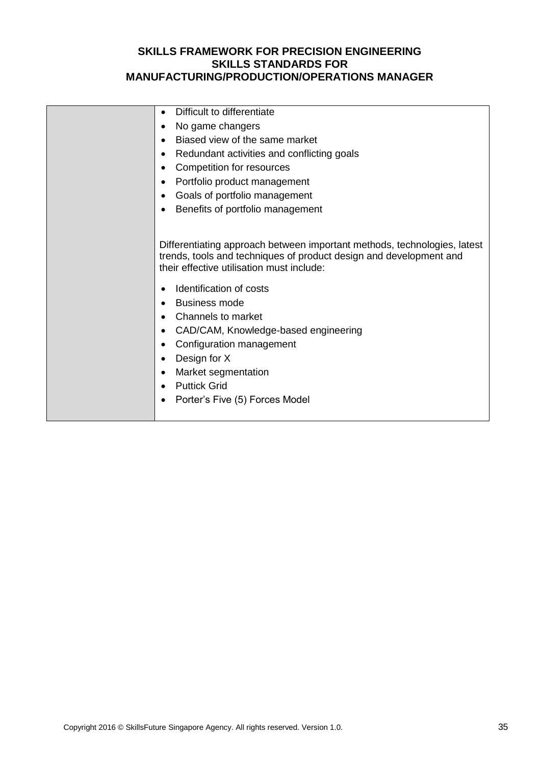| Difficult to differentiate<br>$\bullet$                                                                                                                                                                                                                                                                                                                                                                                                                                           |
|-----------------------------------------------------------------------------------------------------------------------------------------------------------------------------------------------------------------------------------------------------------------------------------------------------------------------------------------------------------------------------------------------------------------------------------------------------------------------------------|
| No game changers<br>$\bullet$                                                                                                                                                                                                                                                                                                                                                                                                                                                     |
| Biased view of the same market                                                                                                                                                                                                                                                                                                                                                                                                                                                    |
| Redundant activities and conflicting goals<br>٠                                                                                                                                                                                                                                                                                                                                                                                                                                   |
| Competition for resources<br>$\bullet$                                                                                                                                                                                                                                                                                                                                                                                                                                            |
| Portfolio product management<br>٠                                                                                                                                                                                                                                                                                                                                                                                                                                                 |
| Goals of portfolio management                                                                                                                                                                                                                                                                                                                                                                                                                                                     |
| Benefits of portfolio management                                                                                                                                                                                                                                                                                                                                                                                                                                                  |
|                                                                                                                                                                                                                                                                                                                                                                                                                                                                                   |
| Differentiating approach between important methods, technologies, latest<br>trends, tools and techniques of product design and development and<br>their effective utilisation must include:<br>Identification of costs<br><b>Business mode</b><br>Channels to market<br>$\bullet$<br>CAD/CAM, Knowledge-based engineering<br>٠<br>Configuration management<br>Design for X<br>٠<br>Market segmentation<br>$\bullet$<br><b>Puttick Grid</b><br>Porter's Five (5) Forces Model<br>٠ |
|                                                                                                                                                                                                                                                                                                                                                                                                                                                                                   |
|                                                                                                                                                                                                                                                                                                                                                                                                                                                                                   |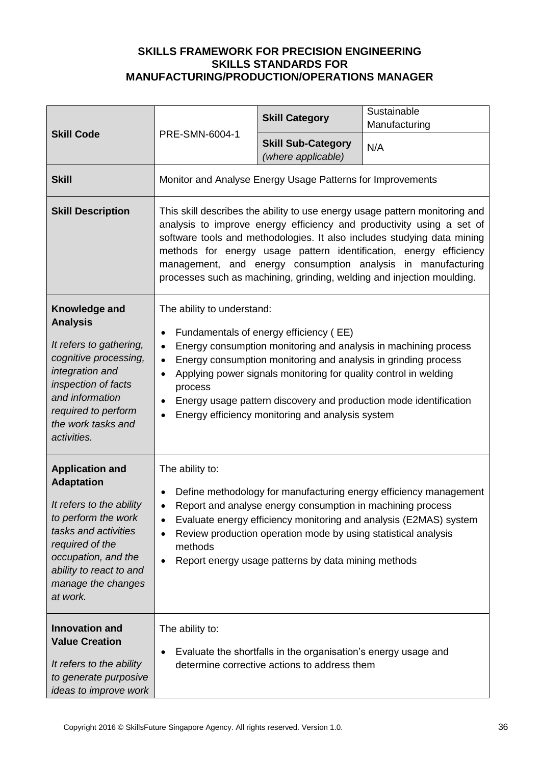| <b>Skill Code</b>                                                                                                                                                                                                             |                                                                                                                                                                                                                                                                                                                                                                                                                                                                       | <b>Skill Category</b>                                      | Sustainable<br>Manufacturing |
|-------------------------------------------------------------------------------------------------------------------------------------------------------------------------------------------------------------------------------|-----------------------------------------------------------------------------------------------------------------------------------------------------------------------------------------------------------------------------------------------------------------------------------------------------------------------------------------------------------------------------------------------------------------------------------------------------------------------|------------------------------------------------------------|------------------------------|
|                                                                                                                                                                                                                               | PRE-SMN-6004-1                                                                                                                                                                                                                                                                                                                                                                                                                                                        | <b>Skill Sub-Category</b><br>(where applicable)            | N/A                          |
| <b>Skill</b>                                                                                                                                                                                                                  |                                                                                                                                                                                                                                                                                                                                                                                                                                                                       | Monitor and Analyse Energy Usage Patterns for Improvements |                              |
| <b>Skill Description</b>                                                                                                                                                                                                      | This skill describes the ability to use energy usage pattern monitoring and<br>analysis to improve energy efficiency and productivity using a set of<br>software tools and methodologies. It also includes studying data mining<br>methods for energy usage pattern identification, energy efficiency<br>management, and energy consumption analysis in manufacturing<br>processes such as machining, grinding, welding and injection moulding.                       |                                                            |                              |
| Knowledge and<br><b>Analysis</b><br>It refers to gathering,<br>cognitive processing,<br>integration and<br>inspection of facts<br>and information<br>required to perform<br>the work tasks and<br>activities.                 | The ability to understand:<br>Fundamentals of energy efficiency (EE)<br>$\bullet$<br>Energy consumption monitoring and analysis in machining process<br>$\bullet$<br>Energy consumption monitoring and analysis in grinding process<br>$\bullet$<br>Applying power signals monitoring for quality control in welding<br>$\bullet$<br>process<br>Energy usage pattern discovery and production mode identification<br>Energy efficiency monitoring and analysis system |                                                            |                              |
| <b>Application and</b><br><b>Adaptation</b><br>It refers to the ability<br>to perform the work<br>tasks and activities<br>required of the<br>occupation, and the<br>ability to react to and<br>manage the changes<br>at work. | The ability to:<br>Define methodology for manufacturing energy efficiency management<br>$\bullet$<br>Report and analyse energy consumption in machining process<br>Evaluate energy efficiency monitoring and analysis (E2MAS) system<br>$\bullet$<br>Review production operation mode by using statistical analysis<br>$\bullet$<br>methods<br>Report energy usage patterns by data mining methods<br>$\bullet$                                                       |                                                            |                              |
| <b>Innovation and</b><br><b>Value Creation</b><br>It refers to the ability<br>to generate purposive<br>ideas to improve work                                                                                                  | The ability to:<br>Evaluate the shortfalls in the organisation's energy usage and<br>٠<br>determine corrective actions to address them                                                                                                                                                                                                                                                                                                                                |                                                            |                              |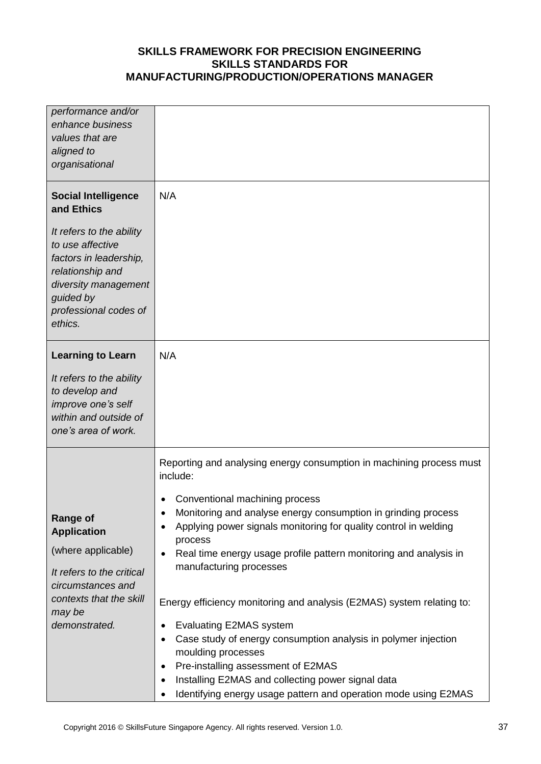| performance and/or<br>enhance business<br>values that are<br>aligned to<br>organisational                                                                                                                       |                                                                                                                                                                                                                                                                                                                                                                                                                                                                                                                                                                                                                                                                                                                                                                                                                |
|-----------------------------------------------------------------------------------------------------------------------------------------------------------------------------------------------------------------|----------------------------------------------------------------------------------------------------------------------------------------------------------------------------------------------------------------------------------------------------------------------------------------------------------------------------------------------------------------------------------------------------------------------------------------------------------------------------------------------------------------------------------------------------------------------------------------------------------------------------------------------------------------------------------------------------------------------------------------------------------------------------------------------------------------|
| <b>Social Intelligence</b><br>and Ethics<br>It refers to the ability<br>to use affective<br>factors in leadership,<br>relationship and<br>diversity management<br>guided by<br>professional codes of<br>ethics. | N/A                                                                                                                                                                                                                                                                                                                                                                                                                                                                                                                                                                                                                                                                                                                                                                                                            |
| <b>Learning to Learn</b><br>It refers to the ability<br>to develop and<br>improve one's self<br>within and outside of<br>one's area of work.                                                                    | N/A                                                                                                                                                                                                                                                                                                                                                                                                                                                                                                                                                                                                                                                                                                                                                                                                            |
| Range of<br><b>Application</b><br>(where applicable)<br>It refers to the critical<br>circumstances and<br>contexts that the skill<br>may be<br>demonstrated.                                                    | Reporting and analysing energy consumption in machining process must<br>include:<br>Conventional machining process<br>Monitoring and analyse energy consumption in grinding process<br>Applying power signals monitoring for quality control in welding<br>٠<br>process<br>Real time energy usage profile pattern monitoring and analysis in<br>$\bullet$<br>manufacturing processes<br>Energy efficiency monitoring and analysis (E2MAS) system relating to:<br><b>Evaluating E2MAS system</b><br>$\bullet$<br>Case study of energy consumption analysis in polymer injection<br>$\bullet$<br>moulding processes<br>Pre-installing assessment of E2MAS<br>$\bullet$<br>Installing E2MAS and collecting power signal data<br>٠<br>Identifying energy usage pattern and operation mode using E2MAS<br>$\bullet$ |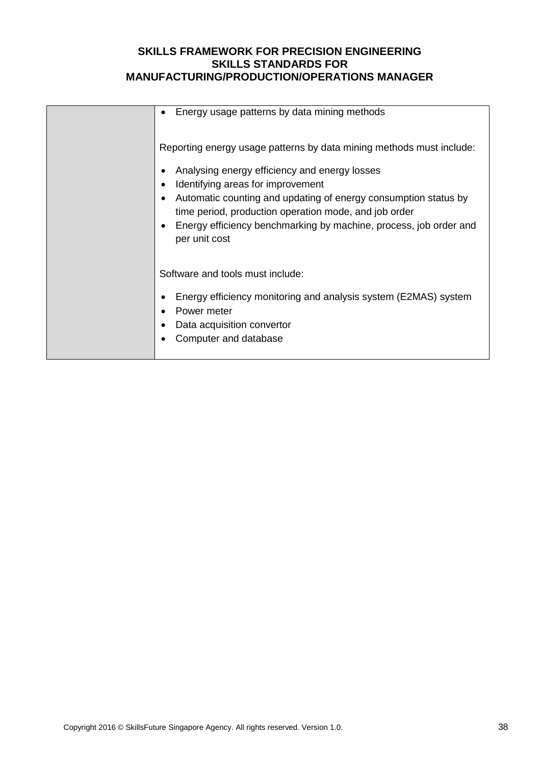| Energy usage patterns by data mining methods                                                                                          |
|---------------------------------------------------------------------------------------------------------------------------------------|
| Reporting energy usage patterns by data mining methods must include:                                                                  |
| Analysing energy efficiency and energy losses                                                                                         |
| Identifying areas for improvement<br>$\bullet$                                                                                        |
| Automatic counting and updating of energy consumption status by<br>$\bullet$<br>time period, production operation mode, and job order |
| Energy efficiency benchmarking by machine, process, job order and<br>per unit cost                                                    |
| Software and tools must include:                                                                                                      |
|                                                                                                                                       |
| Energy efficiency monitoring and analysis system (E2MAS) system<br>Power meter                                                        |
| Data acquisition convertor                                                                                                            |
| Computer and database                                                                                                                 |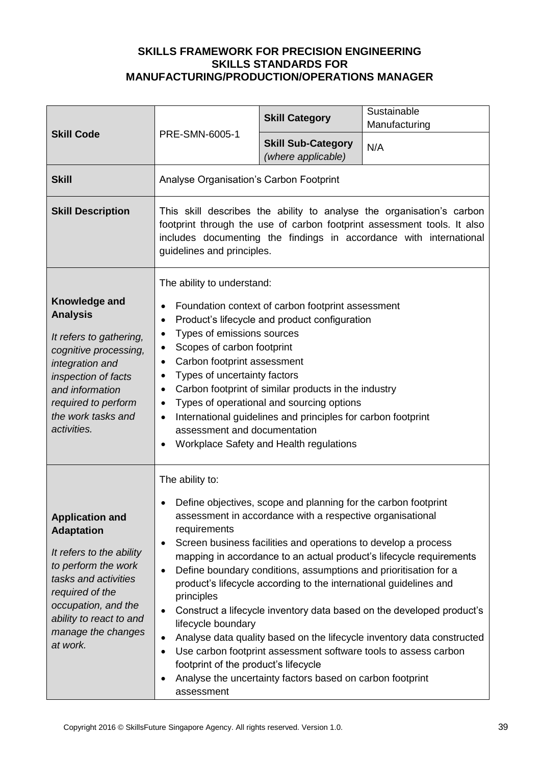| <b>Skill Code</b>                                                                                                                                                                                                             | PRE-SMN-6005-1                                                                                                                                                                                                                                                                                                                                                                                                                                                                                                                                                                                                                                                                                                                                                                                                                                                                                              | <b>Skill Category</b>                           | Sustainable<br>Manufacturing |
|-------------------------------------------------------------------------------------------------------------------------------------------------------------------------------------------------------------------------------|-------------------------------------------------------------------------------------------------------------------------------------------------------------------------------------------------------------------------------------------------------------------------------------------------------------------------------------------------------------------------------------------------------------------------------------------------------------------------------------------------------------------------------------------------------------------------------------------------------------------------------------------------------------------------------------------------------------------------------------------------------------------------------------------------------------------------------------------------------------------------------------------------------------|-------------------------------------------------|------------------------------|
|                                                                                                                                                                                                                               |                                                                                                                                                                                                                                                                                                                                                                                                                                                                                                                                                                                                                                                                                                                                                                                                                                                                                                             | <b>Skill Sub-Category</b><br>(where applicable) | N/A                          |
| <b>Skill</b>                                                                                                                                                                                                                  | Analyse Organisation's Carbon Footprint                                                                                                                                                                                                                                                                                                                                                                                                                                                                                                                                                                                                                                                                                                                                                                                                                                                                     |                                                 |                              |
| <b>Skill Description</b>                                                                                                                                                                                                      | This skill describes the ability to analyse the organisation's carbon<br>footprint through the use of carbon footprint assessment tools. It also<br>includes documenting the findings in accordance with international<br>guidelines and principles.                                                                                                                                                                                                                                                                                                                                                                                                                                                                                                                                                                                                                                                        |                                                 |                              |
| Knowledge and<br><b>Analysis</b><br>It refers to gathering,<br>cognitive processing,<br>integration and<br>inspection of facts<br>and information<br>required to perform<br>the work tasks and<br>activities.                 | The ability to understand:<br>Foundation context of carbon footprint assessment<br>$\bullet$<br>Product's lifecycle and product configuration<br>$\bullet$<br>Types of emissions sources<br>$\bullet$<br>Scopes of carbon footprint<br>$\bullet$<br>Carbon footprint assessment<br>$\bullet$<br>Types of uncertainty factors<br>Carbon footprint of similar products in the industry<br>$\bullet$<br>Types of operational and sourcing options<br>$\bullet$<br>International guidelines and principles for carbon footprint<br>$\bullet$<br>assessment and documentation<br>Workplace Safety and Health regulations                                                                                                                                                                                                                                                                                         |                                                 |                              |
| <b>Application and</b><br><b>Adaptation</b><br>It refers to the ability<br>to perform the work<br>tasks and activities<br>required of the<br>occupation, and the<br>ability to react to and<br>manage the changes<br>at work. | The ability to:<br>Define objectives, scope and planning for the carbon footprint<br>assessment in accordance with a respective organisational<br>requirements<br>Screen business facilities and operations to develop a process<br>$\bullet$<br>mapping in accordance to an actual product's lifecycle requirements<br>Define boundary conditions, assumptions and prioritisation for a<br>$\bullet$<br>product's lifecycle according to the international guidelines and<br>principles<br>Construct a lifecycle inventory data based on the developed product's<br>$\bullet$<br>lifecycle boundary<br>Analyse data quality based on the lifecycle inventory data constructed<br>$\bullet$<br>Use carbon footprint assessment software tools to assess carbon<br>$\bullet$<br>footprint of the product's lifecycle<br>Analyse the uncertainty factors based on carbon footprint<br>$\bullet$<br>assessment |                                                 |                              |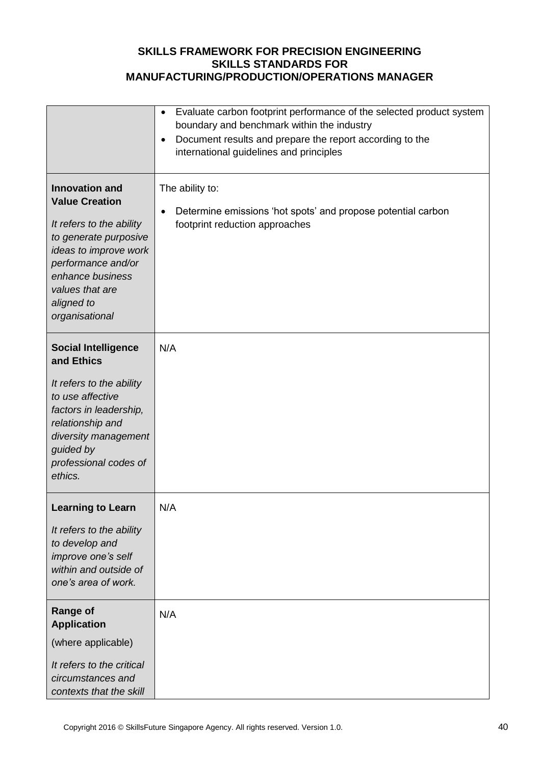|                                                                                                                                                                                                                           | Evaluate carbon footprint performance of the selected product system<br>$\bullet$<br>boundary and benchmark within the industry<br>Document results and prepare the report according to the<br>$\bullet$<br>international guidelines and principles |
|---------------------------------------------------------------------------------------------------------------------------------------------------------------------------------------------------------------------------|-----------------------------------------------------------------------------------------------------------------------------------------------------------------------------------------------------------------------------------------------------|
| <b>Innovation and</b><br><b>Value Creation</b><br>It refers to the ability<br>to generate purposive<br>ideas to improve work<br>performance and/or<br>enhance business<br>values that are<br>aligned to<br>organisational | The ability to:<br>Determine emissions 'hot spots' and propose potential carbon<br>$\bullet$<br>footprint reduction approaches                                                                                                                      |
| <b>Social Intelligence</b><br>and Ethics<br>It refers to the ability<br>to use affective<br>factors in leadership,<br>relationship and<br>diversity management<br>guided by<br>professional codes of<br>ethics.           | N/A                                                                                                                                                                                                                                                 |
| <b>Learning to Learn</b><br>It refers to the ability<br>to develop and<br>improve one's self<br>within and outside of<br>one's area of work.                                                                              | N/A                                                                                                                                                                                                                                                 |
| <b>Range of</b><br><b>Application</b><br>(where applicable)<br>It refers to the critical<br>circumstances and<br>contexts that the skill                                                                                  | N/A                                                                                                                                                                                                                                                 |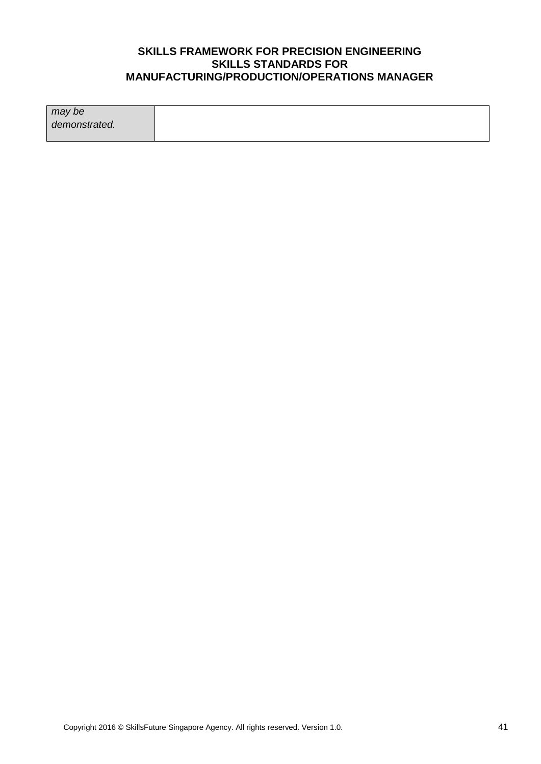| may be        |  |
|---------------|--|
| demonstrated. |  |
|               |  |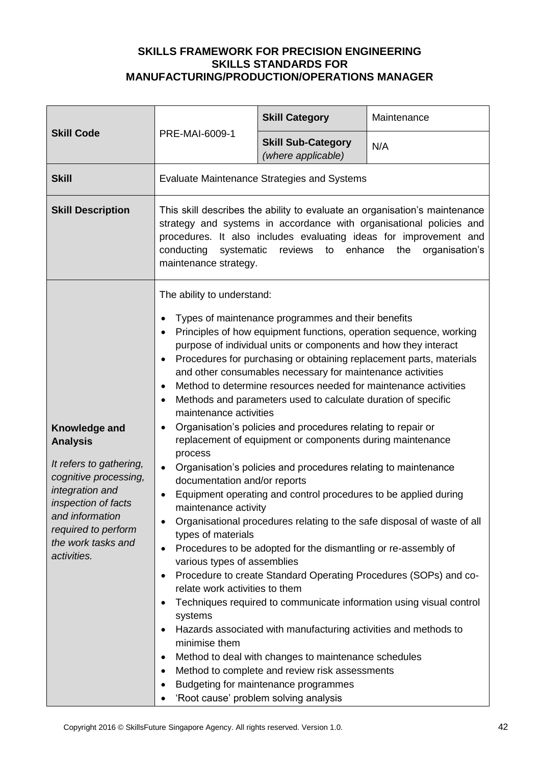| <b>Skill Code</b>                                                                                                                                                                                             | PRE-MAI-6009-1                                                                                                                                                                                                                                                                                                                                                                                                                                                                                                                                                                                                                                                                                                                                                                                                                                                                                                                                                                                                                                                                                                                                                                                                                                                                                                                                                                                                                                                                                                                                                                                                                                                     | <b>Skill Category</b>                              | Maintenance |  |
|---------------------------------------------------------------------------------------------------------------------------------------------------------------------------------------------------------------|--------------------------------------------------------------------------------------------------------------------------------------------------------------------------------------------------------------------------------------------------------------------------------------------------------------------------------------------------------------------------------------------------------------------------------------------------------------------------------------------------------------------------------------------------------------------------------------------------------------------------------------------------------------------------------------------------------------------------------------------------------------------------------------------------------------------------------------------------------------------------------------------------------------------------------------------------------------------------------------------------------------------------------------------------------------------------------------------------------------------------------------------------------------------------------------------------------------------------------------------------------------------------------------------------------------------------------------------------------------------------------------------------------------------------------------------------------------------------------------------------------------------------------------------------------------------------------------------------------------------------------------------------------------------|----------------------------------------------------|-------------|--|
|                                                                                                                                                                                                               |                                                                                                                                                                                                                                                                                                                                                                                                                                                                                                                                                                                                                                                                                                                                                                                                                                                                                                                                                                                                                                                                                                                                                                                                                                                                                                                                                                                                                                                                                                                                                                                                                                                                    | <b>Skill Sub-Category</b><br>(where applicable)    | N/A         |  |
| <b>Skill</b>                                                                                                                                                                                                  |                                                                                                                                                                                                                                                                                                                                                                                                                                                                                                                                                                                                                                                                                                                                                                                                                                                                                                                                                                                                                                                                                                                                                                                                                                                                                                                                                                                                                                                                                                                                                                                                                                                                    | <b>Evaluate Maintenance Strategies and Systems</b> |             |  |
| <b>Skill Description</b>                                                                                                                                                                                      | This skill describes the ability to evaluate an organisation's maintenance<br>strategy and systems in accordance with organisational policies and<br>procedures. It also includes evaluating ideas for improvement and<br>to enhance<br>conducting<br>systematic<br>reviews<br>the<br>organisation's<br>maintenance strategy.                                                                                                                                                                                                                                                                                                                                                                                                                                                                                                                                                                                                                                                                                                                                                                                                                                                                                                                                                                                                                                                                                                                                                                                                                                                                                                                                      |                                                    |             |  |
| Knowledge and<br><b>Analysis</b><br>It refers to gathering,<br>cognitive processing,<br>integration and<br>inspection of facts<br>and information<br>required to perform<br>the work tasks and<br>activities. | The ability to understand:<br>Types of maintenance programmes and their benefits<br>$\bullet$<br>Principles of how equipment functions, operation sequence, working<br>$\bullet$<br>purpose of individual units or components and how they interact<br>Procedures for purchasing or obtaining replacement parts, materials<br>$\bullet$<br>and other consumables necessary for maintenance activities<br>Method to determine resources needed for maintenance activities<br>$\bullet$<br>Methods and parameters used to calculate duration of specific<br>$\bullet$<br>maintenance activities<br>Organisation's policies and procedures relating to repair or<br>$\bullet$<br>replacement of equipment or components during maintenance<br>process<br>Organisation's policies and procedures relating to maintenance<br>$\bullet$<br>documentation and/or reports<br>Equipment operating and control procedures to be applied during<br>maintenance activity<br>Organisational procedures relating to the safe disposal of waste of all<br>types of materials<br>Procedures to be adopted for the dismantling or re-assembly of<br>$\bullet$<br>various types of assemblies<br>Procedure to create Standard Operating Procedures (SOPs) and co-<br>$\bullet$<br>relate work activities to them<br>Techniques required to communicate information using visual control<br>$\bullet$<br>systems<br>Hazards associated with manufacturing activities and methods to<br>٠<br>minimise them<br>Method to deal with changes to maintenance schedules<br>$\bullet$<br>Method to complete and review risk assessments<br>$\bullet$<br>Budgeting for maintenance programmes |                                                    |             |  |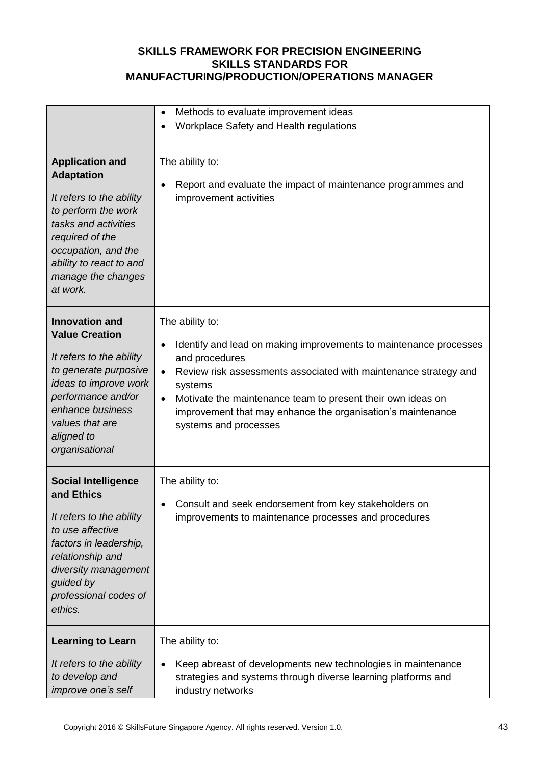|                                                                                                                                                                                                                               | Methods to evaluate improvement ideas<br>$\bullet$<br>Workplace Safety and Health regulations                                                                                                                                                                                                                                                                                       |
|-------------------------------------------------------------------------------------------------------------------------------------------------------------------------------------------------------------------------------|-------------------------------------------------------------------------------------------------------------------------------------------------------------------------------------------------------------------------------------------------------------------------------------------------------------------------------------------------------------------------------------|
| <b>Application and</b><br><b>Adaptation</b><br>It refers to the ability<br>to perform the work<br>tasks and activities<br>required of the<br>occupation, and the<br>ability to react to and<br>manage the changes<br>at work. | The ability to:<br>Report and evaluate the impact of maintenance programmes and<br>$\bullet$<br>improvement activities                                                                                                                                                                                                                                                              |
| <b>Innovation and</b><br><b>Value Creation</b><br>It refers to the ability<br>to generate purposive<br>ideas to improve work<br>performance and/or<br>enhance business<br>values that are<br>aligned to<br>organisational     | The ability to:<br>Identify and lead on making improvements to maintenance processes<br>$\bullet$<br>and procedures<br>Review risk assessments associated with maintenance strategy and<br>$\bullet$<br>systems<br>Motivate the maintenance team to present their own ideas on<br>$\bullet$<br>improvement that may enhance the organisation's maintenance<br>systems and processes |
| <b>Social Intelligence</b><br>and Ethics<br>It refers to the ability<br>to use affective<br>factors in leadership,<br>relationship and<br>diversity management<br>guided by<br>professional codes of<br>ethics.               | The ability to:<br>Consult and seek endorsement from key stakeholders on<br>improvements to maintenance processes and procedures                                                                                                                                                                                                                                                    |
| <b>Learning to Learn</b><br>It refers to the ability<br>to develop and<br>improve one's self                                                                                                                                  | The ability to:<br>Keep abreast of developments new technologies in maintenance<br>$\bullet$<br>strategies and systems through diverse learning platforms and<br>industry networks                                                                                                                                                                                                  |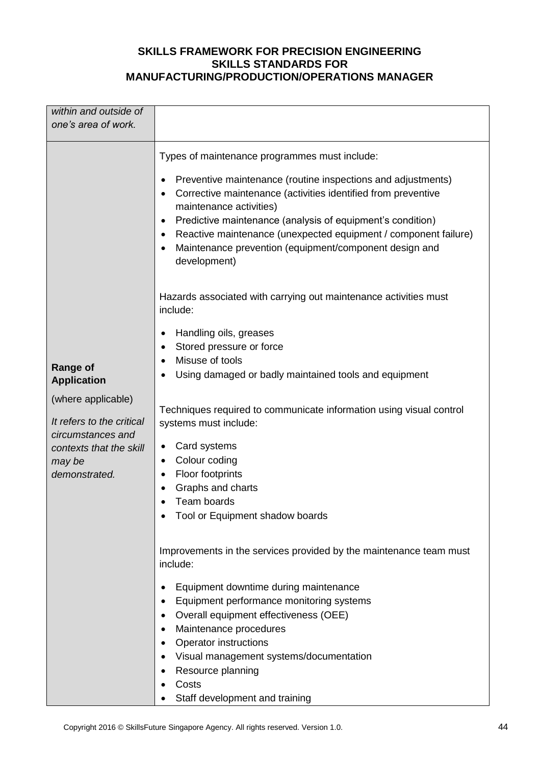| within and outside of                                                                                                                                               |                                                                                                                                                                                                                                                                                                                                                                                                                                |
|---------------------------------------------------------------------------------------------------------------------------------------------------------------------|--------------------------------------------------------------------------------------------------------------------------------------------------------------------------------------------------------------------------------------------------------------------------------------------------------------------------------------------------------------------------------------------------------------------------------|
| one's area of work.                                                                                                                                                 |                                                                                                                                                                                                                                                                                                                                                                                                                                |
|                                                                                                                                                                     |                                                                                                                                                                                                                                                                                                                                                                                                                                |
|                                                                                                                                                                     | Types of maintenance programmes must include:<br>Preventive maintenance (routine inspections and adjustments)<br>Corrective maintenance (activities identified from preventive<br>maintenance activities)<br>Predictive maintenance (analysis of equipment's condition)<br>٠<br>Reactive maintenance (unexpected equipment / component failure)<br>٠<br>Maintenance prevention (equipment/component design and<br>development) |
|                                                                                                                                                                     | Hazards associated with carrying out maintenance activities must<br>include:                                                                                                                                                                                                                                                                                                                                                   |
| <b>Range of</b><br><b>Application</b><br>(where applicable)<br>It refers to the critical<br>circumstances and<br>contexts that the skill<br>may be<br>demonstrated. | Handling oils, greases<br>٠<br>Stored pressure or force<br>Misuse of tools<br>$\bullet$<br>Using damaged or badly maintained tools and equipment<br>Techniques required to communicate information using visual control<br>systems must include:<br>Card systems<br>٠<br>Colour coding<br>٠<br>Floor footprints<br>Graphs and charts<br>Team boards<br>Tool or Equipment shadow boards                                         |
|                                                                                                                                                                     | Improvements in the services provided by the maintenance team must<br>include:<br>Equipment downtime during maintenance<br>Equipment performance monitoring systems<br>٠<br>Overall equipment effectiveness (OEE)<br>٠<br>Maintenance procedures<br>٠<br><b>Operator instructions</b><br>Visual management systems/documentation<br>Resource planning<br>Costs<br>Staff development and training                               |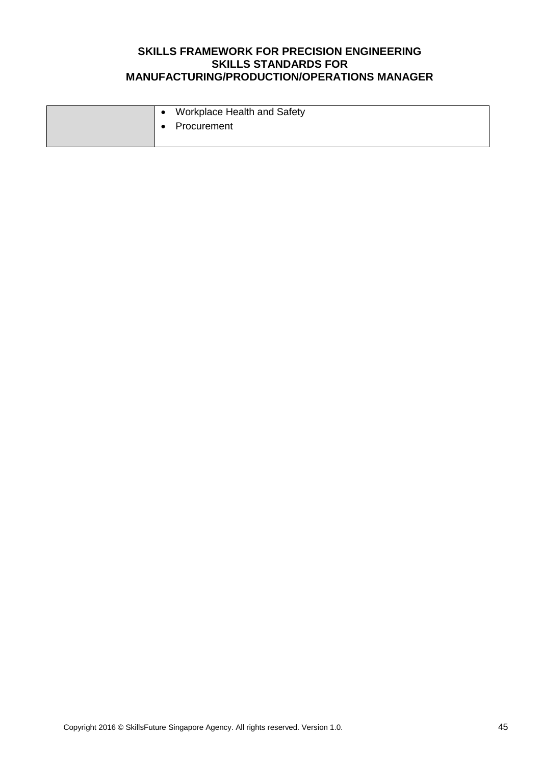|  | Workplace Health and Safety |
|--|-----------------------------|
|  | <b>↓●</b> Procurement       |
|  |                             |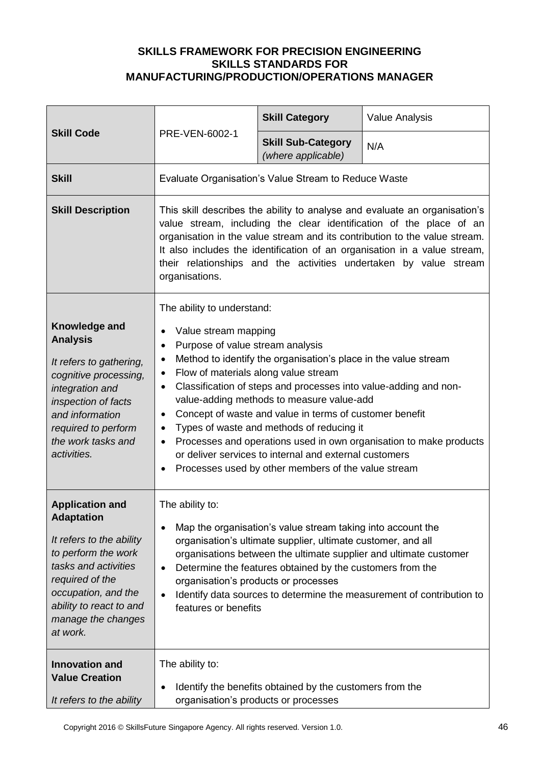| <b>Skill Code</b>                                                                                                                                                                                                             | PRE-VEN-6002-1                                                                                                                                                                                                                                                                                                                                                                                                                                                                                                                                                                                                                                                                                                    | <b>Skill Category</b>                                | <b>Value Analysis</b> |
|-------------------------------------------------------------------------------------------------------------------------------------------------------------------------------------------------------------------------------|-------------------------------------------------------------------------------------------------------------------------------------------------------------------------------------------------------------------------------------------------------------------------------------------------------------------------------------------------------------------------------------------------------------------------------------------------------------------------------------------------------------------------------------------------------------------------------------------------------------------------------------------------------------------------------------------------------------------|------------------------------------------------------|-----------------------|
|                                                                                                                                                                                                                               |                                                                                                                                                                                                                                                                                                                                                                                                                                                                                                                                                                                                                                                                                                                   | <b>Skill Sub-Category</b><br>(where applicable)      | N/A                   |
| <b>Skill</b>                                                                                                                                                                                                                  |                                                                                                                                                                                                                                                                                                                                                                                                                                                                                                                                                                                                                                                                                                                   | Evaluate Organisation's Value Stream to Reduce Waste |                       |
| <b>Skill Description</b>                                                                                                                                                                                                      | This skill describes the ability to analyse and evaluate an organisation's<br>value stream, including the clear identification of the place of an<br>organisation in the value stream and its contribution to the value stream.<br>It also includes the identification of an organisation in a value stream,<br>their relationships and the activities undertaken by value stream<br>organisations.                                                                                                                                                                                                                                                                                                               |                                                      |                       |
| Knowledge and<br><b>Analysis</b><br>It refers to gathering,<br>cognitive processing,<br>integration and<br>inspection of facts<br>and information<br>required to perform<br>the work tasks and<br>activities.                 | The ability to understand:<br>Value stream mapping<br>٠<br>Purpose of value stream analysis<br>$\bullet$<br>Method to identify the organisation's place in the value stream<br>$\bullet$<br>Flow of materials along value stream<br>$\bullet$<br>Classification of steps and processes into value-adding and non-<br>$\bullet$<br>value-adding methods to measure value-add<br>Concept of waste and value in terms of customer benefit<br>$\bullet$<br>Types of waste and methods of reducing it<br>$\bullet$<br>Processes and operations used in own organisation to make products<br>$\bullet$<br>or deliver services to internal and external customers<br>Processes used by other members of the value stream |                                                      |                       |
| <b>Application and</b><br><b>Adaptation</b><br>It refers to the ability<br>to perform the work<br>tasks and activities<br>required of the<br>occupation, and the<br>ability to react to and<br>manage the changes<br>at work. | The ability to:<br>Map the organisation's value stream taking into account the<br>$\bullet$<br>organisation's ultimate supplier, ultimate customer, and all<br>organisations between the ultimate supplier and ultimate customer<br>Determine the features obtained by the customers from the<br>$\bullet$<br>organisation's products or processes<br>Identify data sources to determine the measurement of contribution to<br>$\bullet$<br>features or benefits                                                                                                                                                                                                                                                  |                                                      |                       |
| <b>Innovation and</b><br><b>Value Creation</b><br>It refers to the ability                                                                                                                                                    | The ability to:<br>Identify the benefits obtained by the customers from the<br>$\bullet$<br>organisation's products or processes                                                                                                                                                                                                                                                                                                                                                                                                                                                                                                                                                                                  |                                                      |                       |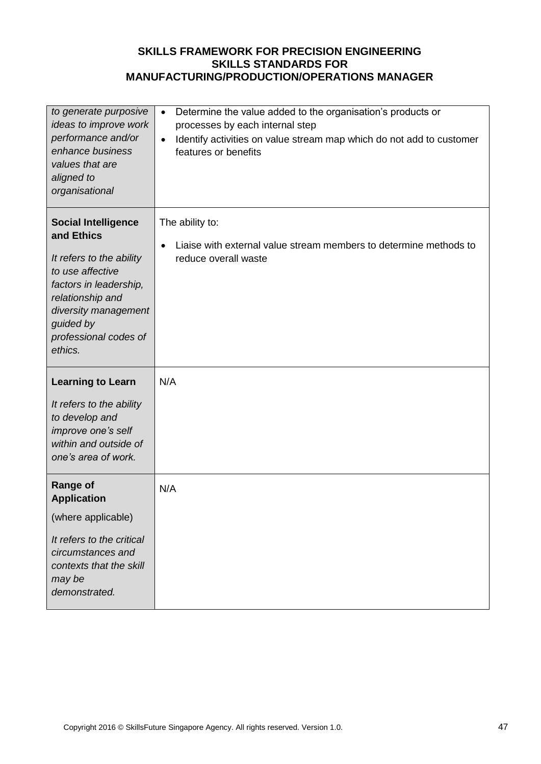| to generate purposive<br>ideas to improve work<br>performance and/or<br>enhance business<br>values that are<br>aligned to<br>organisational                                                                     | Determine the value added to the organisation's products or<br>$\bullet$<br>processes by each internal step<br>Identify activities on value stream map which do not add to customer<br>$\bullet$<br>features or benefits |
|-----------------------------------------------------------------------------------------------------------------------------------------------------------------------------------------------------------------|--------------------------------------------------------------------------------------------------------------------------------------------------------------------------------------------------------------------------|
| <b>Social Intelligence</b><br>and Ethics<br>It refers to the ability<br>to use affective<br>factors in leadership,<br>relationship and<br>diversity management<br>guided by<br>professional codes of<br>ethics. | The ability to:<br>Liaise with external value stream members to determine methods to<br>$\bullet$<br>reduce overall waste                                                                                                |
| <b>Learning to Learn</b><br>It refers to the ability<br>to develop and<br>improve one's self<br>within and outside of<br>one's area of work.                                                                    | N/A                                                                                                                                                                                                                      |
| <b>Range of</b><br><b>Application</b><br>(where applicable)<br>It refers to the critical<br>circumstances and<br>contexts that the skill<br>may be<br>demonstrated.                                             | N/A                                                                                                                                                                                                                      |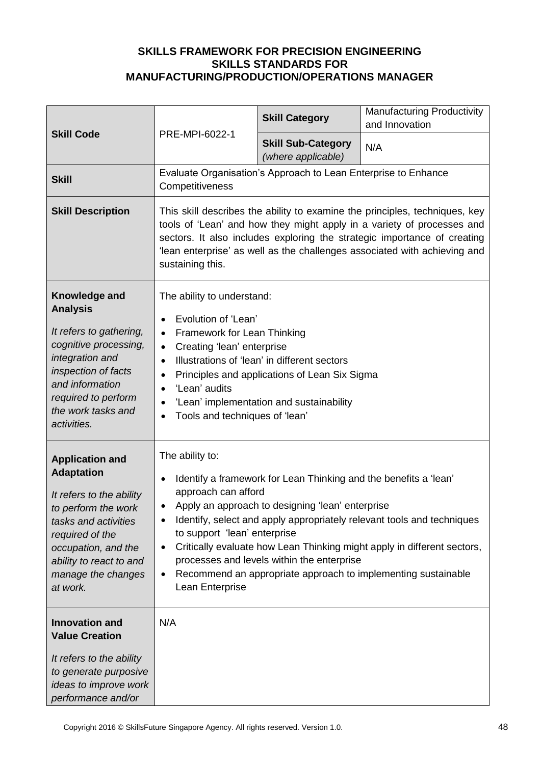| <b>Skill Code</b>                                                                                                                                                                                                             | PRE-MPI-6022-1                                                                                                                                                                                                                                                                                                                                                                                                                                                                                                                    | <b>Skill Category</b>                                          | <b>Manufacturing Productivity</b><br>and Innovation |
|-------------------------------------------------------------------------------------------------------------------------------------------------------------------------------------------------------------------------------|-----------------------------------------------------------------------------------------------------------------------------------------------------------------------------------------------------------------------------------------------------------------------------------------------------------------------------------------------------------------------------------------------------------------------------------------------------------------------------------------------------------------------------------|----------------------------------------------------------------|-----------------------------------------------------|
|                                                                                                                                                                                                                               |                                                                                                                                                                                                                                                                                                                                                                                                                                                                                                                                   | <b>Skill Sub-Category</b><br>(where applicable)                | N/A                                                 |
| <b>Skill</b>                                                                                                                                                                                                                  | Competitiveness                                                                                                                                                                                                                                                                                                                                                                                                                                                                                                                   | Evaluate Organisation's Approach to Lean Enterprise to Enhance |                                                     |
| <b>Skill Description</b>                                                                                                                                                                                                      | This skill describes the ability to examine the principles, techniques, key<br>tools of 'Lean' and how they might apply in a variety of processes and<br>sectors. It also includes exploring the strategic importance of creating<br>'lean enterprise' as well as the challenges associated with achieving and<br>sustaining this.                                                                                                                                                                                                |                                                                |                                                     |
| Knowledge and<br><b>Analysis</b><br>It refers to gathering,<br>cognitive processing,<br>integration and<br>inspection of facts<br>and information<br>required to perform<br>the work tasks and<br>activities.                 | The ability to understand:<br>Evolution of 'Lean'<br>$\bullet$<br>Framework for Lean Thinking<br>$\bullet$<br>Creating 'lean' enterprise<br>$\bullet$<br>Illustrations of 'lean' in different sectors<br>$\bullet$<br>Principles and applications of Lean Six Sigma<br>$\bullet$<br>'Lean' audits<br>$\bullet$<br>'Lean' implementation and sustainability<br>$\bullet$<br>Tools and techniques of 'lean'                                                                                                                         |                                                                |                                                     |
| <b>Application and</b><br><b>Adaptation</b><br>It refers to the ability<br>to perform the work<br>tasks and activities<br>required of the<br>occupation, and the<br>ability to react to and<br>manage the changes<br>at work. | The ability to:<br>Identify a framework for Lean Thinking and the benefits a 'lean'<br>$\bullet$<br>approach can afford<br>Apply an approach to designing 'lean' enterprise<br>Identify, select and apply appropriately relevant tools and techniques<br>٠<br>to support 'lean' enterprise<br>Critically evaluate how Lean Thinking might apply in different sectors,<br>$\bullet$<br>processes and levels within the enterprise<br>Recommend an appropriate approach to implementing sustainable<br>$\bullet$<br>Lean Enterprise |                                                                |                                                     |
| <b>Innovation and</b><br><b>Value Creation</b><br>It refers to the ability<br>to generate purposive<br>ideas to improve work<br>performance and/or                                                                            | N/A                                                                                                                                                                                                                                                                                                                                                                                                                                                                                                                               |                                                                |                                                     |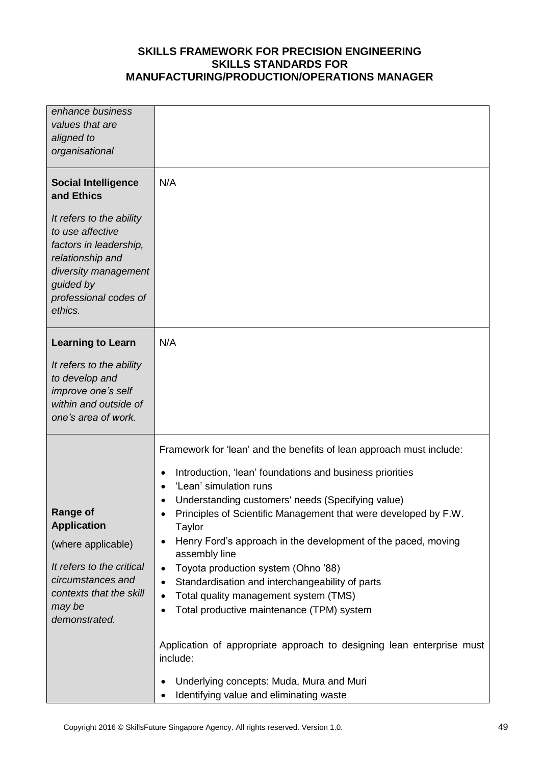| enhance business<br>values that are<br>aligned to<br>organisational                                                                                                                                             |                                                                                                                                                                                                                                                                                                                                                                                                                                                                                                                                                                                                                                                                                                                                                                                                                          |
|-----------------------------------------------------------------------------------------------------------------------------------------------------------------------------------------------------------------|--------------------------------------------------------------------------------------------------------------------------------------------------------------------------------------------------------------------------------------------------------------------------------------------------------------------------------------------------------------------------------------------------------------------------------------------------------------------------------------------------------------------------------------------------------------------------------------------------------------------------------------------------------------------------------------------------------------------------------------------------------------------------------------------------------------------------|
| <b>Social Intelligence</b><br>and Ethics<br>It refers to the ability<br>to use affective<br>factors in leadership,<br>relationship and<br>diversity management<br>guided by<br>professional codes of<br>ethics. | N/A                                                                                                                                                                                                                                                                                                                                                                                                                                                                                                                                                                                                                                                                                                                                                                                                                      |
| <b>Learning to Learn</b><br>It refers to the ability<br>to develop and<br>improve one's self<br>within and outside of<br>one's area of work.                                                                    | N/A                                                                                                                                                                                                                                                                                                                                                                                                                                                                                                                                                                                                                                                                                                                                                                                                                      |
| <b>Range of</b><br><b>Application</b><br>(where applicable)<br>It refers to the critical<br>circumstances and<br>contexts that the skill<br>may be<br>demonstrated.                                             | Framework for 'lean' and the benefits of lean approach must include:<br>Introduction, 'lean' foundations and business priorities<br>$\bullet$<br>'Lean' simulation runs<br>Understanding customers' needs (Specifying value)<br>Principles of Scientific Management that were developed by F.W.<br>Taylor<br>Henry Ford's approach in the development of the paced, moving<br>$\bullet$<br>assembly line<br>Toyota production system (Ohno '88)<br>$\bullet$<br>Standardisation and interchangeability of parts<br>$\bullet$<br>Total quality management system (TMS)<br>$\bullet$<br>Total productive maintenance (TPM) system<br>Application of appropriate approach to designing lean enterprise must<br>include:<br>Underlying concepts: Muda, Mura and Muri<br>$\bullet$<br>Identifying value and eliminating waste |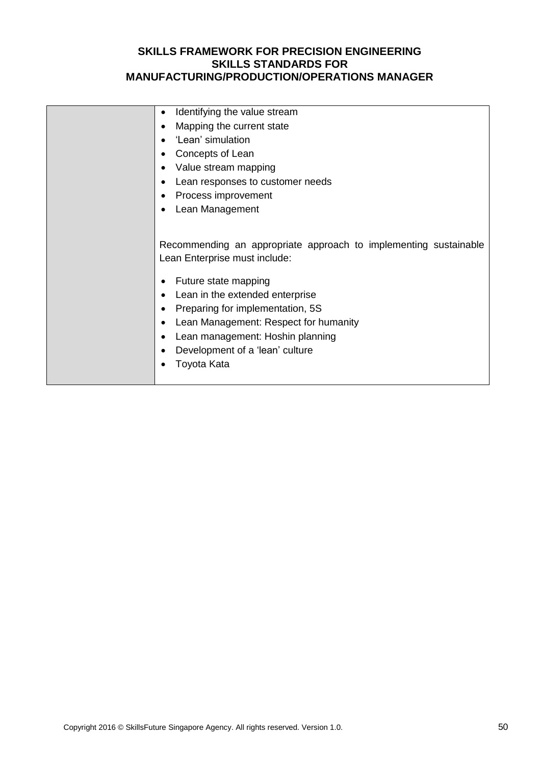| Identifying the value stream<br>٠                                                                                                                                                                                                                                                                                                                                        |
|--------------------------------------------------------------------------------------------------------------------------------------------------------------------------------------------------------------------------------------------------------------------------------------------------------------------------------------------------------------------------|
| Mapping the current state<br>٠                                                                                                                                                                                                                                                                                                                                           |
| 'Lean' simulation<br>$\bullet$                                                                                                                                                                                                                                                                                                                                           |
| Concepts of Lean<br>٠                                                                                                                                                                                                                                                                                                                                                    |
| Value stream mapping<br>٠                                                                                                                                                                                                                                                                                                                                                |
| Lean responses to customer needs                                                                                                                                                                                                                                                                                                                                         |
| Process improvement<br>٠                                                                                                                                                                                                                                                                                                                                                 |
| Lean Management<br>٠                                                                                                                                                                                                                                                                                                                                                     |
|                                                                                                                                                                                                                                                                                                                                                                          |
| Recommending an appropriate approach to implementing sustainable<br>Lean Enterprise must include:<br>Future state mapping<br>Lean in the extended enterprise<br>٠<br>Preparing for implementation, 5S<br>٠<br>Lean Management: Respect for humanity<br>$\bullet$<br>Lean management: Hoshin planning<br>$\bullet$<br>Development of a 'lean' culture<br>٠<br>Toyota Kata |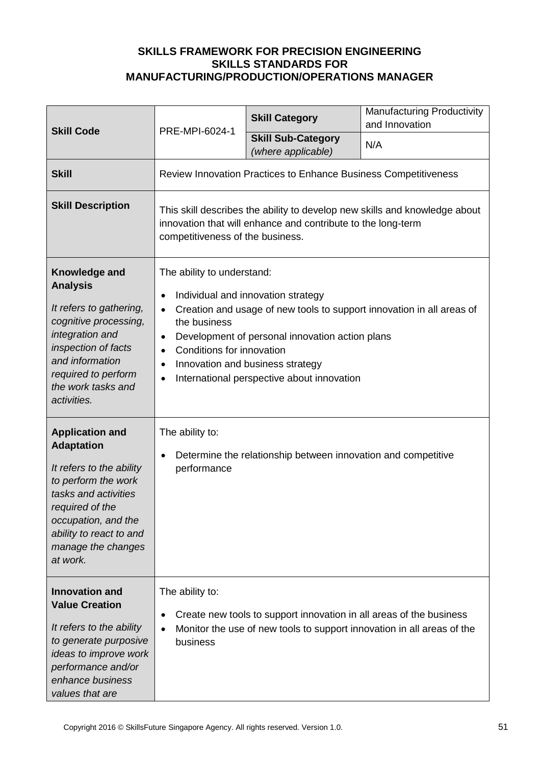|                                                                                                                                                                                                                               | PRE-MPI-6024-1                                                                                                                                                                                                                                                                                                                                                                                            | <b>Skill Category</b>                                                  | <b>Manufacturing Productivity</b><br>and Innovation                    |
|-------------------------------------------------------------------------------------------------------------------------------------------------------------------------------------------------------------------------------|-----------------------------------------------------------------------------------------------------------------------------------------------------------------------------------------------------------------------------------------------------------------------------------------------------------------------------------------------------------------------------------------------------------|------------------------------------------------------------------------|------------------------------------------------------------------------|
| <b>Skill Code</b>                                                                                                                                                                                                             |                                                                                                                                                                                                                                                                                                                                                                                                           | <b>Skill Sub-Category</b><br>(where applicable)                        | N/A                                                                    |
| <b>Skill</b>                                                                                                                                                                                                                  |                                                                                                                                                                                                                                                                                                                                                                                                           | <b>Review Innovation Practices to Enhance Business Competitiveness</b> |                                                                        |
| <b>Skill Description</b>                                                                                                                                                                                                      | This skill describes the ability to develop new skills and knowledge about<br>innovation that will enhance and contribute to the long-term<br>competitiveness of the business.                                                                                                                                                                                                                            |                                                                        |                                                                        |
| Knowledge and<br><b>Analysis</b><br>It refers to gathering,<br>cognitive processing,<br>integration and<br>inspection of facts<br>and information<br>required to perform<br>the work tasks and<br>activities.                 | The ability to understand:<br>Individual and innovation strategy<br>$\bullet$<br>Creation and usage of new tools to support innovation in all areas of<br>$\bullet$<br>the business<br>Development of personal innovation action plans<br>$\bullet$<br>Conditions for innovation<br>$\bullet$<br>Innovation and business strategy<br>$\bullet$<br>International perspective about innovation<br>$\bullet$ |                                                                        |                                                                        |
| <b>Application and</b><br><b>Adaptation</b><br>It refers to the ability<br>to perform the work<br>tasks and activities<br>required of the<br>occupation, and the<br>ability to react to and<br>manage the changes<br>at work. | The ability to:<br>Determine the relationship between innovation and competitive<br>$\bullet$<br>performance                                                                                                                                                                                                                                                                                              |                                                                        |                                                                        |
| <b>Innovation and</b><br><b>Value Creation</b><br>It refers to the ability<br>to generate purposive<br>ideas to improve work<br>performance and/or<br>enhance business<br>values that are                                     | The ability to:<br>$\bullet$<br>business                                                                                                                                                                                                                                                                                                                                                                  | Create new tools to support innovation in all areas of the business    | Monitor the use of new tools to support innovation in all areas of the |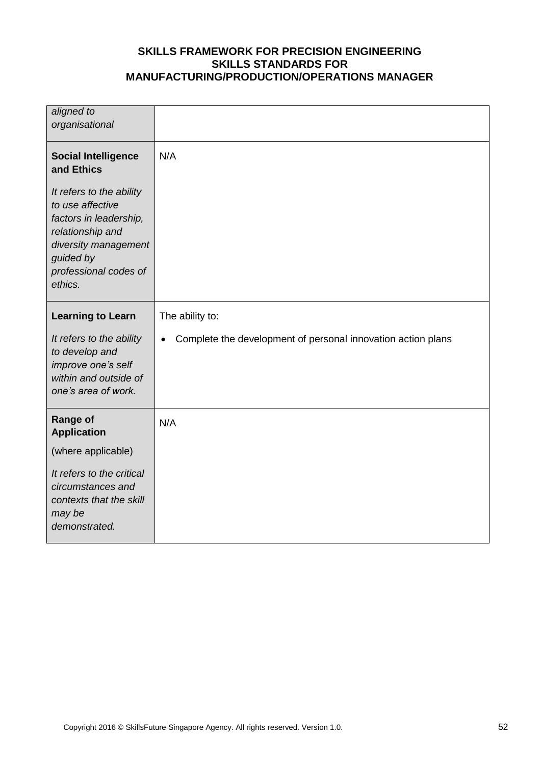| aligned to<br>organisational                                                                                                                                        |                                                              |
|---------------------------------------------------------------------------------------------------------------------------------------------------------------------|--------------------------------------------------------------|
| <b>Social Intelligence</b><br>and Ethics                                                                                                                            | N/A                                                          |
| It refers to the ability<br>to use affective<br>factors in leadership,<br>relationship and<br>diversity management<br>guided by<br>professional codes of<br>ethics. |                                                              |
| <b>Learning to Learn</b>                                                                                                                                            | The ability to:                                              |
| It refers to the ability<br>to develop and<br>improve one's self<br>within and outside of<br>one's area of work.                                                    | Complete the development of personal innovation action plans |
| <b>Range of</b><br><b>Application</b>                                                                                                                               | N/A                                                          |
| (where applicable)                                                                                                                                                  |                                                              |
| It refers to the critical<br>circumstances and<br>contexts that the skill<br>may be<br>demonstrated.                                                                |                                                              |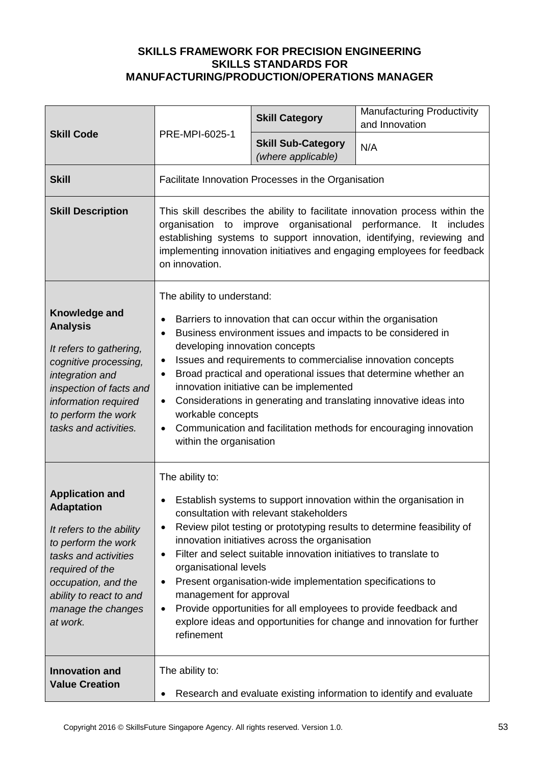|                                                                                                                                                                                                                               |                                                                                                                                                                                                                                                                                                                                                                                                                                                                                                                                                                                                                                               | <b>Skill Category</b>                               | <b>Manufacturing Productivity</b><br>and Innovation                 |
|-------------------------------------------------------------------------------------------------------------------------------------------------------------------------------------------------------------------------------|-----------------------------------------------------------------------------------------------------------------------------------------------------------------------------------------------------------------------------------------------------------------------------------------------------------------------------------------------------------------------------------------------------------------------------------------------------------------------------------------------------------------------------------------------------------------------------------------------------------------------------------------------|-----------------------------------------------------|---------------------------------------------------------------------|
| <b>Skill Code</b>                                                                                                                                                                                                             | PRE-MPI-6025-1                                                                                                                                                                                                                                                                                                                                                                                                                                                                                                                                                                                                                                | <b>Skill Sub-Category</b><br>(where applicable)     | N/A                                                                 |
| <b>Skill</b>                                                                                                                                                                                                                  |                                                                                                                                                                                                                                                                                                                                                                                                                                                                                                                                                                                                                                               | Facilitate Innovation Processes in the Organisation |                                                                     |
| <b>Skill Description</b>                                                                                                                                                                                                      | This skill describes the ability to facilitate innovation process within the<br>improve organisational<br>performance.<br>organisation<br>$\mathsf{It}$<br>includes<br>to<br>establishing systems to support innovation, identifying, reviewing and<br>implementing innovation initiatives and engaging employees for feedback<br>on innovation.                                                                                                                                                                                                                                                                                              |                                                     |                                                                     |
| Knowledge and<br><b>Analysis</b><br>It refers to gathering,<br>cognitive processing,<br>integration and<br>inspection of facts and<br>information required<br>to perform the work<br>tasks and activities.                    | The ability to understand:<br>Barriers to innovation that can occur within the organisation<br>Business environment issues and impacts to be considered in<br>developing innovation concepts<br>Issues and requirements to commercialise innovation concepts<br>$\bullet$<br>Broad practical and operational issues that determine whether an<br>$\bullet$<br>innovation initiative can be implemented<br>Considerations in generating and translating innovative ideas into<br>$\bullet$<br>workable concepts<br>Communication and facilitation methods for encouraging innovation<br>$\bullet$<br>within the organisation                   |                                                     |                                                                     |
| <b>Application and</b><br><b>Adaptation</b><br>It refers to the ability<br>to perform the work<br>tasks and activities<br>required of the<br>occupation, and the<br>ability to react to and<br>manage the changes<br>at work. | The ability to:<br>Establish systems to support innovation within the organisation in<br>consultation with relevant stakeholders<br>Review pilot testing or prototyping results to determine feasibility of<br>$\bullet$<br>innovation initiatives across the organisation<br>Filter and select suitable innovation initiatives to translate to<br>organisational levels<br>Present organisation-wide implementation specifications to<br>٠<br>management for approval<br>Provide opportunities for all employees to provide feedback and<br>$\bullet$<br>explore ideas and opportunities for change and innovation for further<br>refinement |                                                     |                                                                     |
| <b>Innovation and</b><br><b>Value Creation</b>                                                                                                                                                                                | The ability to:                                                                                                                                                                                                                                                                                                                                                                                                                                                                                                                                                                                                                               |                                                     | Research and evaluate existing information to identify and evaluate |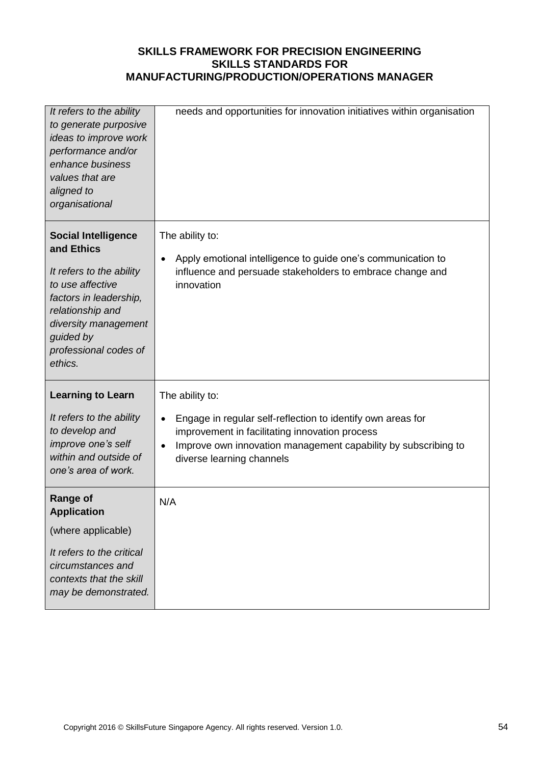| It refers to the ability<br>to generate purposive<br>ideas to improve work<br>performance and/or<br>enhance business<br>values that are<br>aligned to<br>organisational                                         | needs and opportunities for innovation initiatives within organisation                                                                                                                                                                       |
|-----------------------------------------------------------------------------------------------------------------------------------------------------------------------------------------------------------------|----------------------------------------------------------------------------------------------------------------------------------------------------------------------------------------------------------------------------------------------|
| <b>Social Intelligence</b><br>and Ethics<br>It refers to the ability<br>to use affective<br>factors in leadership,<br>relationship and<br>diversity management<br>guided by<br>professional codes of<br>ethics. | The ability to:<br>Apply emotional intelligence to guide one's communication to<br>$\bullet$<br>influence and persuade stakeholders to embrace change and<br>innovation                                                                      |
| <b>Learning to Learn</b><br>It refers to the ability<br>to develop and<br>improve one's self<br>within and outside of<br>one's area of work.                                                                    | The ability to:<br>Engage in regular self-reflection to identify own areas for<br>$\bullet$<br>improvement in facilitating innovation process<br>Improve own innovation management capability by subscribing to<br>diverse learning channels |
| <b>Range of</b><br><b>Application</b><br>(where applicable)<br>It refers to the critical<br>circumstances and<br>contexts that the skill<br>may be demonstrated.                                                | N/A                                                                                                                                                                                                                                          |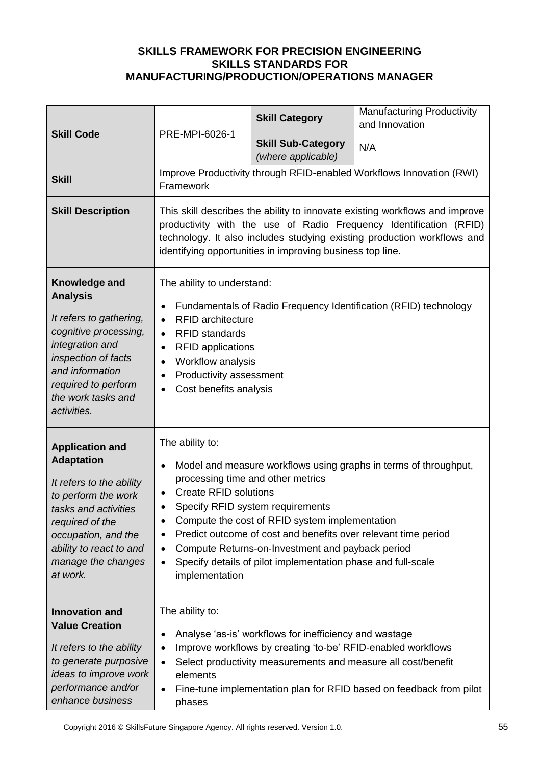|                                                                                                                                                                                                                               | PRE-MPI-6026-1                                                                                                                                                                                                                                                                                                                                                                                                                                                                                                       | <b>Skill Category</b>                                                                                                                                                                   | <b>Manufacturing Productivity</b><br>and Innovation                  |
|-------------------------------------------------------------------------------------------------------------------------------------------------------------------------------------------------------------------------------|----------------------------------------------------------------------------------------------------------------------------------------------------------------------------------------------------------------------------------------------------------------------------------------------------------------------------------------------------------------------------------------------------------------------------------------------------------------------------------------------------------------------|-----------------------------------------------------------------------------------------------------------------------------------------------------------------------------------------|----------------------------------------------------------------------|
| <b>Skill Code</b>                                                                                                                                                                                                             |                                                                                                                                                                                                                                                                                                                                                                                                                                                                                                                      | <b>Skill Sub-Category</b><br>(where applicable)                                                                                                                                         | N/A                                                                  |
| <b>Skill</b>                                                                                                                                                                                                                  | Framework                                                                                                                                                                                                                                                                                                                                                                                                                                                                                                            |                                                                                                                                                                                         | Improve Productivity through RFID-enabled Workflows Innovation (RWI) |
| <b>Skill Description</b>                                                                                                                                                                                                      | This skill describes the ability to innovate existing workflows and improve<br>productivity with the use of Radio Frequency Identification (RFID)<br>technology. It also includes studying existing production workflows and<br>identifying opportunities in improving business top line.                                                                                                                                                                                                                            |                                                                                                                                                                                         |                                                                      |
| Knowledge and<br><b>Analysis</b><br>It refers to gathering,<br>cognitive processing,<br>integration and<br>inspection of facts<br>and information<br>required to perform<br>the work tasks and<br>activities.                 | The ability to understand:<br>Fundamentals of Radio Frequency Identification (RFID) technology<br>$\bullet$<br><b>RFID</b> architecture<br>$\bullet$<br><b>RFID standards</b><br>$\bullet$<br><b>RFID applications</b><br>$\bullet$<br>Workflow analysis<br>$\bullet$<br>Productivity assessment<br>$\bullet$<br>Cost benefits analysis<br>$\bullet$                                                                                                                                                                 |                                                                                                                                                                                         |                                                                      |
| <b>Application and</b><br><b>Adaptation</b><br>It refers to the ability<br>to perform the work<br>tasks and activities<br>required of the<br>occupation, and the<br>ability to react to and<br>manage the changes<br>at work. | The ability to:<br>Model and measure workflows using graphs in terms of throughput,<br>$\bullet$<br>processing time and other metrics<br><b>Create RFID solutions</b><br>$\bullet$<br>Specify RFID system requirements<br>Compute the cost of RFID system implementation<br>٠<br>Predict outcome of cost and benefits over relevant time period<br>$\bullet$<br>Compute Returns-on-Investment and payback period<br>٠<br>Specify details of pilot implementation phase and full-scale<br>$\bullet$<br>implementation |                                                                                                                                                                                         |                                                                      |
| <b>Innovation and</b><br><b>Value Creation</b><br>It refers to the ability<br>to generate purposive<br>ideas to improve work<br>performance and/or<br>enhance business                                                        | The ability to:<br>٠<br>$\bullet$<br>$\bullet$<br>elements<br>$\bullet$<br>phases                                                                                                                                                                                                                                                                                                                                                                                                                                    | Analyse 'as-is' workflows for inefficiency and wastage<br>Improve workflows by creating 'to-be' RFID-enabled workflows<br>Select productivity measurements and measure all cost/benefit | Fine-tune implementation plan for RFID based on feedback from pilot  |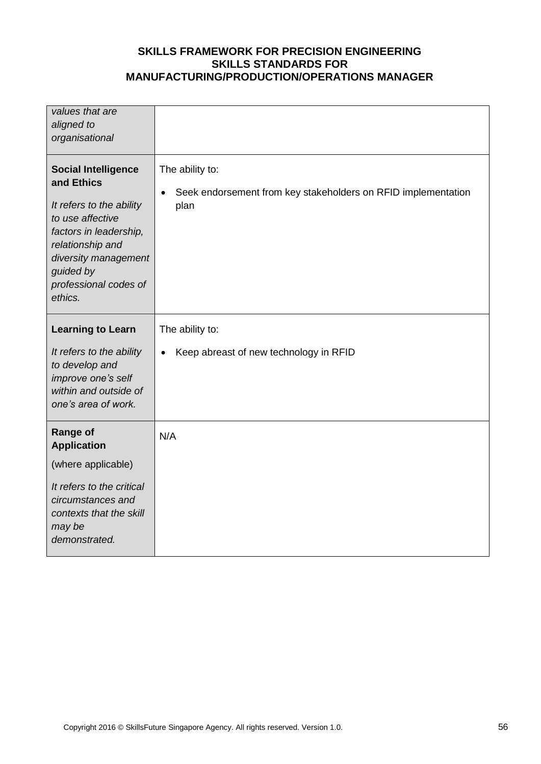| values that are<br>aligned to<br>organisational                                                                                                                                                                 |                                                                                          |
|-----------------------------------------------------------------------------------------------------------------------------------------------------------------------------------------------------------------|------------------------------------------------------------------------------------------|
| <b>Social Intelligence</b><br>and Ethics<br>It refers to the ability<br>to use affective<br>factors in leadership,<br>relationship and<br>diversity management<br>guided by<br>professional codes of<br>ethics. | The ability to:<br>Seek endorsement from key stakeholders on RFID implementation<br>plan |
| <b>Learning to Learn</b><br>It refers to the ability<br>to develop and<br>improve one's self<br>within and outside of<br>one's area of work.                                                                    | The ability to:<br>Keep abreast of new technology in RFID<br>$\bullet$                   |
| <b>Range of</b><br><b>Application</b><br>(where applicable)<br>It refers to the critical<br>circumstances and<br>contexts that the skill<br>may be<br>demonstrated.                                             | N/A                                                                                      |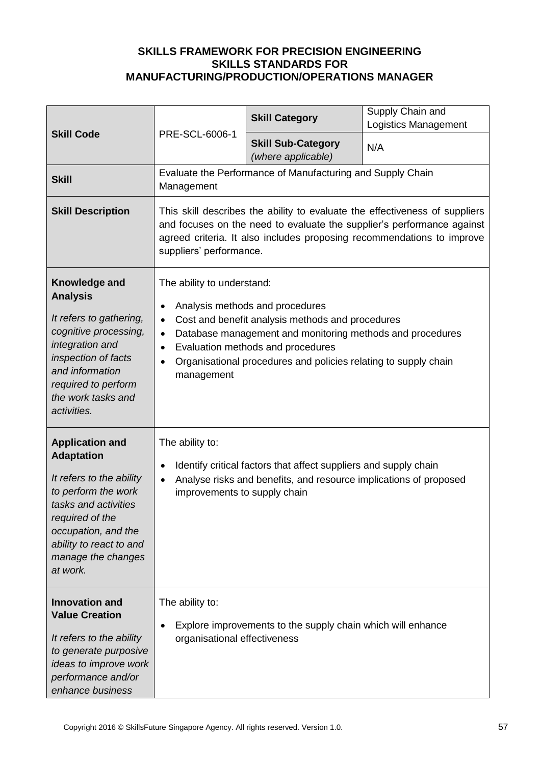|                                                                                                                                                                                                                               | PRE-SCL-6006-1                                                                                                                                                                                                                                                                                                                                                        | <b>Skill Category</b>                                       | Supply Chain and<br><b>Logistics Management</b> |
|-------------------------------------------------------------------------------------------------------------------------------------------------------------------------------------------------------------------------------|-----------------------------------------------------------------------------------------------------------------------------------------------------------------------------------------------------------------------------------------------------------------------------------------------------------------------------------------------------------------------|-------------------------------------------------------------|-------------------------------------------------|
| <b>Skill Code</b>                                                                                                                                                                                                             |                                                                                                                                                                                                                                                                                                                                                                       | <b>Skill Sub-Category</b><br>(where applicable)             | N/A                                             |
| <b>Skill</b>                                                                                                                                                                                                                  | Management                                                                                                                                                                                                                                                                                                                                                            | Evaluate the Performance of Manufacturing and Supply Chain  |                                                 |
| <b>Skill Description</b>                                                                                                                                                                                                      | This skill describes the ability to evaluate the effectiveness of suppliers<br>and focuses on the need to evaluate the supplier's performance against<br>agreed criteria. It also includes proposing recommendations to improve<br>suppliers' performance.                                                                                                            |                                                             |                                                 |
| Knowledge and<br><b>Analysis</b><br>It refers to gathering,<br>cognitive processing,<br>integration and<br>inspection of facts<br>and information<br>required to perform<br>the work tasks and<br>activities.                 | The ability to understand:<br>Analysis methods and procedures<br>$\bullet$<br>Cost and benefit analysis methods and procedures<br>$\bullet$<br>Database management and monitoring methods and procedures<br>$\bullet$<br>Evaluation methods and procedures<br>$\bullet$<br>Organisational procedures and policies relating to supply chain<br>$\bullet$<br>management |                                                             |                                                 |
| <b>Application and</b><br><b>Adaptation</b><br>It refers to the ability<br>to perform the work<br>tasks and activities<br>required of the<br>occupation, and the<br>ability to react to and<br>manage the changes<br>at work. | The ability to:<br>Identify critical factors that affect suppliers and supply chain<br>$\bullet$<br>Analyse risks and benefits, and resource implications of proposed<br>$\bullet$<br>improvements to supply chain                                                                                                                                                    |                                                             |                                                 |
| <b>Innovation and</b><br><b>Value Creation</b><br>It refers to the ability<br>to generate purposive<br>ideas to improve work<br>performance and/or<br>enhance business                                                        | The ability to:<br>organisational effectiveness                                                                                                                                                                                                                                                                                                                       | Explore improvements to the supply chain which will enhance |                                                 |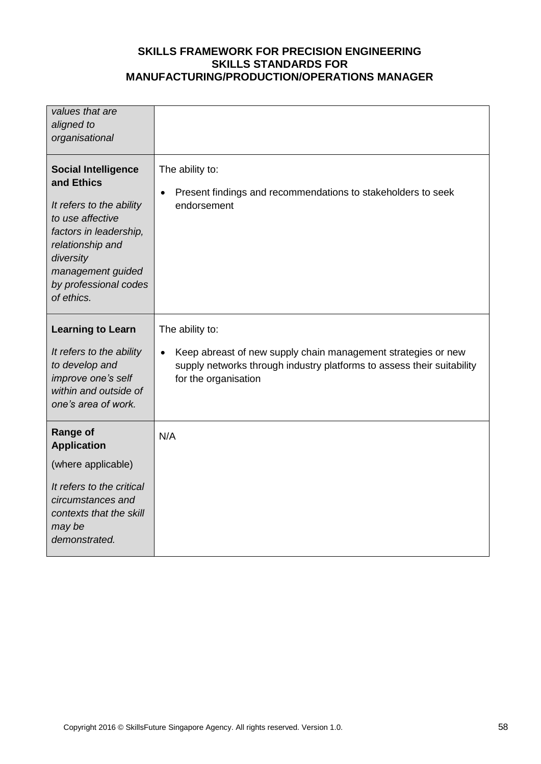| values that are<br>aligned to<br>organisational                                                                                                                                                                 |                                                                                                                                                                                                 |
|-----------------------------------------------------------------------------------------------------------------------------------------------------------------------------------------------------------------|-------------------------------------------------------------------------------------------------------------------------------------------------------------------------------------------------|
| <b>Social Intelligence</b><br>and Ethics<br>It refers to the ability<br>to use affective<br>factors in leadership,<br>relationship and<br>diversity<br>management guided<br>by professional codes<br>of ethics. | The ability to:<br>Present findings and recommendations to stakeholders to seek<br>$\bullet$<br>endorsement                                                                                     |
| <b>Learning to Learn</b><br>It refers to the ability<br>to develop and<br>improve one's self<br>within and outside of<br>one's area of work.                                                                    | The ability to:<br>Keep abreast of new supply chain management strategies or new<br>$\bullet$<br>supply networks through industry platforms to assess their suitability<br>for the organisation |
| <b>Range of</b><br><b>Application</b><br>(where applicable)<br>It refers to the critical<br>circumstances and<br>contexts that the skill<br>may be<br>demonstrated.                                             | N/A                                                                                                                                                                                             |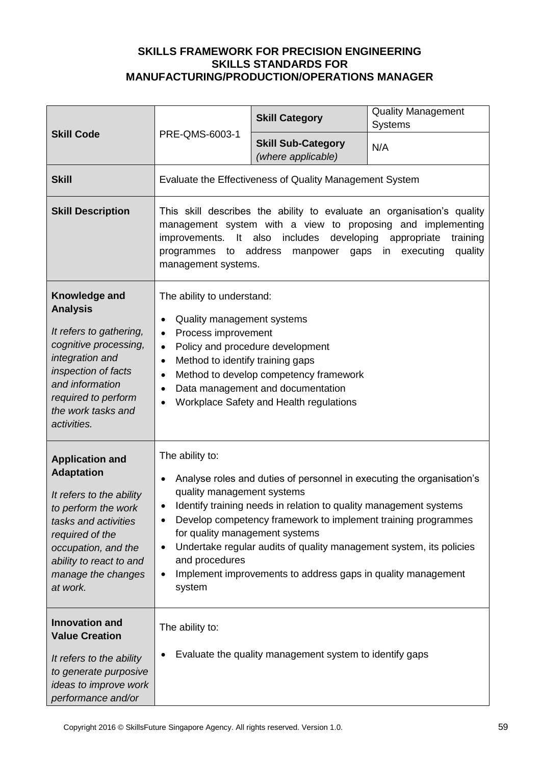|                                                                                                                                                                                                                               | PRE-QMS-6003-1                                                                                                                                                                                                                                                                                                                                                                                                                                                                                   | <b>Skill Category</b>                                                                                                                                      | <b>Quality Management</b><br><b>Systems</b> |
|-------------------------------------------------------------------------------------------------------------------------------------------------------------------------------------------------------------------------------|--------------------------------------------------------------------------------------------------------------------------------------------------------------------------------------------------------------------------------------------------------------------------------------------------------------------------------------------------------------------------------------------------------------------------------------------------------------------------------------------------|------------------------------------------------------------------------------------------------------------------------------------------------------------|---------------------------------------------|
| <b>Skill Code</b>                                                                                                                                                                                                             |                                                                                                                                                                                                                                                                                                                                                                                                                                                                                                  | <b>Skill Sub-Category</b><br>(where applicable)                                                                                                            | N/A                                         |
| <b>Skill</b>                                                                                                                                                                                                                  |                                                                                                                                                                                                                                                                                                                                                                                                                                                                                                  | Evaluate the Effectiveness of Quality Management System                                                                                                    |                                             |
| <b>Skill Description</b>                                                                                                                                                                                                      | This skill describes the ability to evaluate an organisation's quality<br>management system with a view to proposing and implementing<br>improvements. It also includes<br>developing<br>appropriate<br>training<br>programmes to address<br>manpower gaps in<br>executing<br>quality<br>management systems.                                                                                                                                                                                     |                                                                                                                                                            |                                             |
| Knowledge and<br><b>Analysis</b><br>It refers to gathering,<br>cognitive processing,<br>integration and<br>inspection of facts<br>and information<br>required to perform<br>the work tasks and<br>activities.                 | The ability to understand:<br>Quality management systems<br>$\bullet$<br>Process improvement<br>$\bullet$<br>$\bullet$<br>Method to identify training gaps<br>$\bullet$<br>$\bullet$<br>$\bullet$                                                                                                                                                                                                                                                                                                | Policy and procedure development<br>Method to develop competency framework<br>Data management and documentation<br>Workplace Safety and Health regulations |                                             |
| <b>Application and</b><br><b>Adaptation</b><br>It refers to the ability<br>to perform the work<br>tasks and activities<br>required of the<br>occupation, and the<br>ability to react to and<br>manage the changes<br>at work. | The ability to:<br>Analyse roles and duties of personnel in executing the organisation's<br>$\bullet$<br>quality management systems<br>Identify training needs in relation to quality management systems<br>Develop competency framework to implement training programmes<br>٠<br>for quality management systems<br>Undertake regular audits of quality management system, its policies<br>$\bullet$<br>and procedures<br>Implement improvements to address gaps in quality management<br>system |                                                                                                                                                            |                                             |
| <b>Innovation and</b><br><b>Value Creation</b><br>It refers to the ability<br>to generate purposive<br>ideas to improve work<br>performance and/or                                                                            | The ability to:                                                                                                                                                                                                                                                                                                                                                                                                                                                                                  | Evaluate the quality management system to identify gaps                                                                                                    |                                             |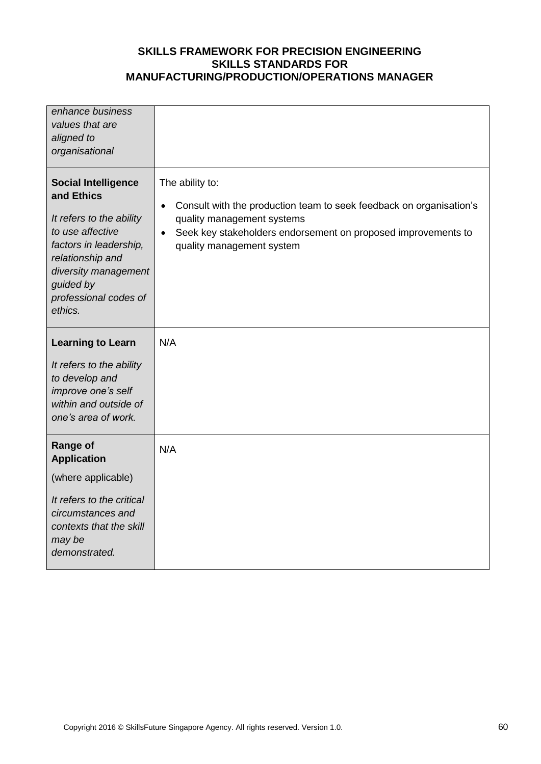| enhance business<br>values that are<br>aligned to<br>organisational                                                                                                                                             |                                                                                                                                                                                                                                 |
|-----------------------------------------------------------------------------------------------------------------------------------------------------------------------------------------------------------------|---------------------------------------------------------------------------------------------------------------------------------------------------------------------------------------------------------------------------------|
| <b>Social Intelligence</b><br>and Ethics<br>It refers to the ability<br>to use affective<br>factors in leadership,<br>relationship and<br>diversity management<br>guided by<br>professional codes of<br>ethics. | The ability to:<br>Consult with the production team to seek feedback on organisation's<br>$\bullet$<br>quality management systems<br>Seek key stakeholders endorsement on proposed improvements to<br>quality management system |
| <b>Learning to Learn</b>                                                                                                                                                                                        | N/A                                                                                                                                                                                                                             |
| It refers to the ability<br>to develop and<br>improve one's self<br>within and outside of<br>one's area of work.                                                                                                |                                                                                                                                                                                                                                 |
| <b>Range of</b><br><b>Application</b>                                                                                                                                                                           | N/A                                                                                                                                                                                                                             |
| (where applicable)                                                                                                                                                                                              |                                                                                                                                                                                                                                 |
| It refers to the critical<br>circumstances and<br>contexts that the skill<br>may be<br>demonstrated.                                                                                                            |                                                                                                                                                                                                                                 |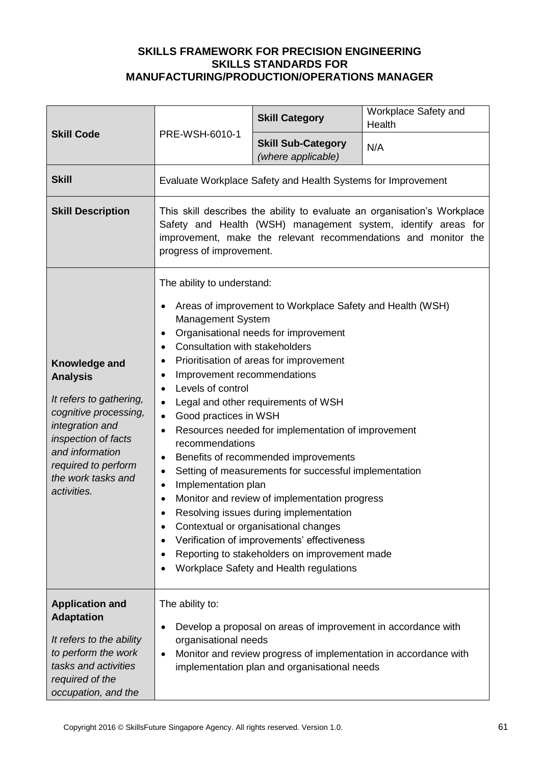| <b>Skill Code</b>                                                                                                                                                                                             | PRE-WSH-6010-1                                                                                                                                                                                                                                                                                                                                                                                                                                                                                                                                                                                                                                                                                                                                                                                                                                                                                                                                                                                              | <b>Skill Category</b>                                                                                                                                                             | Workplace Safety and<br>Health |
|---------------------------------------------------------------------------------------------------------------------------------------------------------------------------------------------------------------|-------------------------------------------------------------------------------------------------------------------------------------------------------------------------------------------------------------------------------------------------------------------------------------------------------------------------------------------------------------------------------------------------------------------------------------------------------------------------------------------------------------------------------------------------------------------------------------------------------------------------------------------------------------------------------------------------------------------------------------------------------------------------------------------------------------------------------------------------------------------------------------------------------------------------------------------------------------------------------------------------------------|-----------------------------------------------------------------------------------------------------------------------------------------------------------------------------------|--------------------------------|
|                                                                                                                                                                                                               |                                                                                                                                                                                                                                                                                                                                                                                                                                                                                                                                                                                                                                                                                                                                                                                                                                                                                                                                                                                                             | <b>Skill Sub-Category</b><br>(where applicable)                                                                                                                                   | N/A                            |
| <b>Skill</b>                                                                                                                                                                                                  |                                                                                                                                                                                                                                                                                                                                                                                                                                                                                                                                                                                                                                                                                                                                                                                                                                                                                                                                                                                                             | Evaluate Workplace Safety and Health Systems for Improvement                                                                                                                      |                                |
| <b>Skill Description</b>                                                                                                                                                                                      | This skill describes the ability to evaluate an organisation's Workplace<br>Safety and Health (WSH) management system, identify areas for<br>improvement, make the relevant recommendations and monitor the<br>progress of improvement.                                                                                                                                                                                                                                                                                                                                                                                                                                                                                                                                                                                                                                                                                                                                                                     |                                                                                                                                                                                   |                                |
| Knowledge and<br><b>Analysis</b><br>It refers to gathering,<br>cognitive processing,<br>integration and<br>inspection of facts<br>and information<br>required to perform<br>the work tasks and<br>activities. | The ability to understand:<br>Areas of improvement to Workplace Safety and Health (WSH)<br><b>Management System</b><br>Organisational needs for improvement<br>$\bullet$<br><b>Consultation with stakeholders</b><br>$\bullet$<br>Prioritisation of areas for improvement<br>$\bullet$<br>Improvement recommendations<br>$\bullet$<br>Levels of control<br>$\bullet$<br>Legal and other requirements of WSH<br>$\bullet$<br>Good practices in WSH<br>$\bullet$<br>Resources needed for implementation of improvement<br>recommendations<br>Benefits of recommended improvements<br>٠<br>Setting of measurements for successful implementation<br>$\bullet$<br>Implementation plan<br>$\bullet$<br>Monitor and review of implementation progress<br>$\bullet$<br>Resolving issues during implementation<br>Contextual or organisational changes<br>Verification of improvements' effectiveness<br>$\bullet$<br>Reporting to stakeholders on improvement made<br>٠<br>Workplace Safety and Health regulations |                                                                                                                                                                                   |                                |
| <b>Application and</b><br><b>Adaptation</b><br>It refers to the ability<br>to perform the work<br>tasks and activities<br>required of the<br>occupation, and the                                              | The ability to:<br>organisational needs<br>$\bullet$                                                                                                                                                                                                                                                                                                                                                                                                                                                                                                                                                                                                                                                                                                                                                                                                                                                                                                                                                        | Develop a proposal on areas of improvement in accordance with<br>Monitor and review progress of implementation in accordance with<br>implementation plan and organisational needs |                                |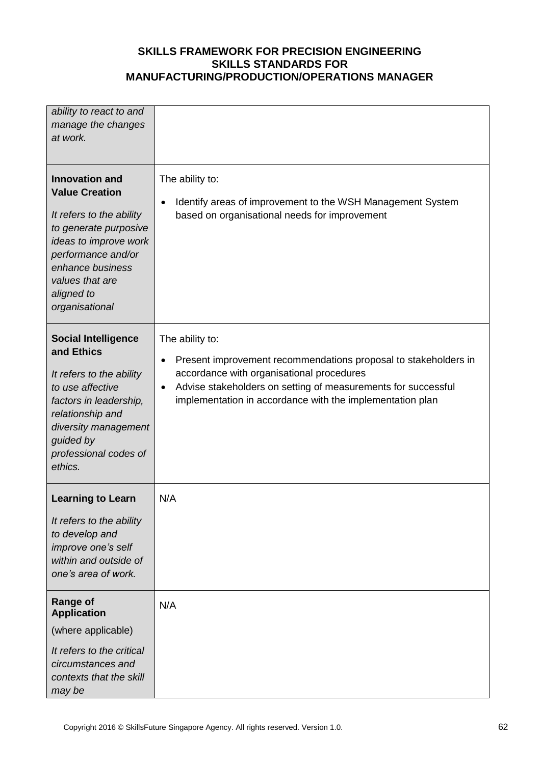| ability to react to and<br>manage the changes                                                                                                                                                                   |                                                                                                                                                                                                                                                                                         |
|-----------------------------------------------------------------------------------------------------------------------------------------------------------------------------------------------------------------|-----------------------------------------------------------------------------------------------------------------------------------------------------------------------------------------------------------------------------------------------------------------------------------------|
| at work.                                                                                                                                                                                                        |                                                                                                                                                                                                                                                                                         |
|                                                                                                                                                                                                                 |                                                                                                                                                                                                                                                                                         |
| <b>Innovation and</b><br><b>Value Creation</b>                                                                                                                                                                  | The ability to:<br>Identify areas of improvement to the WSH Management System<br>$\bullet$                                                                                                                                                                                              |
| It refers to the ability<br>to generate purposive<br>ideas to improve work<br>performance and/or<br>enhance business<br>values that are<br>aligned to<br>organisational                                         | based on organisational needs for improvement                                                                                                                                                                                                                                           |
| <b>Social Intelligence</b><br>and Ethics<br>It refers to the ability<br>to use affective<br>factors in leadership,<br>relationship and<br>diversity management<br>guided by<br>professional codes of<br>ethics. | The ability to:<br>Present improvement recommendations proposal to stakeholders in<br>$\bullet$<br>accordance with organisational procedures<br>Advise stakeholders on setting of measurements for successful<br>$\bullet$<br>implementation in accordance with the implementation plan |
| <b>Learning to Learn</b>                                                                                                                                                                                        | N/A                                                                                                                                                                                                                                                                                     |
| It refers to the ability<br>to develop and<br>improve one's self<br>within and outside of<br>one's area of work.                                                                                                |                                                                                                                                                                                                                                                                                         |
| <b>Range of</b><br><b>Application</b>                                                                                                                                                                           | N/A                                                                                                                                                                                                                                                                                     |
| (where applicable)                                                                                                                                                                                              |                                                                                                                                                                                                                                                                                         |
| It refers to the critical<br>circumstances and<br>contexts that the skill<br>may be                                                                                                                             |                                                                                                                                                                                                                                                                                         |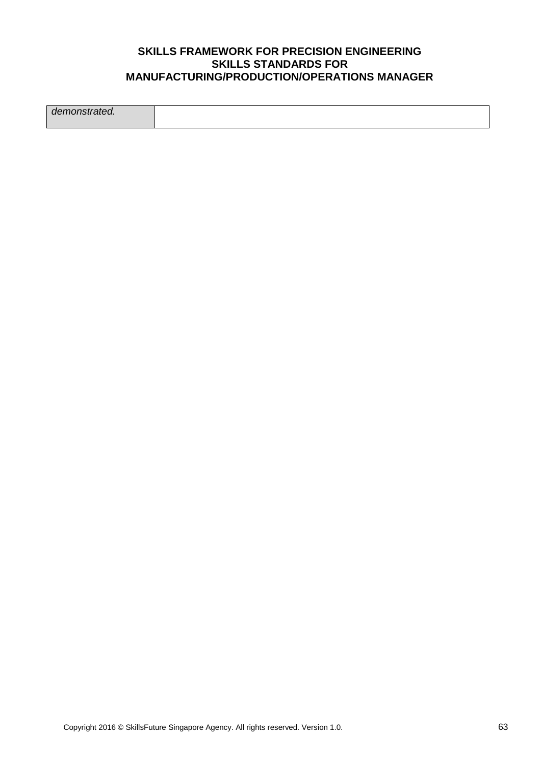*demonstrated.*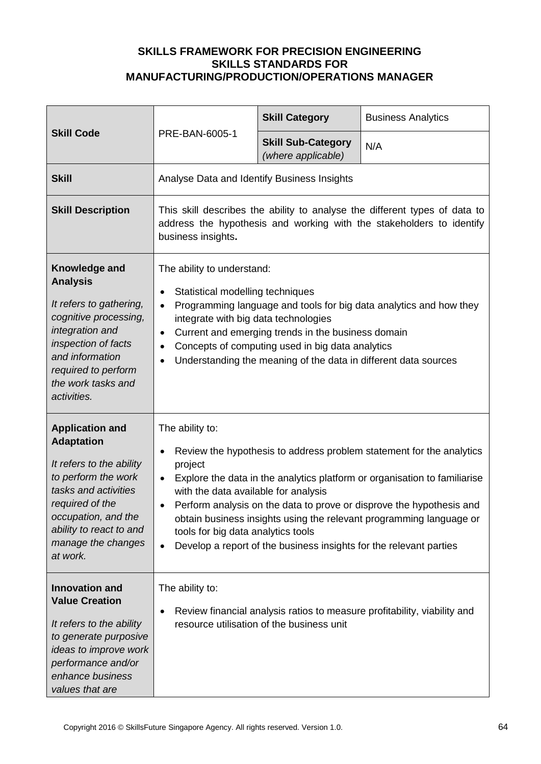| <b>Skill Code</b>                                                                                                                                                                                                             |                                                                                                                                                                                                                                                                                                                                                                                                                                                                                                           | <b>Skill Category</b>                           | <b>Business Analytics</b> |
|-------------------------------------------------------------------------------------------------------------------------------------------------------------------------------------------------------------------------------|-----------------------------------------------------------------------------------------------------------------------------------------------------------------------------------------------------------------------------------------------------------------------------------------------------------------------------------------------------------------------------------------------------------------------------------------------------------------------------------------------------------|-------------------------------------------------|---------------------------|
|                                                                                                                                                                                                                               | PRE-BAN-6005-1                                                                                                                                                                                                                                                                                                                                                                                                                                                                                            | <b>Skill Sub-Category</b><br>(where applicable) | N/A                       |
| <b>Skill</b>                                                                                                                                                                                                                  | Analyse Data and Identify Business Insights                                                                                                                                                                                                                                                                                                                                                                                                                                                               |                                                 |                           |
| <b>Skill Description</b>                                                                                                                                                                                                      | This skill describes the ability to analyse the different types of data to<br>address the hypothesis and working with the stakeholders to identify<br>business insights.                                                                                                                                                                                                                                                                                                                                  |                                                 |                           |
| Knowledge and<br><b>Analysis</b><br>It refers to gathering,<br>cognitive processing,<br>integration and<br>inspection of facts<br>and information<br>required to perform<br>the work tasks and<br>activities.                 | The ability to understand:<br>Statistical modelling techniques<br>$\bullet$<br>Programming language and tools for big data analytics and how they<br>$\bullet$<br>integrate with big data technologies<br>Current and emerging trends in the business domain<br>$\bullet$<br>Concepts of computing used in big data analytics<br>$\bullet$<br>Understanding the meaning of the data in different data sources<br>$\bullet$                                                                                |                                                 |                           |
| <b>Application and</b><br><b>Adaptation</b><br>It refers to the ability<br>to perform the work<br>tasks and activities<br>required of the<br>occupation, and the<br>ability to react to and<br>manage the changes<br>at work. | The ability to:<br>Review the hypothesis to address problem statement for the analytics<br>٠<br>project<br>Explore the data in the analytics platform or organisation to familiarise<br>٠<br>with the data available for analysis<br>Perform analysis on the data to prove or disprove the hypothesis and<br>obtain business insights using the relevant programming language or<br>tools for big data analytics tools<br>Develop a report of the business insights for the relevant parties<br>$\bullet$ |                                                 |                           |
| <b>Innovation and</b><br><b>Value Creation</b><br>It refers to the ability<br>to generate purposive<br>ideas to improve work<br>performance and/or<br>enhance business<br>values that are                                     | The ability to:<br>Review financial analysis ratios to measure profitability, viability and<br>٠<br>resource utilisation of the business unit                                                                                                                                                                                                                                                                                                                                                             |                                                 |                           |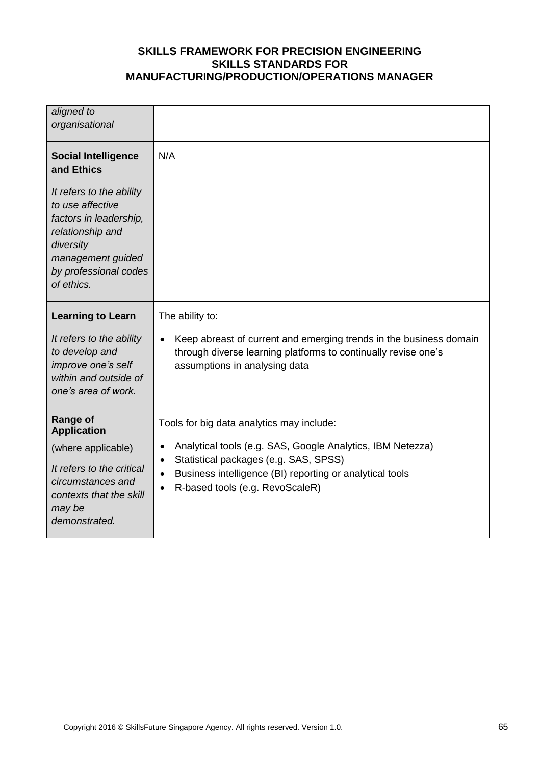| aligned to<br>organisational                                                                                                                                                                                    |                                                                                                                                                                                                                                                                                        |
|-----------------------------------------------------------------------------------------------------------------------------------------------------------------------------------------------------------------|----------------------------------------------------------------------------------------------------------------------------------------------------------------------------------------------------------------------------------------------------------------------------------------|
| <b>Social Intelligence</b><br>and Ethics<br>It refers to the ability<br>to use affective<br>factors in leadership,<br>relationship and<br>diversity<br>management guided<br>by professional codes<br>of ethics. | N/A                                                                                                                                                                                                                                                                                    |
| <b>Learning to Learn</b><br>It refers to the ability<br>to develop and<br>improve one's self<br>within and outside of<br>one's area of work.                                                                    | The ability to:<br>Keep abreast of current and emerging trends in the business domain<br>$\bullet$<br>through diverse learning platforms to continually revise one's<br>assumptions in analysing data                                                                                  |
| <b>Range of</b><br><b>Application</b><br>(where applicable)<br>It refers to the critical<br>circumstances and<br>contexts that the skill<br>may be<br>demonstrated.                                             | Tools for big data analytics may include:<br>Analytical tools (e.g. SAS, Google Analytics, IBM Netezza)<br>$\bullet$<br>Statistical packages (e.g. SAS, SPSS)<br>$\bullet$<br>Business intelligence (BI) reporting or analytical tools<br>$\bullet$<br>R-based tools (e.g. RevoScaleR) |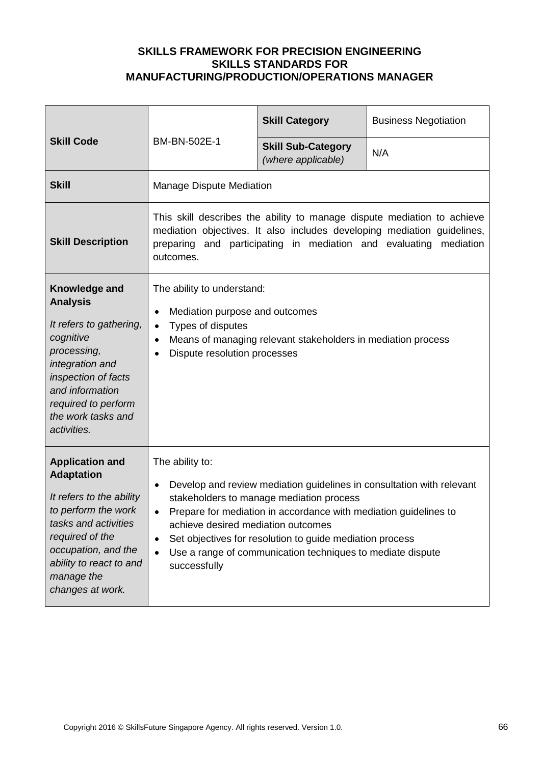| <b>Skill Code</b>                                                                                                                                                                                                             | BM-BN-502E-1                                                                                                                                                                                                                                                                                                                                                                                                                    | <b>Skill Category</b>                           | <b>Business Negotiation</b> |
|-------------------------------------------------------------------------------------------------------------------------------------------------------------------------------------------------------------------------------|---------------------------------------------------------------------------------------------------------------------------------------------------------------------------------------------------------------------------------------------------------------------------------------------------------------------------------------------------------------------------------------------------------------------------------|-------------------------------------------------|-----------------------------|
|                                                                                                                                                                                                                               |                                                                                                                                                                                                                                                                                                                                                                                                                                 | <b>Skill Sub-Category</b><br>(where applicable) | N/A                         |
| <b>Skill</b>                                                                                                                                                                                                                  | <b>Manage Dispute Mediation</b>                                                                                                                                                                                                                                                                                                                                                                                                 |                                                 |                             |
| <b>Skill Description</b>                                                                                                                                                                                                      | This skill describes the ability to manage dispute mediation to achieve<br>mediation objectives. It also includes developing mediation guidelines,<br>preparing and participating in mediation and evaluating mediation<br>outcomes.                                                                                                                                                                                            |                                                 |                             |
| Knowledge and<br><b>Analysis</b><br>It refers to gathering,<br>cognitive<br>processing,<br>integration and<br>inspection of facts<br>and information<br>required to perform<br>the work tasks and<br>activities.              | The ability to understand:<br>Mediation purpose and outcomes<br>$\bullet$<br>Types of disputes<br>$\bullet$<br>Means of managing relevant stakeholders in mediation process<br>$\bullet$<br>Dispute resolution processes                                                                                                                                                                                                        |                                                 |                             |
| <b>Application and</b><br><b>Adaptation</b><br>It refers to the ability<br>to perform the work<br>tasks and activities<br>required of the<br>occupation, and the<br>ability to react to and<br>manage the<br>changes at work. | The ability to:<br>Develop and review mediation guidelines in consultation with relevant<br>$\bullet$<br>stakeholders to manage mediation process<br>Prepare for mediation in accordance with mediation guidelines to<br>achieve desired mediation outcomes<br>Set objectives for resolution to guide mediation process<br>$\bullet$<br>Use a range of communication techniques to mediate dispute<br>$\bullet$<br>successfully |                                                 |                             |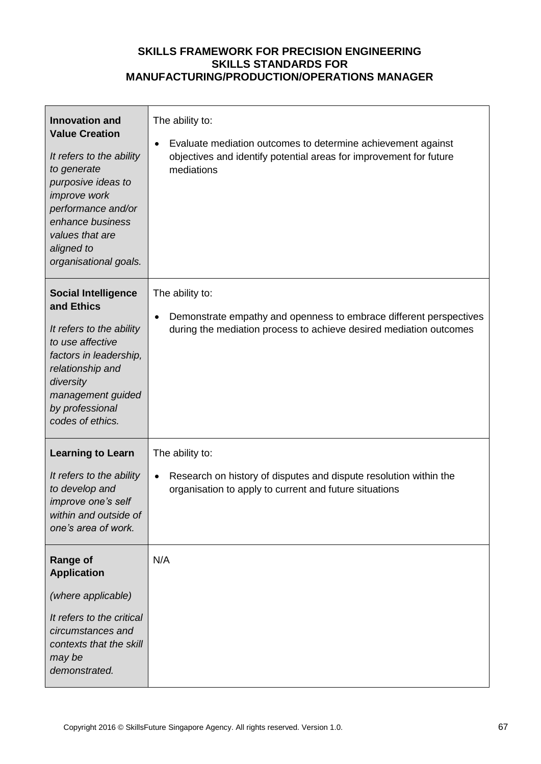| <b>Innovation and</b><br><b>Value Creation</b><br>It refers to the ability<br>to generate<br>purposive ideas to<br>improve work<br>performance and/or<br>enhance business<br>values that are<br>aligned to<br>organisational goals. | The ability to:<br>Evaluate mediation outcomes to determine achievement against<br>objectives and identify potential areas for improvement for future<br>mediations |
|-------------------------------------------------------------------------------------------------------------------------------------------------------------------------------------------------------------------------------------|---------------------------------------------------------------------------------------------------------------------------------------------------------------------|
| <b>Social Intelligence</b><br>and Ethics<br>It refers to the ability<br>to use affective<br>factors in leadership,<br>relationship and<br>diversity<br>management guided<br>by professional<br>codes of ethics.                     | The ability to:<br>Demonstrate empathy and openness to embrace different perspectives<br>during the mediation process to achieve desired mediation outcomes         |
| <b>Learning to Learn</b><br>It refers to the ability<br>to develop and<br>improve one's self<br>within and outside of<br>one's area of work.                                                                                        | The ability to:<br>Research on history of disputes and dispute resolution within the<br>organisation to apply to current and future situations                      |
| <b>Range of</b><br><b>Application</b><br>(where applicable)<br>It refers to the critical<br>circumstances and<br>contexts that the skill<br>may be<br>demonstrated.                                                                 | N/A                                                                                                                                                                 |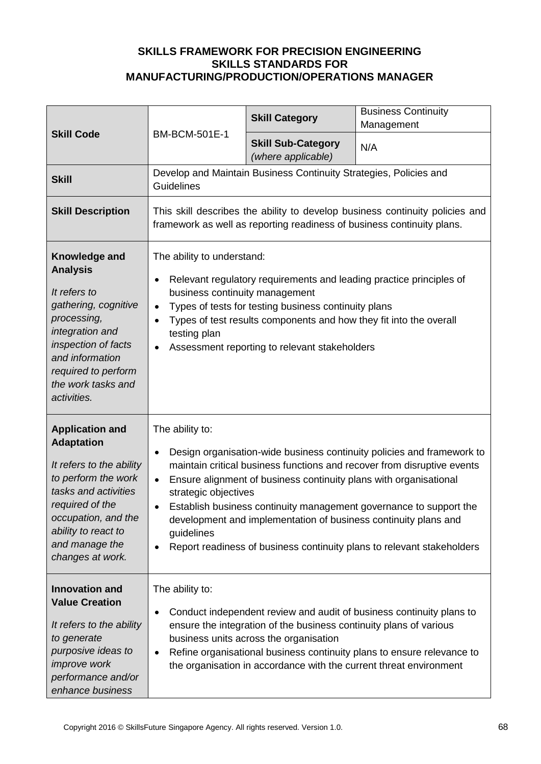| <b>Skill Code</b>                                                                                                                                                                                                             | <b>BM-BCM-501E-1</b>                                                                                                                                                                                                                                                                                                                                                                                                                                                                                                                                   | <b>Skill Category</b>                                                                                        | <b>Business Continuity</b><br>Management                                                                                                                                                                             |
|-------------------------------------------------------------------------------------------------------------------------------------------------------------------------------------------------------------------------------|--------------------------------------------------------------------------------------------------------------------------------------------------------------------------------------------------------------------------------------------------------------------------------------------------------------------------------------------------------------------------------------------------------------------------------------------------------------------------------------------------------------------------------------------------------|--------------------------------------------------------------------------------------------------------------|----------------------------------------------------------------------------------------------------------------------------------------------------------------------------------------------------------------------|
|                                                                                                                                                                                                                               |                                                                                                                                                                                                                                                                                                                                                                                                                                                                                                                                                        | <b>Skill Sub-Category</b><br>(where applicable)                                                              | N/A                                                                                                                                                                                                                  |
| <b>Skill</b>                                                                                                                                                                                                                  | Develop and Maintain Business Continuity Strategies, Policies and<br>Guidelines                                                                                                                                                                                                                                                                                                                                                                                                                                                                        |                                                                                                              |                                                                                                                                                                                                                      |
| <b>Skill Description</b>                                                                                                                                                                                                      | This skill describes the ability to develop business continuity policies and<br>framework as well as reporting readiness of business continuity plans.                                                                                                                                                                                                                                                                                                                                                                                                 |                                                                                                              |                                                                                                                                                                                                                      |
| Knowledge and<br><b>Analysis</b><br>It refers to<br>gathering, cognitive<br>processing,<br>integration and<br>inspection of facts<br>and information<br>required to perform<br>the work tasks and<br>activities.              | The ability to understand:<br>Relevant regulatory requirements and leading practice principles of<br>$\bullet$<br>business continuity management<br>Types of tests for testing business continuity plans<br>$\bullet$<br>Types of test results components and how they fit into the overall<br>$\bullet$<br>testing plan<br>Assessment reporting to relevant stakeholders<br>$\bullet$                                                                                                                                                                 |                                                                                                              |                                                                                                                                                                                                                      |
| <b>Application and</b><br><b>Adaptation</b><br>It refers to the ability<br>to perform the work<br>tasks and activities<br>required of the<br>occupation, and the<br>ability to react to<br>and manage the<br>changes at work. | The ability to:<br>Design organisation-wide business continuity policies and framework to<br>$\bullet$<br>maintain critical business functions and recover from disruptive events<br>Ensure alignment of business continuity plans with organisational<br>$\bullet$<br>strategic objectives<br>Establish business continuity management governance to support the<br>$\bullet$<br>development and implementation of business continuity plans and<br>guidelines<br>Report readiness of business continuity plans to relevant stakeholders<br>$\bullet$ |                                                                                                              |                                                                                                                                                                                                                      |
| <b>Innovation and</b><br><b>Value Creation</b><br>It refers to the ability<br>to generate<br>purposive ideas to<br>improve work<br>performance and/or<br>enhance business                                                     | The ability to:<br>٠<br>$\bullet$                                                                                                                                                                                                                                                                                                                                                                                                                                                                                                                      | ensure the integration of the business continuity plans of various<br>business units across the organisation | Conduct independent review and audit of business continuity plans to<br>Refine organisational business continuity plans to ensure relevance to<br>the organisation in accordance with the current threat environment |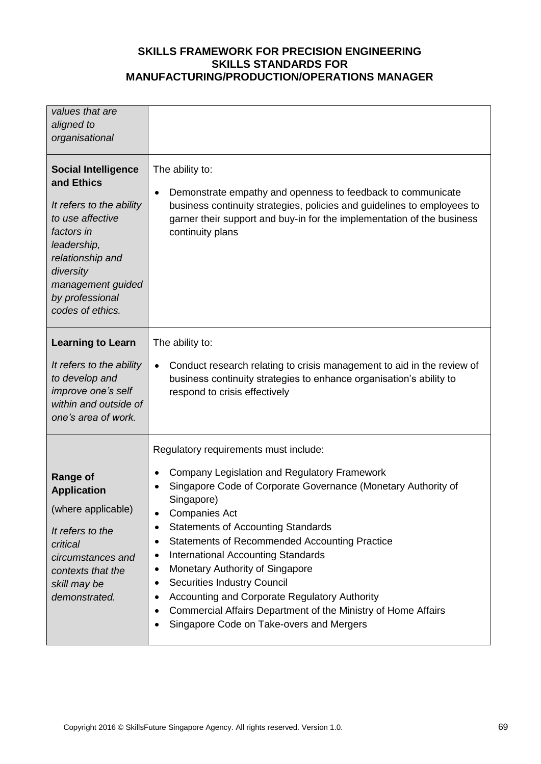| values that are<br>aligned to<br>organisational                                                                                                                                                                    |                                                                                                                                                                                                                                                                                                                                                                                                                                                                                                                                                                                                                                                                         |
|--------------------------------------------------------------------------------------------------------------------------------------------------------------------------------------------------------------------|-------------------------------------------------------------------------------------------------------------------------------------------------------------------------------------------------------------------------------------------------------------------------------------------------------------------------------------------------------------------------------------------------------------------------------------------------------------------------------------------------------------------------------------------------------------------------------------------------------------------------------------------------------------------------|
| <b>Social Intelligence</b><br>and Ethics<br>It refers to the ability<br>to use affective<br>factors in<br>leadership,<br>relationship and<br>diversity<br>management guided<br>by professional<br>codes of ethics. | The ability to:<br>Demonstrate empathy and openness to feedback to communicate<br>$\bullet$<br>business continuity strategies, policies and guidelines to employees to<br>garner their support and buy-in for the implementation of the business<br>continuity plans                                                                                                                                                                                                                                                                                                                                                                                                    |
| <b>Learning to Learn</b><br>It refers to the ability<br>to develop and<br>improve one's self<br>within and outside of<br>one's area of work.                                                                       | The ability to:<br>Conduct research relating to crisis management to aid in the review of<br>$\bullet$<br>business continuity strategies to enhance organisation's ability to<br>respond to crisis effectively                                                                                                                                                                                                                                                                                                                                                                                                                                                          |
| <b>Range of</b><br><b>Application</b><br>(where applicable)<br>It refers to the<br>critical<br>circumstances and<br>contexts that the<br>skill may be<br>demonstrated.                                             | Regulatory requirements must include:<br><b>Company Legislation and Regulatory Framework</b><br>٠<br>Singapore Code of Corporate Governance (Monetary Authority of<br>$\bullet$<br>Singapore)<br><b>Companies Act</b><br>٠<br><b>Statements of Accounting Standards</b><br>Statements of Recommended Accounting Practice<br>٠<br><b>International Accounting Standards</b><br>٠<br>Monetary Authority of Singapore<br>$\bullet$<br><b>Securities Industry Council</b><br>$\bullet$<br>Accounting and Corporate Regulatory Authority<br>٠<br>Commercial Affairs Department of the Ministry of Home Affairs<br>٠<br>Singapore Code on Take-overs and Mergers<br>$\bullet$ |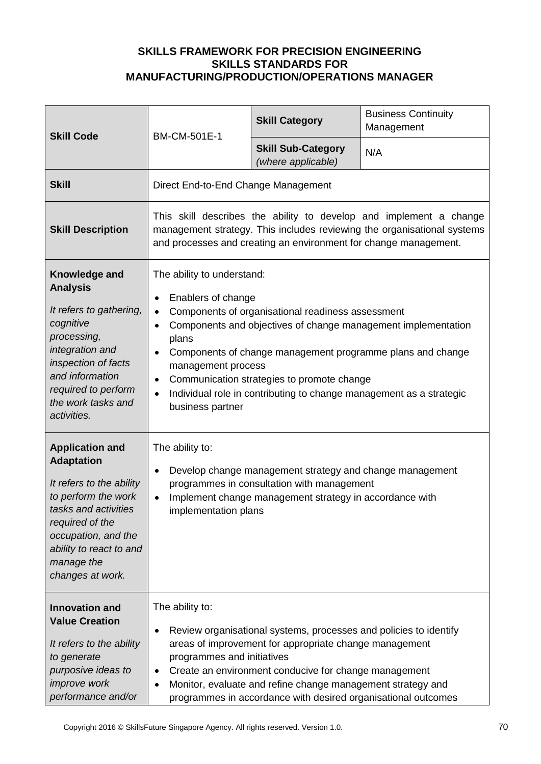| <b>Skill Code</b>                                                                                                                                                                                                             | BM-CM-501E-1                                                                                                                                                                                                                                                                                                                                                                                                                                                                       | <b>Skill Category</b>                           | <b>Business Continuity</b><br>Management |
|-------------------------------------------------------------------------------------------------------------------------------------------------------------------------------------------------------------------------------|------------------------------------------------------------------------------------------------------------------------------------------------------------------------------------------------------------------------------------------------------------------------------------------------------------------------------------------------------------------------------------------------------------------------------------------------------------------------------------|-------------------------------------------------|------------------------------------------|
|                                                                                                                                                                                                                               |                                                                                                                                                                                                                                                                                                                                                                                                                                                                                    | <b>Skill Sub-Category</b><br>(where applicable) | N/A                                      |
| <b>Skill</b>                                                                                                                                                                                                                  | Direct End-to-End Change Management                                                                                                                                                                                                                                                                                                                                                                                                                                                |                                                 |                                          |
| <b>Skill Description</b>                                                                                                                                                                                                      | This skill describes the ability to develop and implement a change<br>management strategy. This includes reviewing the organisational systems<br>and processes and creating an environment for change management.                                                                                                                                                                                                                                                                  |                                                 |                                          |
| Knowledge and<br><b>Analysis</b><br>It refers to gathering,<br>cognitive<br>processing,<br>integration and<br>inspection of facts<br>and information<br>required to perform<br>the work tasks and<br>activities.              | The ability to understand:<br>Enablers of change<br>٠<br>Components of organisational readiness assessment<br>$\bullet$<br>Components and objectives of change management implementation<br>$\bullet$<br>plans<br>Components of change management programme plans and change<br>$\bullet$<br>management process<br>Communication strategies to promote change<br>$\bullet$<br>Individual role in contributing to change management as a strategic<br>$\bullet$<br>business partner |                                                 |                                          |
| <b>Application and</b><br><b>Adaptation</b><br>It refers to the ability<br>to perform the work<br>tasks and activities<br>required of the<br>occupation, and the<br>ability to react to and<br>manage the<br>changes at work. | The ability to:<br>Develop change management strategy and change management<br>$\bullet$<br>programmes in consultation with management<br>Implement change management strategy in accordance with<br>$\bullet$<br>implementation plans                                                                                                                                                                                                                                             |                                                 |                                          |
| <b>Innovation and</b><br><b>Value Creation</b><br>It refers to the ability<br>to generate<br>purposive ideas to<br><i>improve</i> work<br>performance and/or                                                                  | The ability to:<br>Review organisational systems, processes and policies to identify<br>$\bullet$<br>areas of improvement for appropriate change management<br>programmes and initiatives<br>Create an environment conducive for change management<br>٠<br>Monitor, evaluate and refine change management strategy and<br>$\bullet$<br>programmes in accordance with desired organisational outcomes                                                                               |                                                 |                                          |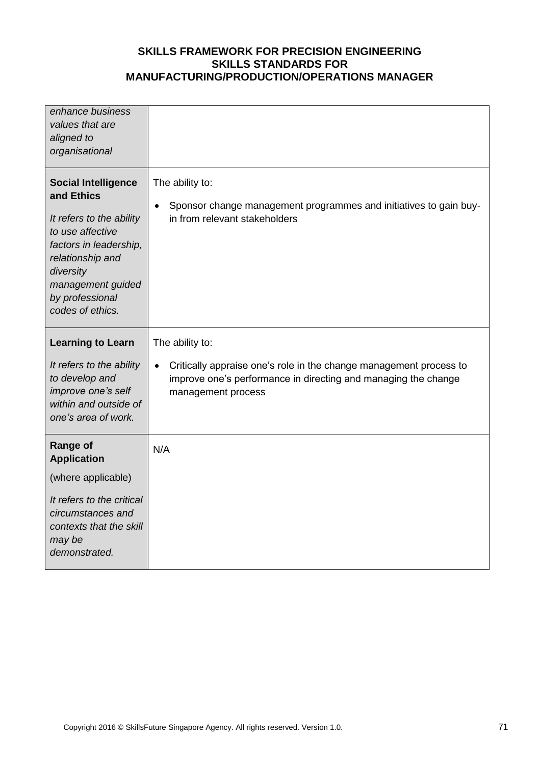| enhance business<br>values that are<br>aligned to<br>organisational                                                                                                                                             |                                                                                                                                                                         |
|-----------------------------------------------------------------------------------------------------------------------------------------------------------------------------------------------------------------|-------------------------------------------------------------------------------------------------------------------------------------------------------------------------|
| <b>Social Intelligence</b><br>and Ethics<br>It refers to the ability<br>to use affective<br>factors in leadership,<br>relationship and<br>diversity<br>management guided<br>by professional<br>codes of ethics. | The ability to:<br>Sponsor change management programmes and initiatives to gain buy-<br>$\bullet$<br>in from relevant stakeholders                                      |
| <b>Learning to Learn</b>                                                                                                                                                                                        | The ability to:                                                                                                                                                         |
| It refers to the ability<br>to develop and<br>improve one's self<br>within and outside of<br>one's area of work.                                                                                                | Critically appraise one's role in the change management process to<br>$\bullet$<br>improve one's performance in directing and managing the change<br>management process |
|                                                                                                                                                                                                                 |                                                                                                                                                                         |
| <b>Range of</b>                                                                                                                                                                                                 | N/A                                                                                                                                                                     |
| <b>Application</b><br>(where applicable)                                                                                                                                                                        |                                                                                                                                                                         |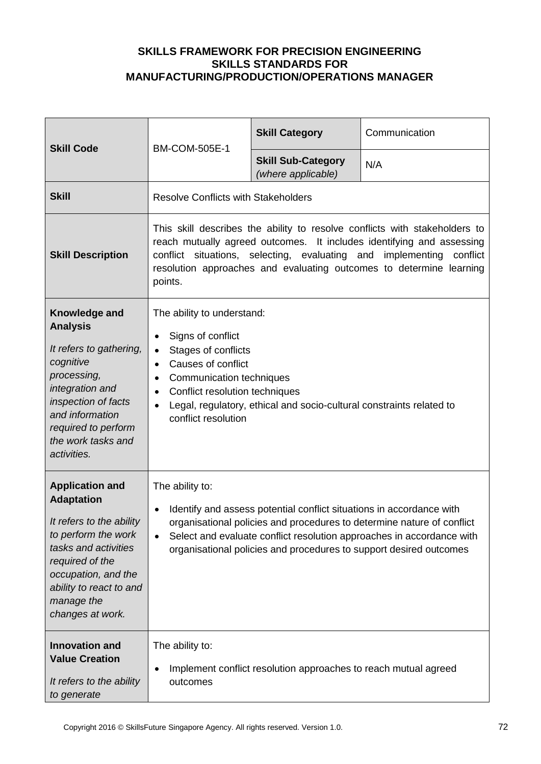| <b>Skill Code</b>                                                                                                                                                                                                             | <b>BM-COM-505E-1</b>                                                                                                                                                                                                                                                                                                                       | <b>Skill Category</b>                           | Communication |
|-------------------------------------------------------------------------------------------------------------------------------------------------------------------------------------------------------------------------------|--------------------------------------------------------------------------------------------------------------------------------------------------------------------------------------------------------------------------------------------------------------------------------------------------------------------------------------------|-------------------------------------------------|---------------|
|                                                                                                                                                                                                                               |                                                                                                                                                                                                                                                                                                                                            | <b>Skill Sub-Category</b><br>(where applicable) | N/A           |
| <b>Skill</b>                                                                                                                                                                                                                  | <b>Resolve Conflicts with Stakeholders</b>                                                                                                                                                                                                                                                                                                 |                                                 |               |
| <b>Skill Description</b>                                                                                                                                                                                                      | This skill describes the ability to resolve conflicts with stakeholders to<br>reach mutually agreed outcomes. It includes identifying and assessing<br>conflict situations, selecting, evaluating and implementing<br>conflict<br>resolution approaches and evaluating outcomes to determine learning<br>points.                           |                                                 |               |
| Knowledge and<br><b>Analysis</b><br>It refers to gathering,<br>cognitive<br>processing,<br>integration and<br>inspection of facts<br>and information<br>required to perform<br>the work tasks and<br>activities.              | The ability to understand:<br>Signs of conflict<br>$\bullet$<br>Stages of conflicts<br>$\bullet$<br>Causes of conflict<br>$\bullet$<br>Communication techniques<br>$\bullet$<br>Conflict resolution techniques<br>$\bullet$<br>Legal, regulatory, ethical and socio-cultural constraints related to<br>$\bullet$<br>conflict resolution    |                                                 |               |
| <b>Application and</b><br><b>Adaptation</b><br>It refers to the ability<br>to perform the work<br>tasks and activities<br>required of the<br>occupation, and the<br>ability to react to and<br>manage the<br>changes at work. | The ability to:<br>Identify and assess potential conflict situations in accordance with<br>$\bullet$<br>organisational policies and procedures to determine nature of conflict<br>Select and evaluate conflict resolution approaches in accordance with<br>$\bullet$<br>organisational policies and procedures to support desired outcomes |                                                 |               |
| <b>Innovation and</b><br><b>Value Creation</b><br>It refers to the ability<br>to generate                                                                                                                                     | The ability to:<br>Implement conflict resolution approaches to reach mutual agreed<br>outcomes                                                                                                                                                                                                                                             |                                                 |               |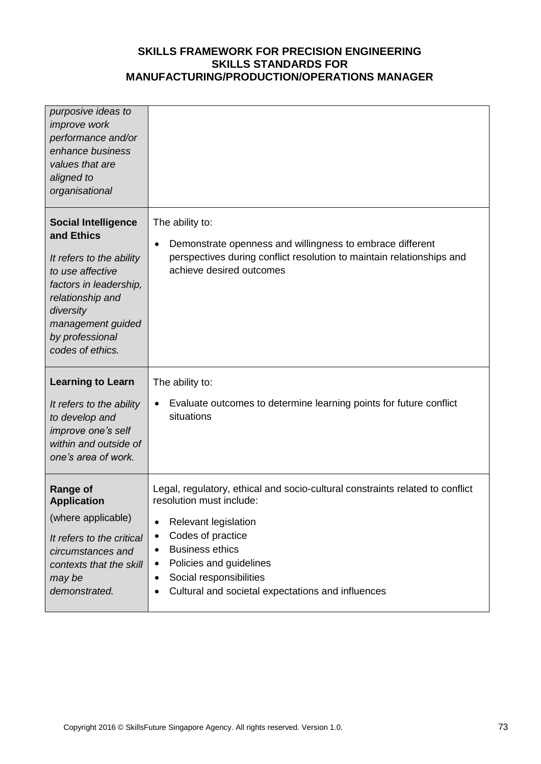| purposive ideas to<br><i>improve</i> work<br>performance and/or<br>enhance business<br>values that are<br>aligned to<br>organisational                                                                          |                                                                                                                                                                                                                                                                                                                                                                     |
|-----------------------------------------------------------------------------------------------------------------------------------------------------------------------------------------------------------------|---------------------------------------------------------------------------------------------------------------------------------------------------------------------------------------------------------------------------------------------------------------------------------------------------------------------------------------------------------------------|
| <b>Social Intelligence</b><br>and Ethics<br>It refers to the ability<br>to use affective<br>factors in leadership,<br>relationship and<br>diversity<br>management guided<br>by professional<br>codes of ethics. | The ability to:<br>Demonstrate openness and willingness to embrace different<br>$\bullet$<br>perspectives during conflict resolution to maintain relationships and<br>achieve desired outcomes                                                                                                                                                                      |
| <b>Learning to Learn</b><br>It refers to the ability<br>to develop and<br>improve one's self<br>within and outside of<br>one's area of work.                                                                    | The ability to:<br>Evaluate outcomes to determine learning points for future conflict<br>$\bullet$<br>situations                                                                                                                                                                                                                                                    |
| <b>Range of</b><br><b>Application</b><br>(where applicable)<br>It refers to the critical<br>circumstances and<br>contexts that the skill<br>may be<br>demonstrated.                                             | Legal, regulatory, ethical and socio-cultural constraints related to conflict<br>resolution must include:<br><b>Relevant legislation</b><br>$\bullet$<br>Codes of practice<br>$\bullet$<br><b>Business ethics</b><br>$\bullet$<br>Policies and guidelines<br>$\bullet$<br>Social responsibilities<br>$\bullet$<br>Cultural and societal expectations and influences |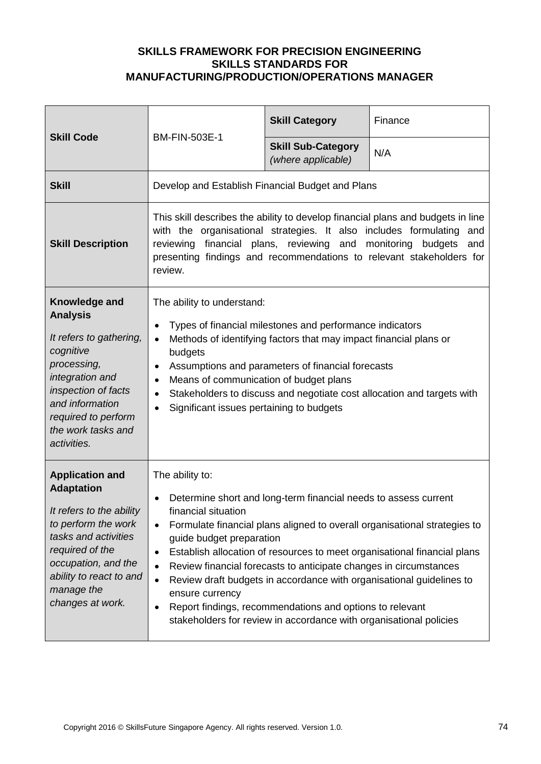| <b>Skill Code</b>                                                                                                                                                                                                             | <b>BM-FIN-503E-1</b>                                                                                                                                                                              | <b>Skill Category</b>                                                                                                                                                                                                                                                  | Finance                                                                                                                                                                                                                       |
|-------------------------------------------------------------------------------------------------------------------------------------------------------------------------------------------------------------------------------|---------------------------------------------------------------------------------------------------------------------------------------------------------------------------------------------------|------------------------------------------------------------------------------------------------------------------------------------------------------------------------------------------------------------------------------------------------------------------------|-------------------------------------------------------------------------------------------------------------------------------------------------------------------------------------------------------------------------------|
|                                                                                                                                                                                                                               |                                                                                                                                                                                                   | <b>Skill Sub-Category</b><br>(where applicable)                                                                                                                                                                                                                        | N/A                                                                                                                                                                                                                           |
| <b>Skill</b>                                                                                                                                                                                                                  | Develop and Establish Financial Budget and Plans                                                                                                                                                  |                                                                                                                                                                                                                                                                        |                                                                                                                                                                                                                               |
| <b>Skill Description</b>                                                                                                                                                                                                      | with the organisational strategies. It also includes formulating<br>reviewing financial plans, reviewing and monitoring budgets<br>review.                                                        |                                                                                                                                                                                                                                                                        | This skill describes the ability to develop financial plans and budgets in line<br>and<br>and<br>presenting findings and recommendations to relevant stakeholders for                                                         |
| Knowledge and<br><b>Analysis</b><br>It refers to gathering,<br>cognitive<br>processing,<br>integration and<br>inspection of facts<br>and information<br>required to perform<br>the work tasks and<br>activities.              | The ability to understand:<br>$\bullet$<br>$\bullet$<br>budgets<br>$\bullet$<br>Means of communication of budget plans<br>٠<br>$\bullet$<br>Significant issues pertaining to budgets<br>$\bullet$ | Types of financial milestones and performance indicators<br>Methods of identifying factors that may impact financial plans or<br>Assumptions and parameters of financial forecasts                                                                                     | Stakeholders to discuss and negotiate cost allocation and targets with                                                                                                                                                        |
| <b>Application and</b><br><b>Adaptation</b><br>It refers to the ability<br>to perform the work<br>tasks and activities<br>required of the<br>occupation, and the<br>ability to react to and<br>manage the<br>changes at work. | The ability to:<br>financial situation<br>$\bullet$<br>guide budget preparation<br>٠<br>٠<br>$\bullet$<br>ensure currency<br>$\bullet$                                                            | Determine short and long-term financial needs to assess current<br>Review financial forecasts to anticipate changes in circumstances<br>Report findings, recommendations and options to relevant<br>stakeholders for review in accordance with organisational policies | Formulate financial plans aligned to overall organisational strategies to<br>Establish allocation of resources to meet organisational financial plans<br>Review draft budgets in accordance with organisational guidelines to |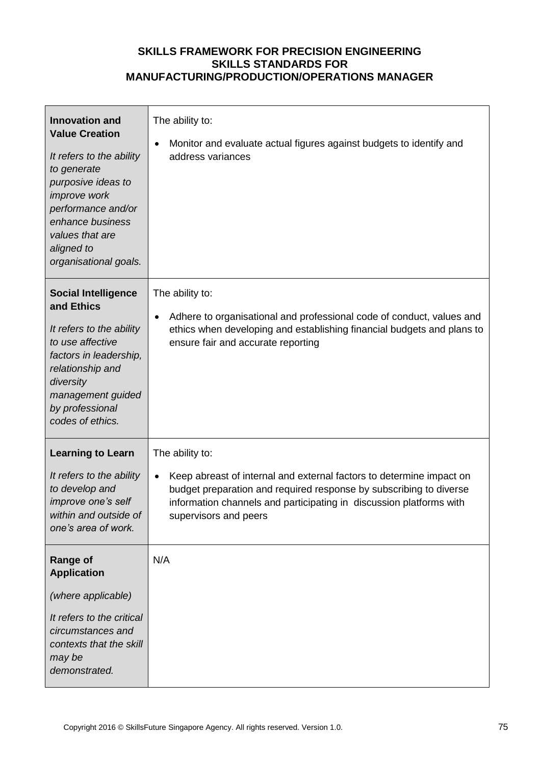| <b>Innovation and</b><br><b>Value Creation</b><br>It refers to the ability<br>to generate<br>purposive ideas to<br>improve work<br>performance and/or<br>enhance business<br>values that are<br>aligned to<br>organisational goals. | The ability to:<br>Monitor and evaluate actual figures against budgets to identify and<br>address variances                                                                                                                                                                |
|-------------------------------------------------------------------------------------------------------------------------------------------------------------------------------------------------------------------------------------|----------------------------------------------------------------------------------------------------------------------------------------------------------------------------------------------------------------------------------------------------------------------------|
| <b>Social Intelligence</b><br>and Ethics<br>It refers to the ability<br>to use affective<br>factors in leadership,<br>relationship and<br>diversity<br>management guided<br>by professional<br>codes of ethics.                     | The ability to:<br>Adhere to organisational and professional code of conduct, values and<br>ethics when developing and establishing financial budgets and plans to<br>ensure fair and accurate reporting                                                                   |
| <b>Learning to Learn</b><br>It refers to the ability<br>to develop and<br>improve one's self<br>within and outside of<br>one's area of work.                                                                                        | The ability to:<br>Keep abreast of internal and external factors to determine impact on<br>$\bullet$<br>budget preparation and required response by subscribing to diverse<br>information channels and participating in discussion platforms with<br>supervisors and peers |
| <b>Range of</b><br><b>Application</b><br>(where applicable)<br>It refers to the critical<br>circumstances and<br>contexts that the skill<br>may be<br>demonstrated.                                                                 | N/A                                                                                                                                                                                                                                                                        |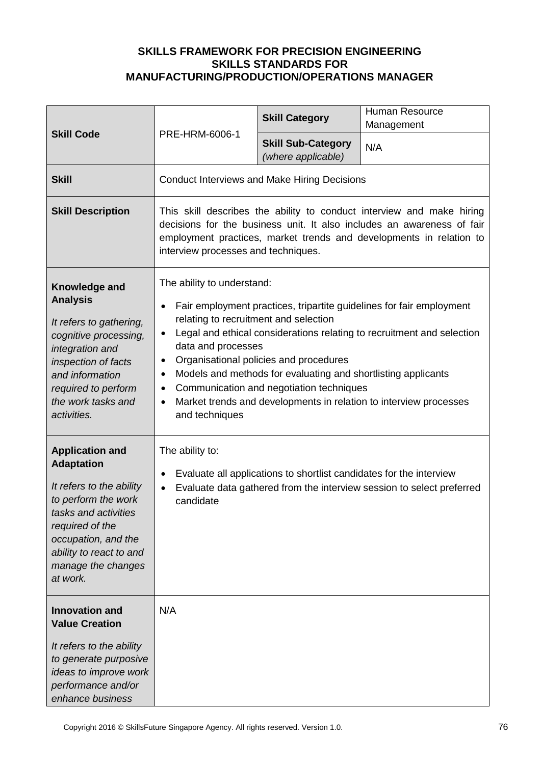|                                                                                                                                                                                                                               |                                                                                                                                                                                           | <b>Skill Category</b>                                                                                                                               | <b>Human Resource</b><br>Management                                                                                                                                                                                    |
|-------------------------------------------------------------------------------------------------------------------------------------------------------------------------------------------------------------------------------|-------------------------------------------------------------------------------------------------------------------------------------------------------------------------------------------|-----------------------------------------------------------------------------------------------------------------------------------------------------|------------------------------------------------------------------------------------------------------------------------------------------------------------------------------------------------------------------------|
| <b>Skill Code</b>                                                                                                                                                                                                             | PRE-HRM-6006-1                                                                                                                                                                            | <b>Skill Sub-Category</b><br>(where applicable)                                                                                                     | N/A                                                                                                                                                                                                                    |
| <b>Skill</b>                                                                                                                                                                                                                  |                                                                                                                                                                                           | <b>Conduct Interviews and Make Hiring Decisions</b>                                                                                                 |                                                                                                                                                                                                                        |
| <b>Skill Description</b>                                                                                                                                                                                                      | interview processes and techniques.                                                                                                                                                       |                                                                                                                                                     | This skill describes the ability to conduct interview and make hiring<br>decisions for the business unit. It also includes an awareness of fair<br>employment practices, market trends and developments in relation to |
| Knowledge and<br><b>Analysis</b><br>It refers to gathering,<br>cognitive processing,<br>integration and<br>inspection of facts<br>and information<br>required to perform<br>the work tasks and<br>activities.                 | The ability to understand:<br>$\bullet$<br>relating to recruitment and selection<br>$\bullet$<br>data and processes<br>$\bullet$<br>$\bullet$<br>$\bullet$<br>$\bullet$<br>and techniques | Organisational policies and procedures<br>Models and methods for evaluating and shortlisting applicants<br>Communication and negotiation techniques | Fair employment practices, tripartite guidelines for fair employment<br>Legal and ethical considerations relating to recruitment and selection<br>Market trends and developments in relation to interview processes    |
| <b>Application and</b><br><b>Adaptation</b><br>It refers to the ability<br>to perform the work<br>tasks and activities<br>required of the<br>occupation, and the<br>ability to react to and<br>manage the changes<br>at work. | The ability to:<br>$\bullet$<br>$\bullet$<br>candidate                                                                                                                                    | Evaluate all applications to shortlist candidates for the interview                                                                                 | Evaluate data gathered from the interview session to select preferred                                                                                                                                                  |
| <b>Innovation and</b><br><b>Value Creation</b><br>It refers to the ability<br>to generate purposive<br>ideas to improve work<br>performance and/or<br>enhance business                                                        | N/A                                                                                                                                                                                       |                                                                                                                                                     |                                                                                                                                                                                                                        |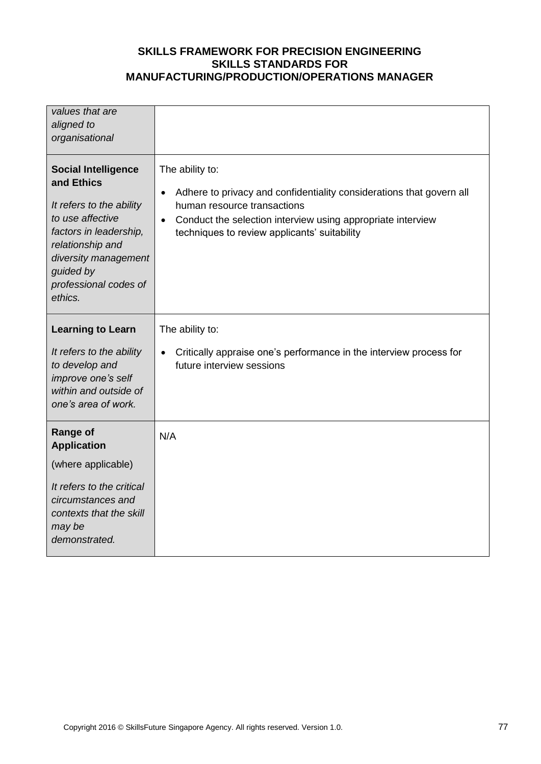| values that are<br>aligned to<br>organisational                                                                                                                                                                 |                                                                                                                                                                                                                                                                 |
|-----------------------------------------------------------------------------------------------------------------------------------------------------------------------------------------------------------------|-----------------------------------------------------------------------------------------------------------------------------------------------------------------------------------------------------------------------------------------------------------------|
| <b>Social Intelligence</b><br>and Ethics<br>It refers to the ability<br>to use affective<br>factors in leadership,<br>relationship and<br>diversity management<br>guided by<br>professional codes of<br>ethics. | The ability to:<br>Adhere to privacy and confidentiality considerations that govern all<br>$\bullet$<br>human resource transactions<br>Conduct the selection interview using appropriate interview<br>$\bullet$<br>techniques to review applicants' suitability |
| <b>Learning to Learn</b><br>It refers to the ability<br>to develop and<br>improve one's self<br>within and outside of<br>one's area of work.                                                                    | The ability to:<br>Critically appraise one's performance in the interview process for<br>$\bullet$<br>future interview sessions                                                                                                                                 |
| <b>Range of</b><br><b>Application</b><br>(where applicable)<br>It refers to the critical<br>circumstances and<br>contexts that the skill<br>may be<br>demonstrated.                                             | N/A                                                                                                                                                                                                                                                             |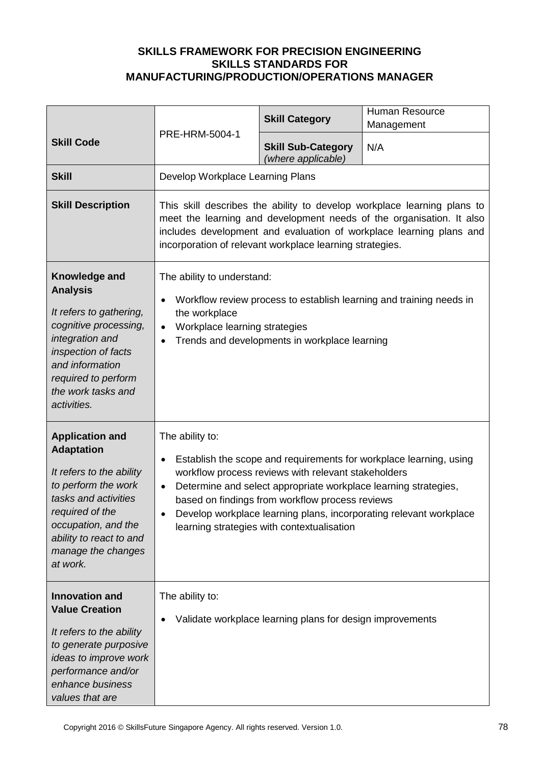|                                                                                                                                                                                                                               | PRE-HRM-5004-1                                                                            | <b>Skill Category</b>                                                                                                                                                                                                   | <b>Human Resource</b><br>Management                                                                                                                                                                                    |
|-------------------------------------------------------------------------------------------------------------------------------------------------------------------------------------------------------------------------------|-------------------------------------------------------------------------------------------|-------------------------------------------------------------------------------------------------------------------------------------------------------------------------------------------------------------------------|------------------------------------------------------------------------------------------------------------------------------------------------------------------------------------------------------------------------|
| <b>Skill Code</b>                                                                                                                                                                                                             |                                                                                           | <b>Skill Sub-Category</b><br>(where applicable)                                                                                                                                                                         | N/A                                                                                                                                                                                                                    |
| <b>Skill</b>                                                                                                                                                                                                                  | Develop Workplace Learning Plans                                                          |                                                                                                                                                                                                                         |                                                                                                                                                                                                                        |
| <b>Skill Description</b>                                                                                                                                                                                                      |                                                                                           | incorporation of relevant workplace learning strategies.                                                                                                                                                                | This skill describes the ability to develop workplace learning plans to<br>meet the learning and development needs of the organisation. It also<br>includes development and evaluation of workplace learning plans and |
| Knowledge and<br><b>Analysis</b><br>It refers to gathering,<br>cognitive processing,<br>integration and<br>inspection of facts<br>and information<br>required to perform<br>the work tasks and<br>activities.                 | The ability to understand:<br>$\bullet$<br>the workplace<br>Workplace learning strategies | Trends and developments in workplace learning                                                                                                                                                                           | Workflow review process to establish learning and training needs in                                                                                                                                                    |
| <b>Application and</b><br><b>Adaptation</b><br>It refers to the ability<br>to perform the work<br>tasks and activities<br>required of the<br>occupation, and the<br>ability to react to and<br>manage the changes<br>at work. | The ability to:<br>$\bullet$<br>$\bullet$                                                 | workflow process reviews with relevant stakeholders<br>Determine and select appropriate workplace learning strategies,<br>based on findings from workflow process reviews<br>learning strategies with contextualisation | Establish the scope and requirements for workplace learning, using<br>Develop workplace learning plans, incorporating relevant workplace                                                                               |
| <b>Innovation and</b><br><b>Value Creation</b><br>It refers to the ability<br>to generate purposive<br>ideas to improve work<br>performance and/or<br>enhance business<br>values that are                                     | The ability to:                                                                           | Validate workplace learning plans for design improvements                                                                                                                                                               |                                                                                                                                                                                                                        |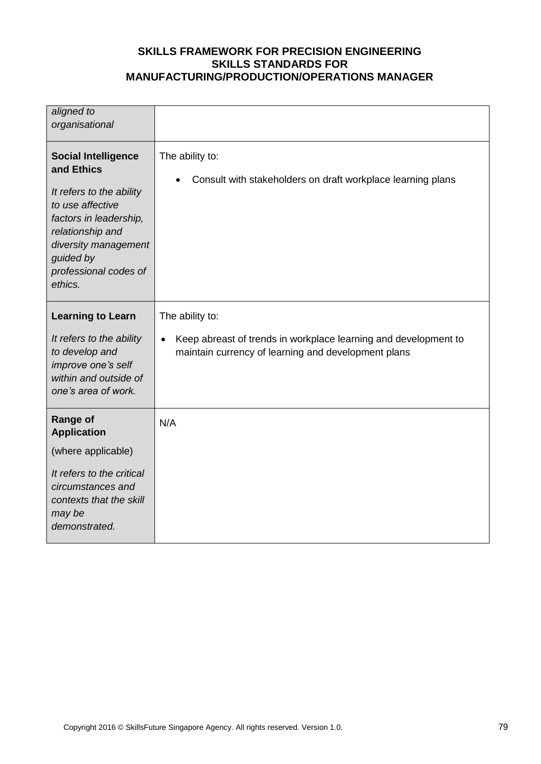| aligned to<br>organisational                                                                                                                                                                                    |                                                                                                                                           |
|-----------------------------------------------------------------------------------------------------------------------------------------------------------------------------------------------------------------|-------------------------------------------------------------------------------------------------------------------------------------------|
| <b>Social Intelligence</b><br>and Ethics<br>It refers to the ability<br>to use affective<br>factors in leadership,<br>relationship and<br>diversity management<br>guided by<br>professional codes of<br>ethics. | The ability to:<br>Consult with stakeholders on draft workplace learning plans                                                            |
| <b>Learning to Learn</b><br>It refers to the ability<br>to develop and<br>improve one's self<br>within and outside of<br>one's area of work.                                                                    | The ability to:<br>Keep abreast of trends in workplace learning and development to<br>maintain currency of learning and development plans |
| <b>Range of</b><br><b>Application</b><br>(where applicable)<br>It refers to the critical<br>circumstances and<br>contexts that the skill<br>may be<br>demonstrated.                                             | N/A                                                                                                                                       |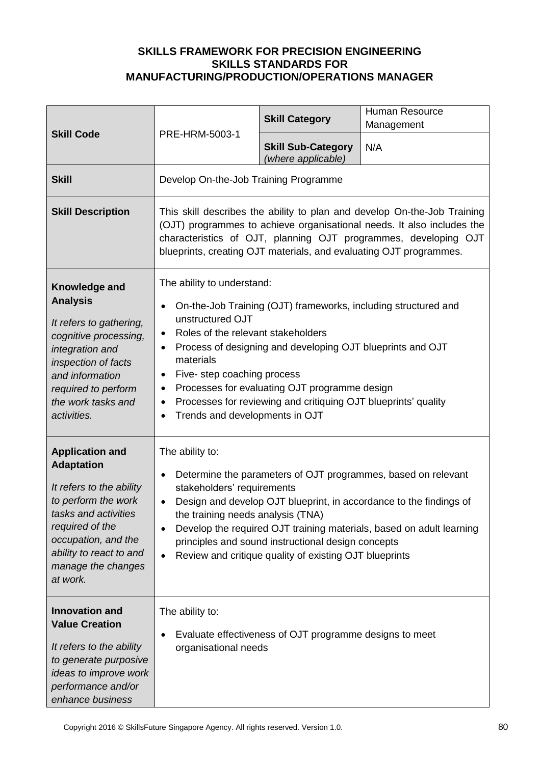|                                                                                                                                                                                                                               |                                                                                                                                                                                                                                                              | <b>Skill Category</b>                                                                                                                                                                                                                           | Human Resource<br>Management                                                                                                                                                                                                                                                                |
|-------------------------------------------------------------------------------------------------------------------------------------------------------------------------------------------------------------------------------|--------------------------------------------------------------------------------------------------------------------------------------------------------------------------------------------------------------------------------------------------------------|-------------------------------------------------------------------------------------------------------------------------------------------------------------------------------------------------------------------------------------------------|---------------------------------------------------------------------------------------------------------------------------------------------------------------------------------------------------------------------------------------------------------------------------------------------|
| <b>Skill Code</b>                                                                                                                                                                                                             | PRE-HRM-5003-1                                                                                                                                                                                                                                               | <b>Skill Sub-Category</b><br>(where applicable)                                                                                                                                                                                                 | N/A                                                                                                                                                                                                                                                                                         |
| <b>Skill</b>                                                                                                                                                                                                                  | Develop On-the-Job Training Programme                                                                                                                                                                                                                        |                                                                                                                                                                                                                                                 |                                                                                                                                                                                                                                                                                             |
| <b>Skill Description</b>                                                                                                                                                                                                      |                                                                                                                                                                                                                                                              |                                                                                                                                                                                                                                                 | This skill describes the ability to plan and develop On-the-Job Training<br>(OJT) programmes to achieve organisational needs. It also includes the<br>characteristics of OJT, planning OJT programmes, developing OJT<br>blueprints, creating OJT materials, and evaluating OJT programmes. |
| Knowledge and<br><b>Analysis</b><br>It refers to gathering,<br>cognitive processing,<br>integration and<br>inspection of facts<br>and information<br>required to perform<br>the work tasks and<br>activities.                 | The ability to understand:<br>$\bullet$<br>unstructured OJT<br>Roles of the relevant stakeholders<br>$\bullet$<br>$\bullet$<br>materials<br>Five-step coaching process<br>$\bullet$<br>$\bullet$<br>$\bullet$<br>Trends and developments in OJT<br>$\bullet$ | On-the-Job Training (OJT) frameworks, including structured and<br>Process of designing and developing OJT blueprints and OJT<br>Processes for evaluating OJT programme design<br>Processes for reviewing and critiquing OJT blueprints' quality |                                                                                                                                                                                                                                                                                             |
| <b>Application and</b><br><b>Adaptation</b><br>It refers to the ability<br>to perform the work<br>tasks and activities<br>required of the<br>occupation, and the<br>ability to react to and<br>manage the changes<br>at work. | The ability to:<br>$\bullet$<br>stakeholders' requirements<br>$\bullet$<br>the training needs analysis (TNA)<br>$\bullet$<br>$\bullet$                                                                                                                       | principles and sound instructional design concepts<br>Review and critique quality of existing OJT blueprints                                                                                                                                    | Determine the parameters of OJT programmes, based on relevant<br>Design and develop OJT blueprint, in accordance to the findings of<br>Develop the required OJT training materials, based on adult learning                                                                                 |
| <b>Innovation and</b><br><b>Value Creation</b><br>It refers to the ability<br>to generate purposive<br>ideas to improve work<br>performance and/or<br>enhance business                                                        | The ability to:<br>organisational needs                                                                                                                                                                                                                      | Evaluate effectiveness of OJT programme designs to meet                                                                                                                                                                                         |                                                                                                                                                                                                                                                                                             |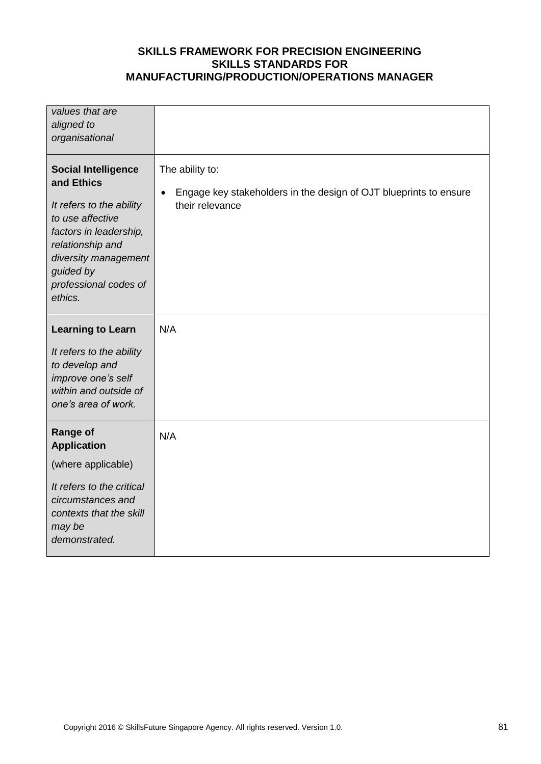| values that are<br>aligned to<br>organisational                                                                                                                                                                 |                                                                                                                      |
|-----------------------------------------------------------------------------------------------------------------------------------------------------------------------------------------------------------------|----------------------------------------------------------------------------------------------------------------------|
| <b>Social Intelligence</b><br>and Ethics<br>It refers to the ability<br>to use affective<br>factors in leadership,<br>relationship and<br>diversity management<br>guided by<br>professional codes of<br>ethics. | The ability to:<br>Engage key stakeholders in the design of OJT blueprints to ensure<br>$\bullet$<br>their relevance |
| <b>Learning to Learn</b><br>It refers to the ability<br>to develop and<br>improve one's self<br>within and outside of<br>one's area of work.                                                                    | N/A                                                                                                                  |
| <b>Range of</b><br><b>Application</b><br>(where applicable)<br>It refers to the critical<br>circumstances and<br>contexts that the skill<br>may be<br>demonstrated.                                             | N/A                                                                                                                  |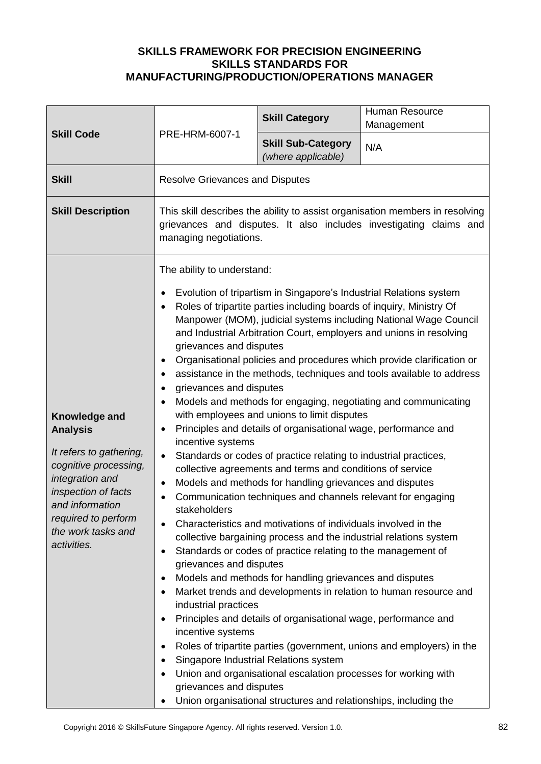| <b>Skill Code</b>                                                                                                                                                                                             | PRE-HRM-6007-1                                                                                                                                                                                                                                                                                                                                                                                                                                                  | <b>Skill Category</b>                                                                                                                                                                                                                                                                                                                                                                                                                                                                                                                                                                                                                                                                                                                                                                                                                                                                                                                                                                                                                     | Human Resource<br>Management                                                                                                                                                                                                                                                                                                                                                                                                                                                                            |
|---------------------------------------------------------------------------------------------------------------------------------------------------------------------------------------------------------------|-----------------------------------------------------------------------------------------------------------------------------------------------------------------------------------------------------------------------------------------------------------------------------------------------------------------------------------------------------------------------------------------------------------------------------------------------------------------|-------------------------------------------------------------------------------------------------------------------------------------------------------------------------------------------------------------------------------------------------------------------------------------------------------------------------------------------------------------------------------------------------------------------------------------------------------------------------------------------------------------------------------------------------------------------------------------------------------------------------------------------------------------------------------------------------------------------------------------------------------------------------------------------------------------------------------------------------------------------------------------------------------------------------------------------------------------------------------------------------------------------------------------------|---------------------------------------------------------------------------------------------------------------------------------------------------------------------------------------------------------------------------------------------------------------------------------------------------------------------------------------------------------------------------------------------------------------------------------------------------------------------------------------------------------|
|                                                                                                                                                                                                               |                                                                                                                                                                                                                                                                                                                                                                                                                                                                 | <b>Skill Sub-Category</b><br>(where applicable)                                                                                                                                                                                                                                                                                                                                                                                                                                                                                                                                                                                                                                                                                                                                                                                                                                                                                                                                                                                           | N/A                                                                                                                                                                                                                                                                                                                                                                                                                                                                                                     |
| <b>Skill</b>                                                                                                                                                                                                  | <b>Resolve Grievances and Disputes</b>                                                                                                                                                                                                                                                                                                                                                                                                                          |                                                                                                                                                                                                                                                                                                                                                                                                                                                                                                                                                                                                                                                                                                                                                                                                                                                                                                                                                                                                                                           |                                                                                                                                                                                                                                                                                                                                                                                                                                                                                                         |
| <b>Skill Description</b>                                                                                                                                                                                      | This skill describes the ability to assist organisation members in resolving<br>grievances and disputes. It also includes investigating claims and<br>managing negotiations.                                                                                                                                                                                                                                                                                    |                                                                                                                                                                                                                                                                                                                                                                                                                                                                                                                                                                                                                                                                                                                                                                                                                                                                                                                                                                                                                                           |                                                                                                                                                                                                                                                                                                                                                                                                                                                                                                         |
| Knowledge and<br><b>Analysis</b><br>It refers to gathering,<br>cognitive processing,<br>integration and<br>inspection of facts<br>and information<br>required to perform<br>the work tasks and<br>activities. | The ability to understand:<br>$\bullet$<br>$\bullet$<br>grievances and disputes<br>٠<br>$\bullet$<br>grievances and disputes<br>$\bullet$<br>$\bullet$<br>$\bullet$<br>incentive systems<br>$\bullet$<br>$\bullet$<br>$\bullet$<br>stakeholders<br>$\bullet$<br>$\bullet$<br>grievances and disputes<br>$\bullet$<br>$\bullet$<br>industrial practices<br>$\bullet$<br>incentive systems<br>٠<br>$\bullet$<br>$\bullet$<br>grievances and disputes<br>$\bullet$ | Evolution of tripartism in Singapore's Industrial Relations system<br>Roles of tripartite parties including boards of inquiry, Ministry Of<br>with employees and unions to limit disputes<br>Principles and details of organisational wage, performance and<br>Standards or codes of practice relating to industrial practices,<br>collective agreements and terms and conditions of service<br>Models and methods for handling grievances and disputes<br>Communication techniques and channels relevant for engaging<br>Characteristics and motivations of individuals involved in the<br>collective bargaining process and the industrial relations system<br>Standards or codes of practice relating to the management of<br>Models and methods for handling grievances and disputes<br>Principles and details of organisational wage, performance and<br>Singapore Industrial Relations system<br>Union and organisational escalation processes for working with<br>Union organisational structures and relationships, including the | Manpower (MOM), judicial systems including National Wage Council<br>and Industrial Arbitration Court, employers and unions in resolving<br>Organisational policies and procedures which provide clarification or<br>assistance in the methods, techniques and tools available to address<br>Models and methods for engaging, negotiating and communicating<br>Market trends and developments in relation to human resource and<br>Roles of tripartite parties (government, unions and employers) in the |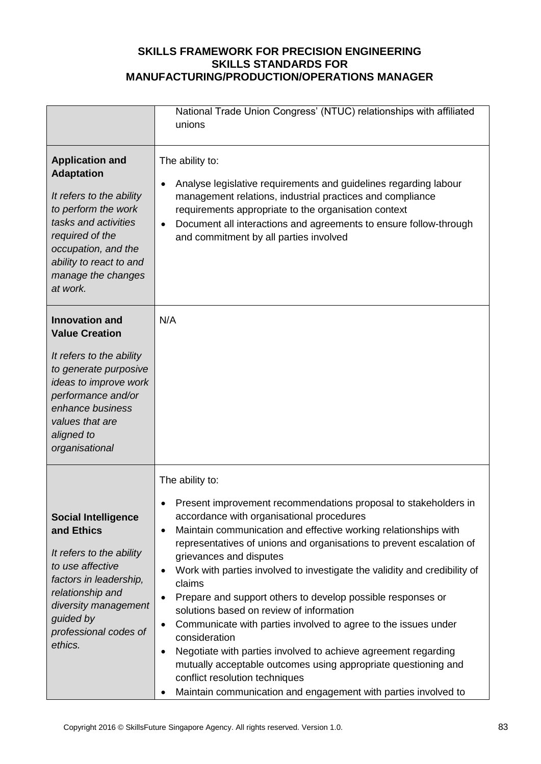|                                                                                                                                                                                                                                                        | National Trade Union Congress' (NTUC) relationships with affiliated<br>unions                                                                                                                                                                                                                                                                                                                                                                                                                                                                                                                                                                                                                                                                                                                                                                                                                       |
|--------------------------------------------------------------------------------------------------------------------------------------------------------------------------------------------------------------------------------------------------------|-----------------------------------------------------------------------------------------------------------------------------------------------------------------------------------------------------------------------------------------------------------------------------------------------------------------------------------------------------------------------------------------------------------------------------------------------------------------------------------------------------------------------------------------------------------------------------------------------------------------------------------------------------------------------------------------------------------------------------------------------------------------------------------------------------------------------------------------------------------------------------------------------------|
| <b>Application and</b><br><b>Adaptation</b><br>It refers to the ability<br>to perform the work<br>tasks and activities<br>required of the<br>occupation, and the<br>ability to react to and<br>manage the changes<br>at work.<br><b>Innovation and</b> | The ability to:<br>Analyse legislative requirements and guidelines regarding labour<br>management relations, industrial practices and compliance<br>requirements appropriate to the organisation context<br>Document all interactions and agreements to ensure follow-through<br>$\bullet$<br>and commitment by all parties involved<br>N/A                                                                                                                                                                                                                                                                                                                                                                                                                                                                                                                                                         |
| <b>Value Creation</b><br>It refers to the ability<br>to generate purposive<br>ideas to improve work<br>performance and/or<br>enhance business<br>values that are<br>aligned to<br>organisational                                                       |                                                                                                                                                                                                                                                                                                                                                                                                                                                                                                                                                                                                                                                                                                                                                                                                                                                                                                     |
| <b>Social Intelligence</b><br>and Ethics<br>It refers to the ability<br>to use affective<br>factors in leadership,<br>relationship and<br>diversity management<br>guided by<br>professional codes of<br>ethics.                                        | The ability to:<br>Present improvement recommendations proposal to stakeholders in<br>accordance with organisational procedures<br>Maintain communication and effective working relationships with<br>$\bullet$<br>representatives of unions and organisations to prevent escalation of<br>grievances and disputes<br>Work with parties involved to investigate the validity and credibility of<br>$\bullet$<br>claims<br>Prepare and support others to develop possible responses or<br>solutions based on review of information<br>Communicate with parties involved to agree to the issues under<br>$\bullet$<br>consideration<br>Negotiate with parties involved to achieve agreement regarding<br>$\bullet$<br>mutually acceptable outcomes using appropriate questioning and<br>conflict resolution techniques<br>Maintain communication and engagement with parties involved to<br>$\bullet$ |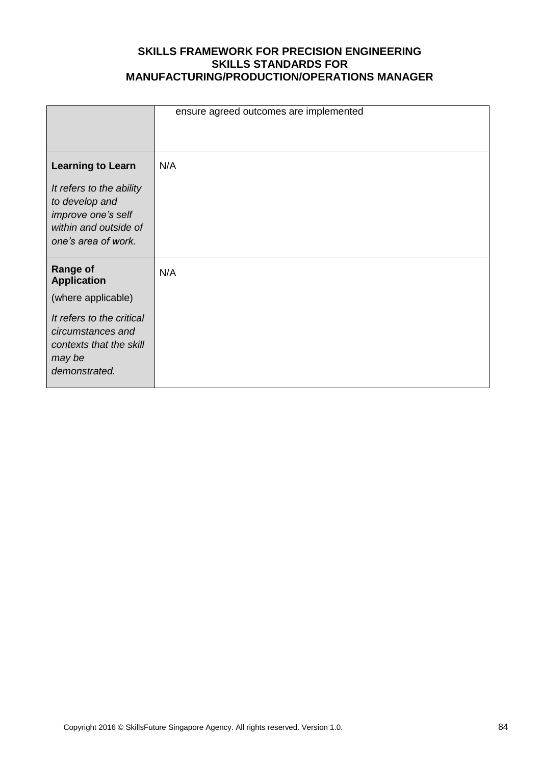|                                             | ensure agreed outcomes are implemented |
|---------------------------------------------|----------------------------------------|
|                                             |                                        |
| <b>Learning to Learn</b>                    | N/A                                    |
| It refers to the ability                    |                                        |
| to develop and                              |                                        |
| improve one's self<br>within and outside of |                                        |
| one's area of work.                         |                                        |
|                                             |                                        |
| <b>Range of</b><br><b>Application</b>       | N/A                                    |
| (where applicable)                          |                                        |
| It refers to the critical                   |                                        |
| circumstances and                           |                                        |
| contexts that the skill                     |                                        |
| may be<br>demonstrated.                     |                                        |
|                                             |                                        |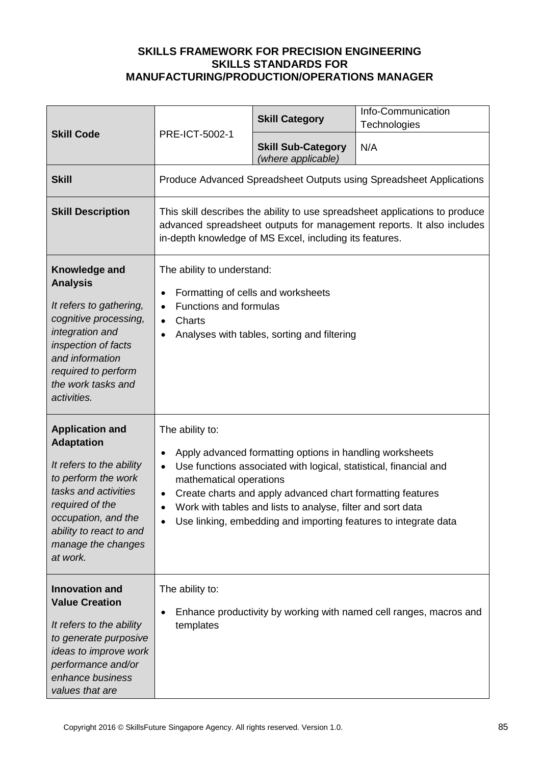| <b>Skill Code</b>                                                                                                                                                                                                             |                                                                                                                                                                                                                                                                                                                                                                                                                    | <b>Skill Category</b>                           | Info-Communication<br>Technologies                                  |
|-------------------------------------------------------------------------------------------------------------------------------------------------------------------------------------------------------------------------------|--------------------------------------------------------------------------------------------------------------------------------------------------------------------------------------------------------------------------------------------------------------------------------------------------------------------------------------------------------------------------------------------------------------------|-------------------------------------------------|---------------------------------------------------------------------|
|                                                                                                                                                                                                                               | PRE-ICT-5002-1                                                                                                                                                                                                                                                                                                                                                                                                     | <b>Skill Sub-Category</b><br>(where applicable) | N/A                                                                 |
| <b>Skill</b>                                                                                                                                                                                                                  |                                                                                                                                                                                                                                                                                                                                                                                                                    |                                                 | Produce Advanced Spreadsheet Outputs using Spreadsheet Applications |
| <b>Skill Description</b>                                                                                                                                                                                                      | This skill describes the ability to use spreadsheet applications to produce<br>advanced spreadsheet outputs for management reports. It also includes<br>in-depth knowledge of MS Excel, including its features.                                                                                                                                                                                                    |                                                 |                                                                     |
| Knowledge and<br><b>Analysis</b><br>It refers to gathering,<br>cognitive processing,<br>integration and<br>inspection of facts<br>and information<br>required to perform<br>the work tasks and<br>activities.                 | The ability to understand:<br>Formatting of cells and worksheets<br>$\bullet$<br>Functions and formulas<br>$\bullet$<br>Charts<br>$\bullet$<br>Analyses with tables, sorting and filtering                                                                                                                                                                                                                         |                                                 |                                                                     |
| <b>Application and</b><br><b>Adaptation</b><br>It refers to the ability<br>to perform the work<br>tasks and activities<br>required of the<br>occupation, and the<br>ability to react to and<br>manage the changes<br>at work. | The ability to:<br>Apply advanced formatting options in handling worksheets<br>$\bullet$<br>Use functions associated with logical, statistical, financial and<br>$\bullet$<br>mathematical operations<br>Create charts and apply advanced chart formatting features<br>$\bullet$<br>Work with tables and lists to analyse, filter and sort data<br>Use linking, embedding and importing features to integrate data |                                                 |                                                                     |
| <b>Innovation and</b><br><b>Value Creation</b><br>It refers to the ability<br>to generate purposive<br>ideas to improve work<br>performance and/or<br>enhance business<br>values that are                                     | The ability to:<br>$\bullet$<br>templates                                                                                                                                                                                                                                                                                                                                                                          |                                                 | Enhance productivity by working with named cell ranges, macros and  |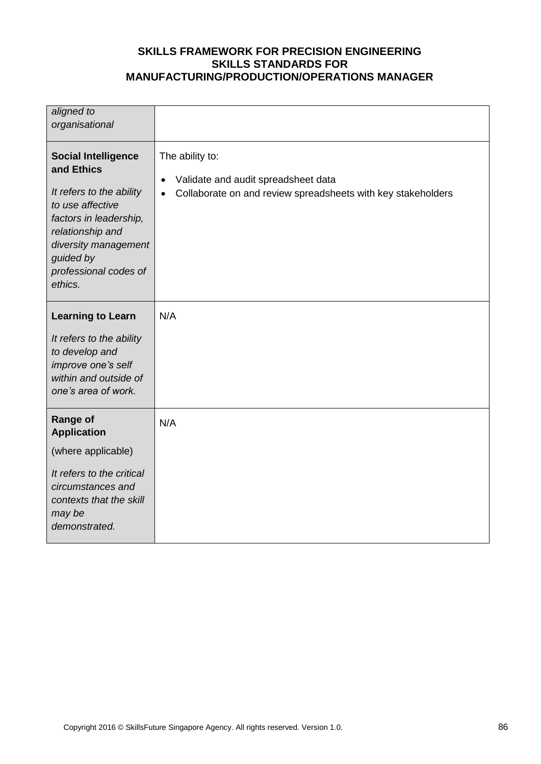| aligned to<br>organisational                                                                                                                                                                                    |                                                                                                                                     |
|-----------------------------------------------------------------------------------------------------------------------------------------------------------------------------------------------------------------|-------------------------------------------------------------------------------------------------------------------------------------|
| <b>Social Intelligence</b><br>and Ethics<br>It refers to the ability<br>to use affective<br>factors in leadership,<br>relationship and<br>diversity management<br>guided by<br>professional codes of<br>ethics. | The ability to:<br>Validate and audit spreadsheet data<br>$\bullet$<br>Collaborate on and review spreadsheets with key stakeholders |
| <b>Learning to Learn</b><br>It refers to the ability<br>to develop and<br>improve one's self<br>within and outside of<br>one's area of work.                                                                    | N/A                                                                                                                                 |
| <b>Range of</b><br><b>Application</b><br>(where applicable)<br>It refers to the critical<br>circumstances and<br>contexts that the skill<br>may be<br>demonstrated.                                             | N/A                                                                                                                                 |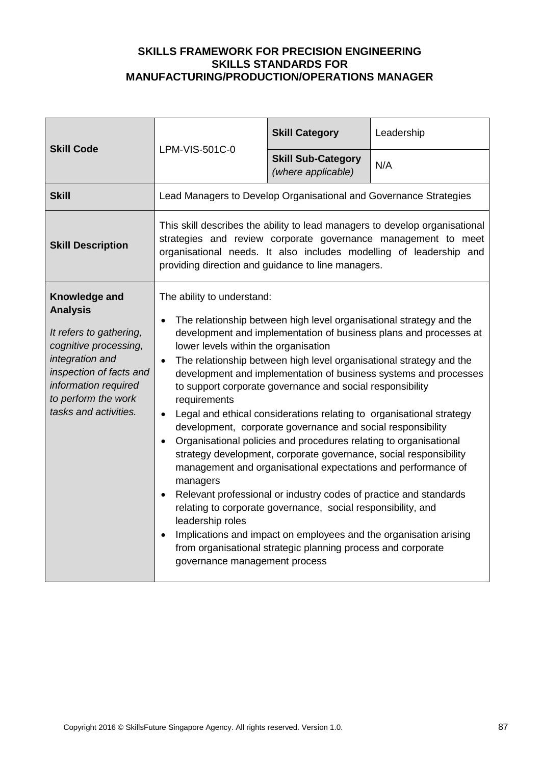| <b>Skill Code</b>                                                                                                                                                                                          |                                                                                                                                                                                                                                                                                                                                                                                                                                                                                                                                                                                                                                                                                                                                                                                                                                                                                                                                                                                                                                                                                                                                                                                                      | <b>Skill Category</b>                           | Leadership |
|------------------------------------------------------------------------------------------------------------------------------------------------------------------------------------------------------------|------------------------------------------------------------------------------------------------------------------------------------------------------------------------------------------------------------------------------------------------------------------------------------------------------------------------------------------------------------------------------------------------------------------------------------------------------------------------------------------------------------------------------------------------------------------------------------------------------------------------------------------------------------------------------------------------------------------------------------------------------------------------------------------------------------------------------------------------------------------------------------------------------------------------------------------------------------------------------------------------------------------------------------------------------------------------------------------------------------------------------------------------------------------------------------------------------|-------------------------------------------------|------------|
|                                                                                                                                                                                                            | LPM-VIS-501C-0                                                                                                                                                                                                                                                                                                                                                                                                                                                                                                                                                                                                                                                                                                                                                                                                                                                                                                                                                                                                                                                                                                                                                                                       | <b>Skill Sub-Category</b><br>(where applicable) | N/A        |
| <b>Skill</b>                                                                                                                                                                                               | Lead Managers to Develop Organisational and Governance Strategies                                                                                                                                                                                                                                                                                                                                                                                                                                                                                                                                                                                                                                                                                                                                                                                                                                                                                                                                                                                                                                                                                                                                    |                                                 |            |
| <b>Skill Description</b>                                                                                                                                                                                   | This skill describes the ability to lead managers to develop organisational<br>strategies and review corporate governance management to meet<br>organisational needs. It also includes modelling of leadership and<br>providing direction and guidance to line managers.                                                                                                                                                                                                                                                                                                                                                                                                                                                                                                                                                                                                                                                                                                                                                                                                                                                                                                                             |                                                 |            |
| Knowledge and<br><b>Analysis</b><br>It refers to gathering,<br>cognitive processing,<br>integration and<br>inspection of facts and<br>information required<br>to perform the work<br>tasks and activities. | The ability to understand:<br>The relationship between high level organisational strategy and the<br>$\bullet$<br>development and implementation of business plans and processes at<br>lower levels within the organisation<br>The relationship between high level organisational strategy and the<br>$\bullet$<br>development and implementation of business systems and processes<br>to support corporate governance and social responsibility<br>requirements<br>Legal and ethical considerations relating to organisational strategy<br>development, corporate governance and social responsibility<br>Organisational policies and procedures relating to organisational<br>$\bullet$<br>strategy development, corporate governance, social responsibility<br>management and organisational expectations and performance of<br>managers<br>Relevant professional or industry codes of practice and standards<br>$\bullet$<br>relating to corporate governance, social responsibility, and<br>leadership roles<br>Implications and impact on employees and the organisation arising<br>$\bullet$<br>from organisational strategic planning process and corporate<br>governance management process |                                                 |            |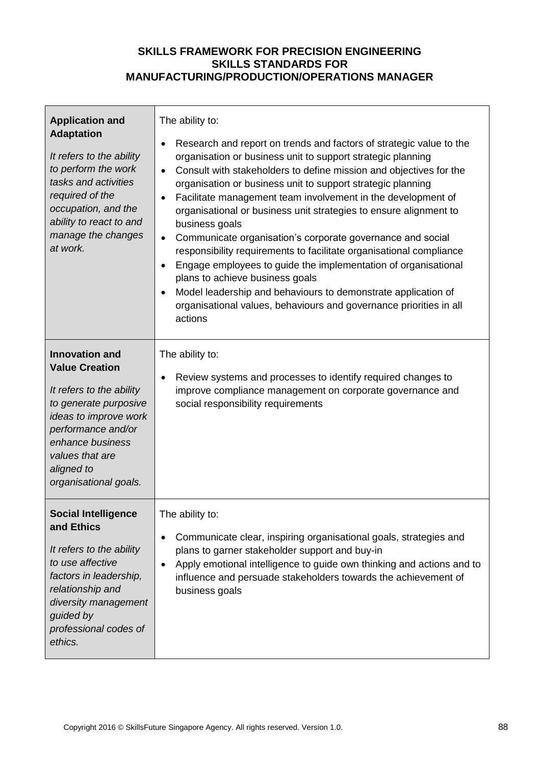| <b>Application and</b><br><b>Adaptation</b><br>It refers to the ability<br>to perform the work<br>tasks and activities<br>required of the<br>occupation, and the<br>ability to react to and<br>manage the changes<br>at work.    | The ability to:<br>Research and report on trends and factors of strategic value to the<br>$\bullet$<br>organisation or business unit to support strategic planning<br>Consult with stakeholders to define mission and objectives for the<br>$\bullet$<br>organisation or business unit to support strategic planning<br>Facilitate management team involvement in the development of<br>$\bullet$<br>organisational or business unit strategies to ensure alignment to<br>business goals<br>Communicate organisation's corporate governance and social<br>$\bullet$<br>responsibility requirements to facilitate organisational compliance<br>Engage employees to guide the implementation of organisational<br>$\bullet$<br>plans to achieve business goals<br>Model leadership and behaviours to demonstrate application of<br>$\bullet$<br>organisational values, behaviours and governance priorities in all<br>actions |
|----------------------------------------------------------------------------------------------------------------------------------------------------------------------------------------------------------------------------------|-----------------------------------------------------------------------------------------------------------------------------------------------------------------------------------------------------------------------------------------------------------------------------------------------------------------------------------------------------------------------------------------------------------------------------------------------------------------------------------------------------------------------------------------------------------------------------------------------------------------------------------------------------------------------------------------------------------------------------------------------------------------------------------------------------------------------------------------------------------------------------------------------------------------------------|
| <b>Innovation and</b><br><b>Value Creation</b><br>It refers to the ability<br>to generate purposive<br>ideas to improve work<br>performance and/or<br>enhance business<br>values that are<br>aligned to<br>organisational goals. | The ability to:<br>Review systems and processes to identify required changes to<br>$\bullet$<br>improve compliance management on corporate governance and<br>social responsibility requirements                                                                                                                                                                                                                                                                                                                                                                                                                                                                                                                                                                                                                                                                                                                             |
| <b>Social Intelligence</b><br>and Ethics<br>It refers to the ability<br>to use affective<br>factors in leadership,<br>relationship and<br>diversity management<br>guided by<br>professional codes of<br>ethics.                  | The ability to:<br>Communicate clear, inspiring organisational goals, strategies and<br>$\bullet$<br>plans to garner stakeholder support and buy-in<br>Apply emotional intelligence to guide own thinking and actions and to<br>$\bullet$<br>influence and persuade stakeholders towards the achievement of<br>business goals                                                                                                                                                                                                                                                                                                                                                                                                                                                                                                                                                                                               |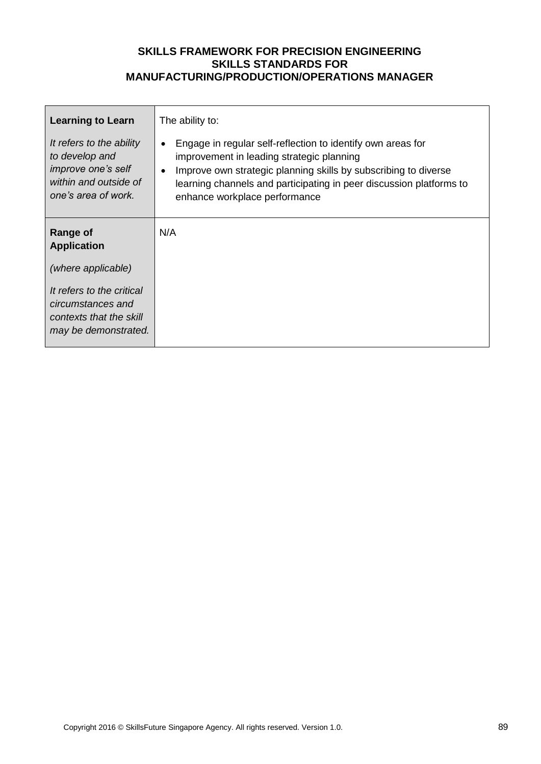| <b>Learning to Learn</b>                                                                                         | The ability to:                                                                                                                                                                                                                                                                                               |
|------------------------------------------------------------------------------------------------------------------|---------------------------------------------------------------------------------------------------------------------------------------------------------------------------------------------------------------------------------------------------------------------------------------------------------------|
| It refers to the ability<br>to develop and<br>improve one's self<br>within and outside of<br>one's area of work. | Engage in regular self-reflection to identify own areas for<br>$\bullet$<br>improvement in leading strategic planning<br>Improve own strategic planning skills by subscribing to diverse<br>$\bullet$<br>learning channels and participating in peer discussion platforms to<br>enhance workplace performance |
| <b>Range of</b><br><b>Application</b>                                                                            | N/A                                                                                                                                                                                                                                                                                                           |
| (where applicable)                                                                                               |                                                                                                                                                                                                                                                                                                               |
| It refers to the critical<br>circumstances and<br>contexts that the skill<br>may be demonstrated.                |                                                                                                                                                                                                                                                                                                               |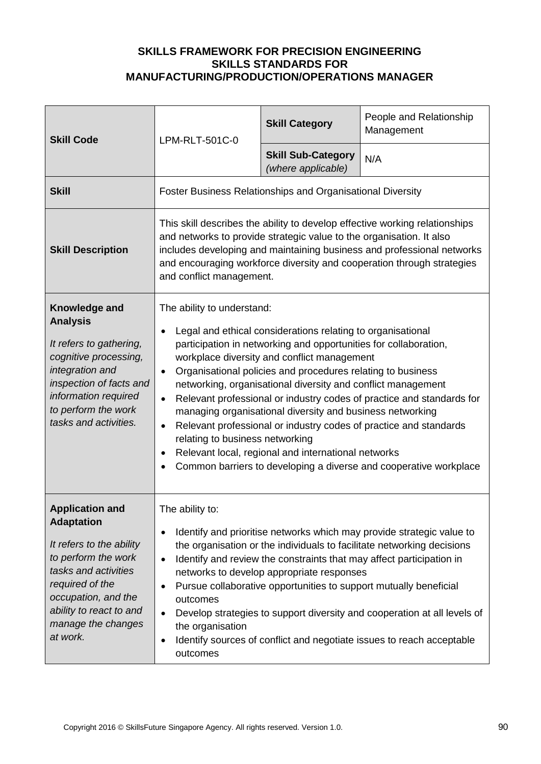| <b>Skill Code</b>                                                                                                                                                                                                             | LPM-RLT-501C-0                                                                                                                                                                                                                                                                                                                                                                                                                                                                                                                                                                                                                                                                                                                     | <b>Skill Category</b>                           | People and Relationship<br>Management |
|-------------------------------------------------------------------------------------------------------------------------------------------------------------------------------------------------------------------------------|------------------------------------------------------------------------------------------------------------------------------------------------------------------------------------------------------------------------------------------------------------------------------------------------------------------------------------------------------------------------------------------------------------------------------------------------------------------------------------------------------------------------------------------------------------------------------------------------------------------------------------------------------------------------------------------------------------------------------------|-------------------------------------------------|---------------------------------------|
|                                                                                                                                                                                                                               |                                                                                                                                                                                                                                                                                                                                                                                                                                                                                                                                                                                                                                                                                                                                    | <b>Skill Sub-Category</b><br>(where applicable) | N/A                                   |
| <b>Skill</b>                                                                                                                                                                                                                  | <b>Foster Business Relationships and Organisational Diversity</b>                                                                                                                                                                                                                                                                                                                                                                                                                                                                                                                                                                                                                                                                  |                                                 |                                       |
| <b>Skill Description</b>                                                                                                                                                                                                      | This skill describes the ability to develop effective working relationships<br>and networks to provide strategic value to the organisation. It also<br>includes developing and maintaining business and professional networks<br>and encouraging workforce diversity and cooperation through strategies<br>and conflict management.                                                                                                                                                                                                                                                                                                                                                                                                |                                                 |                                       |
| Knowledge and<br><b>Analysis</b><br>It refers to gathering,<br>cognitive processing,<br>integration and<br>inspection of facts and<br>information required<br>to perform the work<br>tasks and activities.                    | The ability to understand:<br>Legal and ethical considerations relating to organisational<br>participation in networking and opportunities for collaboration,<br>workplace diversity and conflict management<br>Organisational policies and procedures relating to business<br>networking, organisational diversity and conflict management<br>Relevant professional or industry codes of practice and standards for<br>managing organisational diversity and business networking<br>Relevant professional or industry codes of practice and standards<br>$\bullet$<br>relating to business networking<br>Relevant local, regional and international networks<br>Common barriers to developing a diverse and cooperative workplace |                                                 |                                       |
| <b>Application and</b><br><b>Adaptation</b><br>It refers to the ability<br>to perform the work<br>tasks and activities<br>required of the<br>occupation, and the<br>ability to react to and<br>manage the changes<br>at work. | The ability to:<br>Identify and prioritise networks which may provide strategic value to<br>$\bullet$<br>the organisation or the individuals to facilitate networking decisions<br>Identify and review the constraints that may affect participation in<br>$\bullet$<br>networks to develop appropriate responses<br>Pursue collaborative opportunities to support mutually beneficial<br>outcomes<br>Develop strategies to support diversity and cooperation at all levels of<br>$\bullet$<br>the organisation<br>Identify sources of conflict and negotiate issues to reach acceptable<br>outcomes                                                                                                                               |                                                 |                                       |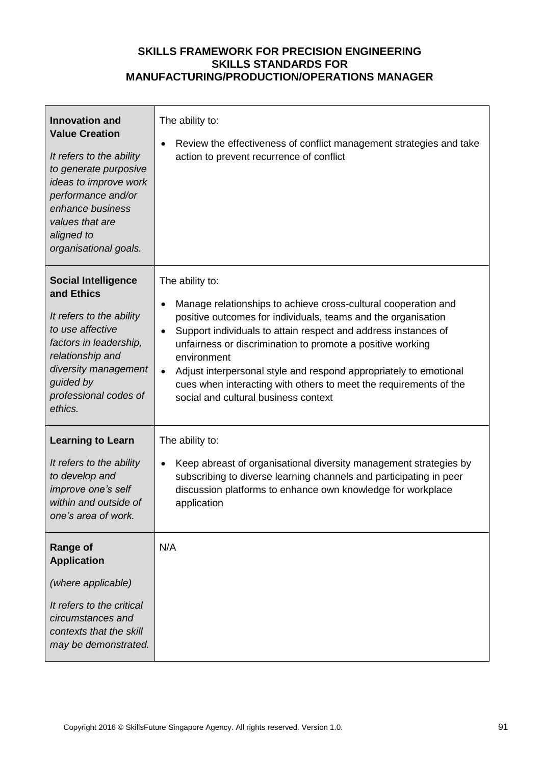| <b>Innovation and</b><br><b>Value Creation</b><br>It refers to the ability<br>to generate purposive<br>ideas to improve work<br>performance and/or<br>enhance business<br>values that are<br>aligned to<br>organisational goals. | The ability to:<br>Review the effectiveness of conflict management strategies and take<br>action to prevent recurrence of conflict                                                                                                                                                                                                                                                                                                                                                                                         |
|----------------------------------------------------------------------------------------------------------------------------------------------------------------------------------------------------------------------------------|----------------------------------------------------------------------------------------------------------------------------------------------------------------------------------------------------------------------------------------------------------------------------------------------------------------------------------------------------------------------------------------------------------------------------------------------------------------------------------------------------------------------------|
| <b>Social Intelligence</b><br>and Ethics<br>It refers to the ability<br>to use affective<br>factors in leadership,<br>relationship and<br>diversity management<br>guided by<br>professional codes of<br>ethics.                  | The ability to:<br>Manage relationships to achieve cross-cultural cooperation and<br>$\bullet$<br>positive outcomes for individuals, teams and the organisation<br>Support individuals to attain respect and address instances of<br>$\bullet$<br>unfairness or discrimination to promote a positive working<br>environment<br>Adjust interpersonal style and respond appropriately to emotional<br>$\bullet$<br>cues when interacting with others to meet the requirements of the<br>social and cultural business context |
| <b>Learning to Learn</b><br>It refers to the ability<br>to develop and<br>improve one's self<br>within and outside of<br>one's area of work.                                                                                     | The ability to:<br>Keep abreast of organisational diversity management strategies by<br>subscribing to diverse learning channels and participating in peer<br>discussion platforms to enhance own knowledge for workplace<br>application                                                                                                                                                                                                                                                                                   |
| <b>Range of</b><br><b>Application</b><br>(where applicable)<br>It refers to the critical<br>circumstances and<br>contexts that the skill<br>may be demonstrated.                                                                 | N/A                                                                                                                                                                                                                                                                                                                                                                                                                                                                                                                        |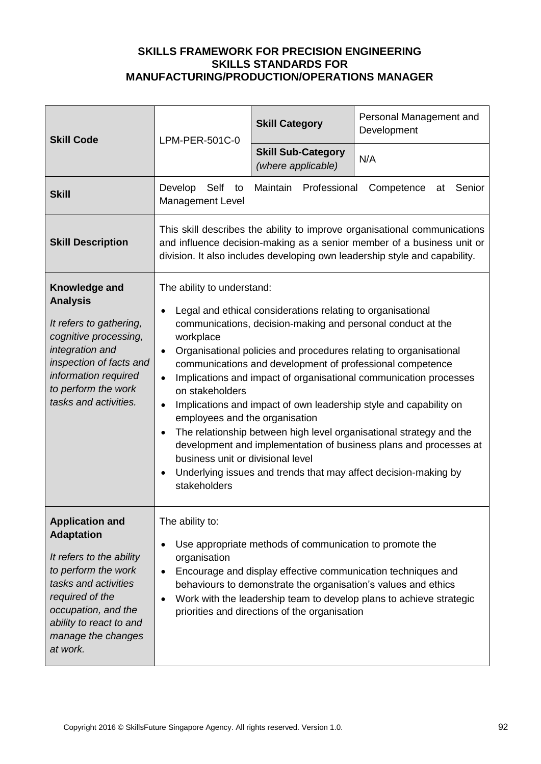| <b>Skill Code</b>                                                                                                                                                                                                             | LPM-PER-501C-0                                                                                                                                                                                                                                                                                                                                                                                                                                                                                                                                                                                                                                                                                                                                                                                                                              | <b>Skill Category</b>                           | Personal Management and<br>Development |
|-------------------------------------------------------------------------------------------------------------------------------------------------------------------------------------------------------------------------------|---------------------------------------------------------------------------------------------------------------------------------------------------------------------------------------------------------------------------------------------------------------------------------------------------------------------------------------------------------------------------------------------------------------------------------------------------------------------------------------------------------------------------------------------------------------------------------------------------------------------------------------------------------------------------------------------------------------------------------------------------------------------------------------------------------------------------------------------|-------------------------------------------------|----------------------------------------|
|                                                                                                                                                                                                                               |                                                                                                                                                                                                                                                                                                                                                                                                                                                                                                                                                                                                                                                                                                                                                                                                                                             | <b>Skill Sub-Category</b><br>(where applicable) | N/A                                    |
| <b>Skill</b>                                                                                                                                                                                                                  | Develop<br>Self<br>to<br><b>Management Level</b>                                                                                                                                                                                                                                                                                                                                                                                                                                                                                                                                                                                                                                                                                                                                                                                            | Maintain<br>Professional                        | Competence<br>Senior<br>at             |
| <b>Skill Description</b>                                                                                                                                                                                                      | This skill describes the ability to improve organisational communications<br>and influence decision-making as a senior member of a business unit or<br>division. It also includes developing own leadership style and capability.                                                                                                                                                                                                                                                                                                                                                                                                                                                                                                                                                                                                           |                                                 |                                        |
| Knowledge and<br><b>Analysis</b><br>It refers to gathering,<br>cognitive processing,<br>integration and<br>inspection of facts and<br>information required<br>to perform the work<br>tasks and activities.                    | The ability to understand:<br>Legal and ethical considerations relating to organisational<br>communications, decision-making and personal conduct at the<br>workplace<br>Organisational policies and procedures relating to organisational<br>$\bullet$<br>communications and development of professional competence<br>Implications and impact of organisational communication processes<br>$\bullet$<br>on stakeholders<br>Implications and impact of own leadership style and capability on<br>$\bullet$<br>employees and the organisation<br>The relationship between high level organisational strategy and the<br>$\bullet$<br>development and implementation of business plans and processes at<br>business unit or divisional level<br>Underlying issues and trends that may affect decision-making by<br>$\bullet$<br>stakeholders |                                                 |                                        |
| <b>Application and</b><br><b>Adaptation</b><br>It refers to the ability<br>to perform the work<br>tasks and activities<br>required of the<br>occupation, and the<br>ability to react to and<br>manage the changes<br>at work. | The ability to:<br>Use appropriate methods of communication to promote the<br>$\bullet$<br>organisation<br>Encourage and display effective communication techniques and<br>$\bullet$<br>behaviours to demonstrate the organisation's values and ethics<br>Work with the leadership team to develop plans to achieve strategic<br>priorities and directions of the organisation                                                                                                                                                                                                                                                                                                                                                                                                                                                              |                                                 |                                        |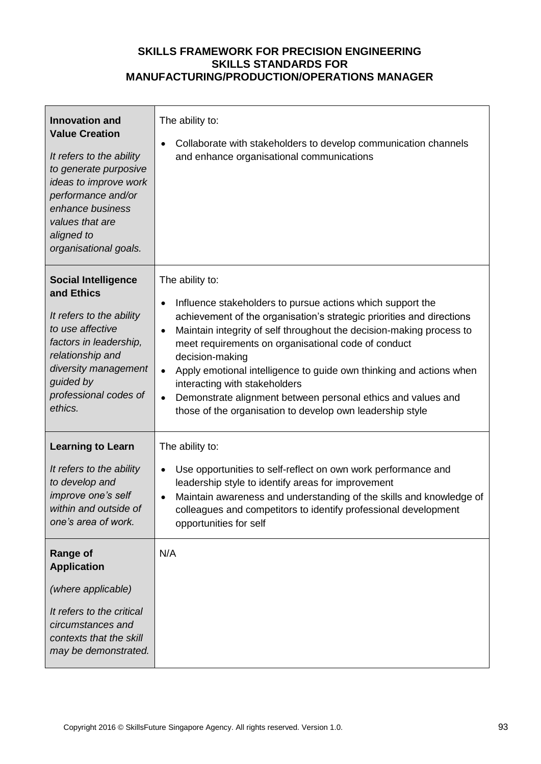| <b>Innovation and</b><br><b>Value Creation</b><br>It refers to the ability<br>to generate purposive<br>ideas to improve work<br>performance and/or<br>enhance business<br>values that are<br>aligned to<br>organisational goals. | The ability to:<br>Collaborate with stakeholders to develop communication channels<br>and enhance organisational communications                                                                                                                                                                                                                                                                                                                                                                                                                                                      |
|----------------------------------------------------------------------------------------------------------------------------------------------------------------------------------------------------------------------------------|--------------------------------------------------------------------------------------------------------------------------------------------------------------------------------------------------------------------------------------------------------------------------------------------------------------------------------------------------------------------------------------------------------------------------------------------------------------------------------------------------------------------------------------------------------------------------------------|
| <b>Social Intelligence</b><br>and Ethics<br>It refers to the ability<br>to use affective<br>factors in leadership,<br>relationship and<br>diversity management<br>guided by<br>professional codes of<br>ethics.                  | The ability to:<br>Influence stakeholders to pursue actions which support the<br>$\bullet$<br>achievement of the organisation's strategic priorities and directions<br>Maintain integrity of self throughout the decision-making process to<br>$\bullet$<br>meet requirements on organisational code of conduct<br>decision-making<br>Apply emotional intelligence to guide own thinking and actions when<br>$\bullet$<br>interacting with stakeholders<br>Demonstrate alignment between personal ethics and values and<br>those of the organisation to develop own leadership style |
| <b>Learning to Learn</b><br>It refers to the ability<br>to develop and<br>improve one's self<br>within and outside of<br>one's area of work.                                                                                     | The ability to:<br>Use opportunities to self-reflect on own work performance and<br>leadership style to identify areas for improvement<br>Maintain awareness and understanding of the skills and knowledge of<br>colleagues and competitors to identify professional development<br>opportunities for self                                                                                                                                                                                                                                                                           |
| <b>Range of</b><br><b>Application</b><br>(where applicable)<br>It refers to the critical<br>circumstances and<br>contexts that the skill<br>may be demonstrated.                                                                 | N/A                                                                                                                                                                                                                                                                                                                                                                                                                                                                                                                                                                                  |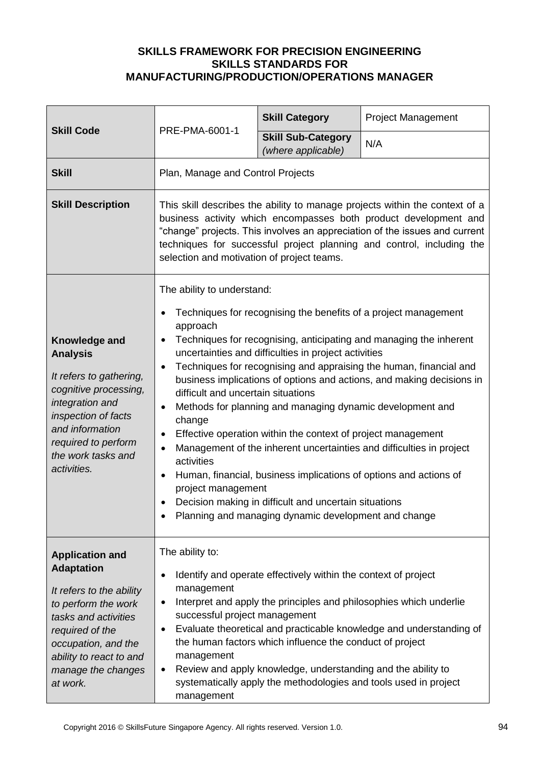|                                                                                                                                                                                                                               | PRE-PMA-6001-1                                                                                                                                                                                                                                                                                                                                                                                                                                                                                                                                                                                                                                                                                                                                                                                                                                                                                                                                                                | <b>Skill Category</b>                           | <b>Project Management</b> |
|-------------------------------------------------------------------------------------------------------------------------------------------------------------------------------------------------------------------------------|-------------------------------------------------------------------------------------------------------------------------------------------------------------------------------------------------------------------------------------------------------------------------------------------------------------------------------------------------------------------------------------------------------------------------------------------------------------------------------------------------------------------------------------------------------------------------------------------------------------------------------------------------------------------------------------------------------------------------------------------------------------------------------------------------------------------------------------------------------------------------------------------------------------------------------------------------------------------------------|-------------------------------------------------|---------------------------|
| <b>Skill Code</b>                                                                                                                                                                                                             |                                                                                                                                                                                                                                                                                                                                                                                                                                                                                                                                                                                                                                                                                                                                                                                                                                                                                                                                                                               | <b>Skill Sub-Category</b><br>(where applicable) | N/A                       |
| <b>Skill</b>                                                                                                                                                                                                                  | Plan, Manage and Control Projects                                                                                                                                                                                                                                                                                                                                                                                                                                                                                                                                                                                                                                                                                                                                                                                                                                                                                                                                             |                                                 |                           |
| <b>Skill Description</b>                                                                                                                                                                                                      | This skill describes the ability to manage projects within the context of a<br>business activity which encompasses both product development and<br>"change" projects. This involves an appreciation of the issues and current<br>techniques for successful project planning and control, including the<br>selection and motivation of project teams.                                                                                                                                                                                                                                                                                                                                                                                                                                                                                                                                                                                                                          |                                                 |                           |
| Knowledge and<br><b>Analysis</b><br>It refers to gathering,<br>cognitive processing,<br>integration and<br>inspection of facts<br>and information<br>required to perform<br>the work tasks and<br>activities.                 | The ability to understand:<br>Techniques for recognising the benefits of a project management<br>$\bullet$<br>approach<br>Techniques for recognising, anticipating and managing the inherent<br>$\bullet$<br>uncertainties and difficulties in project activities<br>Techniques for recognising and appraising the human, financial and<br>$\bullet$<br>business implications of options and actions, and making decisions in<br>difficult and uncertain situations<br>Methods for planning and managing dynamic development and<br>$\bullet$<br>change<br>Effective operation within the context of project management<br>$\bullet$<br>Management of the inherent uncertainties and difficulties in project<br>$\bullet$<br>activities<br>Human, financial, business implications of options and actions of<br>$\bullet$<br>project management<br>Decision making in difficult and uncertain situations<br>$\bullet$<br>Planning and managing dynamic development and change |                                                 |                           |
| <b>Application and</b><br><b>Adaptation</b><br>It refers to the ability<br>to perform the work<br>tasks and activities<br>required of the<br>occupation, and the<br>ability to react to and<br>manage the changes<br>at work. | The ability to:<br>Identify and operate effectively within the context of project<br>$\bullet$<br>management<br>Interpret and apply the principles and philosophies which underlie<br>٠<br>successful project management<br>Evaluate theoretical and practicable knowledge and understanding of<br>$\bullet$<br>the human factors which influence the conduct of project<br>management<br>Review and apply knowledge, understanding and the ability to<br>٠<br>systematically apply the methodologies and tools used in project<br>management                                                                                                                                                                                                                                                                                                                                                                                                                                 |                                                 |                           |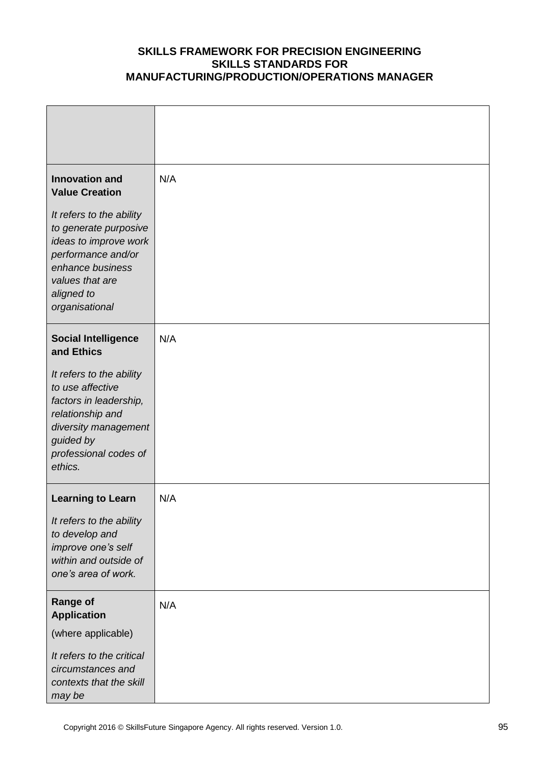| <b>Innovation and</b><br><b>Value Creation</b>                                                                                                                          | N/A |
|-------------------------------------------------------------------------------------------------------------------------------------------------------------------------|-----|
| It refers to the ability<br>to generate purposive<br>ideas to improve work<br>performance and/or<br>enhance business<br>values that are<br>aligned to<br>organisational |     |
| <b>Social Intelligence</b><br>and Ethics                                                                                                                                | N/A |
| It refers to the ability<br>to use affective<br>factors in leadership,<br>relationship and<br>diversity management<br>guided by<br>professional codes of<br>ethics.     |     |
| <b>Learning to Learn</b>                                                                                                                                                | N/A |
| It refers to the ability<br>to develop and<br>improve one's self<br>within and outside of<br>one's area of work.                                                        |     |
| <b>Range of</b><br><b>Application</b>                                                                                                                                   | N/A |
| (where applicable)                                                                                                                                                      |     |
| It refers to the critical<br>circumstances and<br>contexts that the skill<br>may be                                                                                     |     |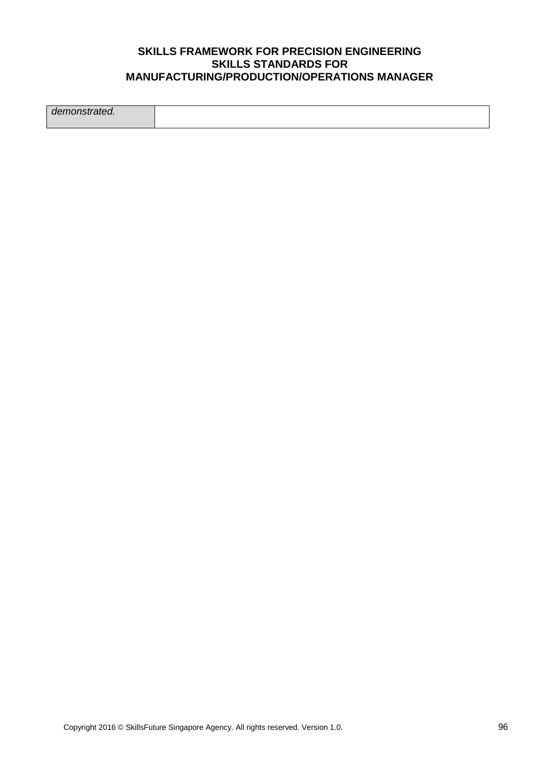*demonstrated.*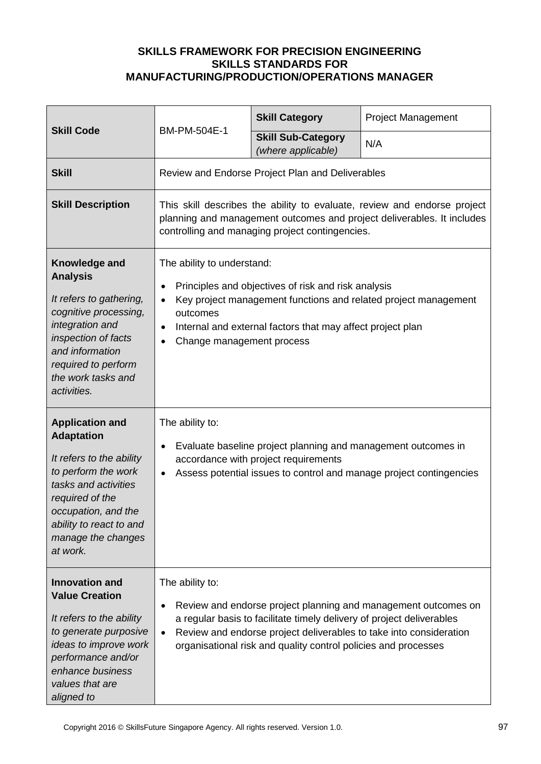| <b>Skill Code</b><br>BM-PM-504E-1                                                                                                                                                                                             |                                                                                                                                                                                                       | <b>Skill Category</b>                                                                                                                   | <b>Project Management</b>                                                                                                            |
|-------------------------------------------------------------------------------------------------------------------------------------------------------------------------------------------------------------------------------|-------------------------------------------------------------------------------------------------------------------------------------------------------------------------------------------------------|-----------------------------------------------------------------------------------------------------------------------------------------|--------------------------------------------------------------------------------------------------------------------------------------|
|                                                                                                                                                                                                                               |                                                                                                                                                                                                       | <b>Skill Sub-Category</b><br>(where applicable)                                                                                         | N/A                                                                                                                                  |
| <b>Skill</b>                                                                                                                                                                                                                  |                                                                                                                                                                                                       | Review and Endorse Project Plan and Deliverables                                                                                        |                                                                                                                                      |
| <b>Skill Description</b>                                                                                                                                                                                                      | This skill describes the ability to evaluate, review and endorse project<br>planning and management outcomes and project deliverables. It includes<br>controlling and managing project contingencies. |                                                                                                                                         |                                                                                                                                      |
| Knowledge and<br><b>Analysis</b><br>It refers to gathering,<br>cognitive processing,<br>integration and<br>inspection of facts<br>and information<br>required to perform<br>the work tasks and<br>activities.                 | The ability to understand:<br>$\bullet$<br>outcomes<br>$\bullet$<br>Change management process                                                                                                         | Principles and objectives of risk and risk analysis<br>Internal and external factors that may affect project plan                       | Key project management functions and related project management                                                                      |
| <b>Application and</b><br><b>Adaptation</b><br>It refers to the ability<br>to perform the work<br>tasks and activities<br>required of the<br>occupation, and the<br>ability to react to and<br>manage the changes<br>at work. | The ability to:<br>$\bullet$<br>$\bullet$                                                                                                                                                             | Evaluate baseline project planning and management outcomes in<br>accordance with project requirements                                   | Assess potential issues to control and manage project contingencies                                                                  |
| <b>Innovation and</b><br><b>Value Creation</b><br>It refers to the ability<br>to generate purposive<br>ideas to improve work<br>performance and/or<br>enhance business<br>values that are<br>aligned to                       | The ability to:<br>$\bullet$                                                                                                                                                                          | a regular basis to facilitate timely delivery of project deliverables<br>organisational risk and quality control policies and processes | Review and endorse project planning and management outcomes on<br>Review and endorse project deliverables to take into consideration |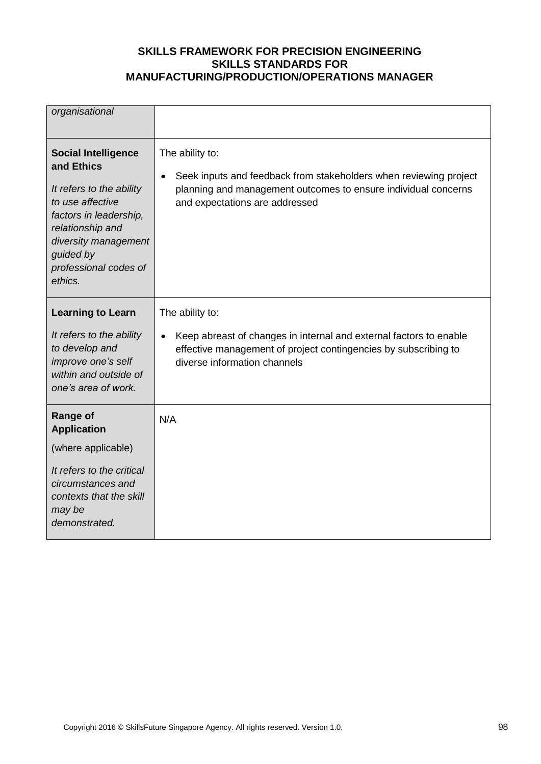| organisational                                                                                                                                                                                                  |                                                                                                                                                                                                       |
|-----------------------------------------------------------------------------------------------------------------------------------------------------------------------------------------------------------------|-------------------------------------------------------------------------------------------------------------------------------------------------------------------------------------------------------|
| <b>Social Intelligence</b><br>and Ethics<br>It refers to the ability<br>to use affective<br>factors in leadership,<br>relationship and<br>diversity management<br>guided by<br>professional codes of<br>ethics. | The ability to:<br>Seek inputs and feedback from stakeholders when reviewing project<br>$\bullet$<br>planning and management outcomes to ensure individual concerns<br>and expectations are addressed |
| <b>Learning to Learn</b><br>It refers to the ability<br>to develop and<br>improve one's self<br>within and outside of<br>one's area of work.                                                                    | The ability to:<br>Keep abreast of changes in internal and external factors to enable<br>$\bullet$<br>effective management of project contingencies by subscribing to<br>diverse information channels |
| <b>Range of</b><br><b>Application</b><br>(where applicable)<br>It refers to the critical<br>circumstances and<br>contexts that the skill<br>may be<br>demonstrated.                                             | N/A                                                                                                                                                                                                   |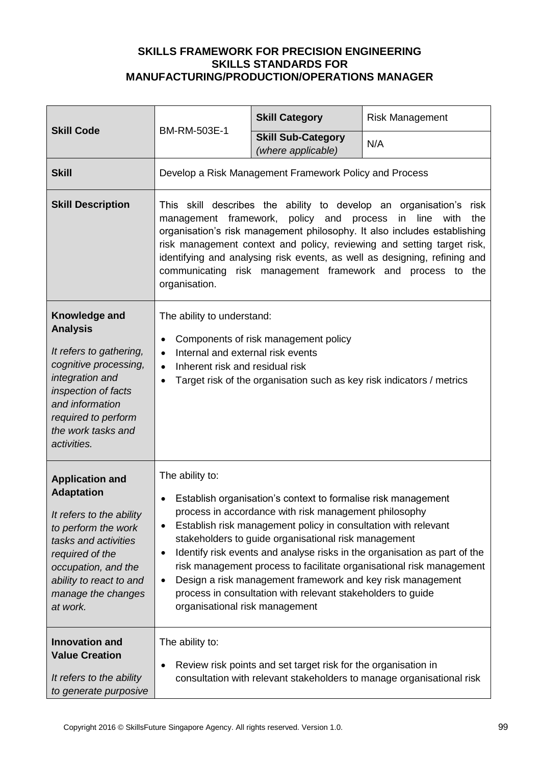|                                                                                                                                                                                                                               | BM-RM-503E-1                                                                                                                                                                                                                                                                                                                                                                                                                                                                                                                                                                                                                   | <b>Skill Category</b>                           | <b>Risk Management</b> |
|-------------------------------------------------------------------------------------------------------------------------------------------------------------------------------------------------------------------------------|--------------------------------------------------------------------------------------------------------------------------------------------------------------------------------------------------------------------------------------------------------------------------------------------------------------------------------------------------------------------------------------------------------------------------------------------------------------------------------------------------------------------------------------------------------------------------------------------------------------------------------|-------------------------------------------------|------------------------|
| <b>Skill Code</b>                                                                                                                                                                                                             |                                                                                                                                                                                                                                                                                                                                                                                                                                                                                                                                                                                                                                | <b>Skill Sub-Category</b><br>(where applicable) | N/A                    |
| <b>Skill</b>                                                                                                                                                                                                                  | Develop a Risk Management Framework Policy and Process                                                                                                                                                                                                                                                                                                                                                                                                                                                                                                                                                                         |                                                 |                        |
| <b>Skill Description</b>                                                                                                                                                                                                      | This skill describes the ability to develop an organisation's<br>risk<br>management framework, policy and process<br>the<br>in line<br>with<br>organisation's risk management philosophy. It also includes establishing<br>risk management context and policy, reviewing and setting target risk,<br>identifying and analysing risk events, as well as designing, refining and<br>communicating risk management framework and process to the<br>organisation.                                                                                                                                                                  |                                                 |                        |
| Knowledge and<br><b>Analysis</b><br>It refers to gathering,<br>cognitive processing,<br>integration and<br>inspection of facts<br>and information<br>required to perform<br>the work tasks and<br>activities.                 | The ability to understand:<br>Components of risk management policy<br>$\bullet$<br>Internal and external risk events<br>$\bullet$<br>Inherent risk and residual risk<br>$\bullet$<br>Target risk of the organisation such as key risk indicators / metrics                                                                                                                                                                                                                                                                                                                                                                     |                                                 |                        |
| <b>Application and</b><br><b>Adaptation</b><br>It refers to the ability<br>to perform the work<br>tasks and activities<br>required of the<br>occupation, and the<br>ability to react to and<br>manage the changes<br>at work. | The ability to:<br>Establish organisation's context to formalise risk management<br>process in accordance with risk management philosophy<br>Establish risk management policy in consultation with relevant<br>$\bullet$<br>stakeholders to guide organisational risk management<br>Identify risk events and analyse risks in the organisation as part of the<br>$\bullet$<br>risk management process to facilitate organisational risk management<br>Design a risk management framework and key risk management<br>$\bullet$<br>process in consultation with relevant stakeholders to guide<br>organisational risk management |                                                 |                        |
| <b>Innovation and</b><br><b>Value Creation</b><br>It refers to the ability<br>to generate purposive                                                                                                                           | The ability to:<br>Review risk points and set target risk for the organisation in<br>٠<br>consultation with relevant stakeholders to manage organisational risk                                                                                                                                                                                                                                                                                                                                                                                                                                                                |                                                 |                        |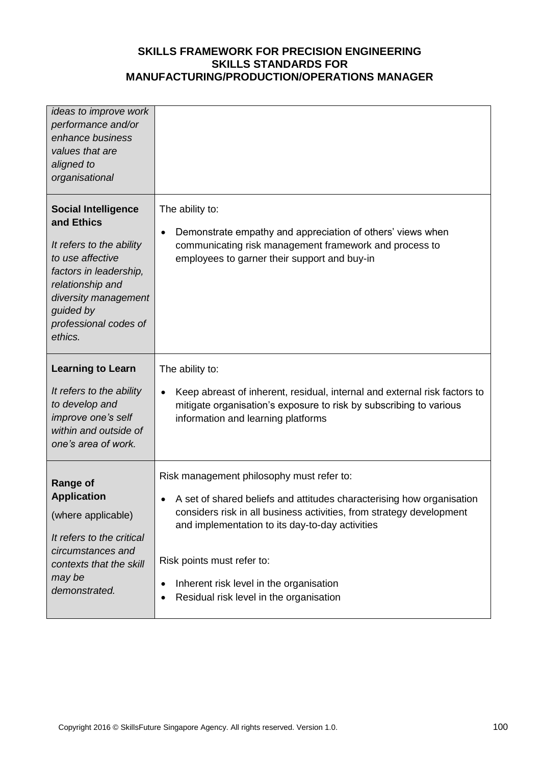| ideas to improve work<br>performance and/or<br>enhance business<br>values that are<br>aligned to<br>organisational                                                                                              |                                                                                                                                                                                                                                                                                                                                                                                             |
|-----------------------------------------------------------------------------------------------------------------------------------------------------------------------------------------------------------------|---------------------------------------------------------------------------------------------------------------------------------------------------------------------------------------------------------------------------------------------------------------------------------------------------------------------------------------------------------------------------------------------|
| <b>Social Intelligence</b><br>and Ethics<br>It refers to the ability<br>to use affective<br>factors in leadership,<br>relationship and<br>diversity management<br>guided by<br>professional codes of<br>ethics. | The ability to:<br>Demonstrate empathy and appreciation of others' views when<br>$\bullet$<br>communicating risk management framework and process to<br>employees to garner their support and buy-in                                                                                                                                                                                        |
| <b>Learning to Learn</b><br>It refers to the ability<br>to develop and<br>improve one's self<br>within and outside of<br>one's area of work.                                                                    | The ability to:<br>Keep abreast of inherent, residual, internal and external risk factors to<br>mitigate organisation's exposure to risk by subscribing to various<br>information and learning platforms                                                                                                                                                                                    |
| <b>Range of</b><br><b>Application</b><br>(where applicable)<br>It refers to the critical<br>circumstances and<br>contexts that the skill<br>may be<br>demonstrated.                                             | Risk management philosophy must refer to:<br>A set of shared beliefs and attitudes characterising how organisation<br>considers risk in all business activities, from strategy development<br>and implementation to its day-to-day activities<br>Risk points must refer to:<br>Inherent risk level in the organisation<br>$\bullet$<br>Residual risk level in the organisation<br>$\bullet$ |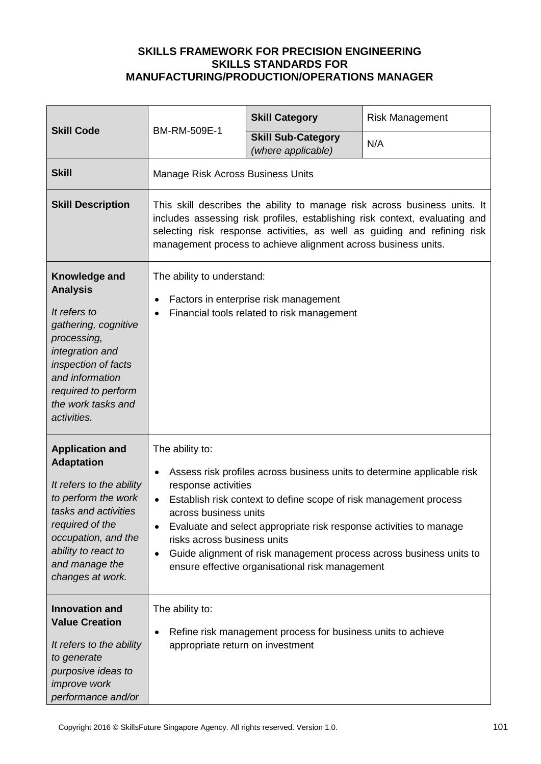|                                                                                                                                                                                                                               | BM-RM-509E-1                                                                                                                                                                                                                                                                                                                                                                                                                                                                               | <b>Skill Category</b>                           | <b>Risk Management</b> |
|-------------------------------------------------------------------------------------------------------------------------------------------------------------------------------------------------------------------------------|--------------------------------------------------------------------------------------------------------------------------------------------------------------------------------------------------------------------------------------------------------------------------------------------------------------------------------------------------------------------------------------------------------------------------------------------------------------------------------------------|-------------------------------------------------|------------------------|
| <b>Skill Code</b>                                                                                                                                                                                                             |                                                                                                                                                                                                                                                                                                                                                                                                                                                                                            | <b>Skill Sub-Category</b><br>(where applicable) | N/A                    |
| <b>Skill</b>                                                                                                                                                                                                                  | Manage Risk Across Business Units                                                                                                                                                                                                                                                                                                                                                                                                                                                          |                                                 |                        |
| <b>Skill Description</b>                                                                                                                                                                                                      | This skill describes the ability to manage risk across business units. It<br>includes assessing risk profiles, establishing risk context, evaluating and<br>selecting risk response activities, as well as guiding and refining risk<br>management process to achieve alignment across business units.                                                                                                                                                                                     |                                                 |                        |
| Knowledge and<br><b>Analysis</b><br>It refers to<br>gathering, cognitive<br>processing,<br>integration and<br>inspection of facts<br>and information<br>required to perform<br>the work tasks and<br>activities.              | The ability to understand:<br>Factors in enterprise risk management<br>٠<br>Financial tools related to risk management<br>$\bullet$                                                                                                                                                                                                                                                                                                                                                        |                                                 |                        |
| <b>Application and</b><br><b>Adaptation</b><br>It refers to the ability<br>to perform the work<br>tasks and activities<br>required of the<br>occupation, and the<br>ability to react to<br>and manage the<br>changes at work. | The ability to:<br>Assess risk profiles across business units to determine applicable risk<br>$\bullet$<br>response activities<br>Establish risk context to define scope of risk management process<br>$\bullet$<br>across business units<br>Evaluate and select appropriate risk response activities to manage<br>٠<br>risks across business units<br>Guide alignment of risk management process across business units to<br>$\bullet$<br>ensure effective organisational risk management |                                                 |                        |
| <b>Innovation and</b><br><b>Value Creation</b><br>It refers to the ability<br>to generate<br>purposive ideas to<br><i>improve</i> work<br>performance and/or                                                                  | The ability to:<br>Refine risk management process for business units to achieve<br>٠<br>appropriate return on investment                                                                                                                                                                                                                                                                                                                                                                   |                                                 |                        |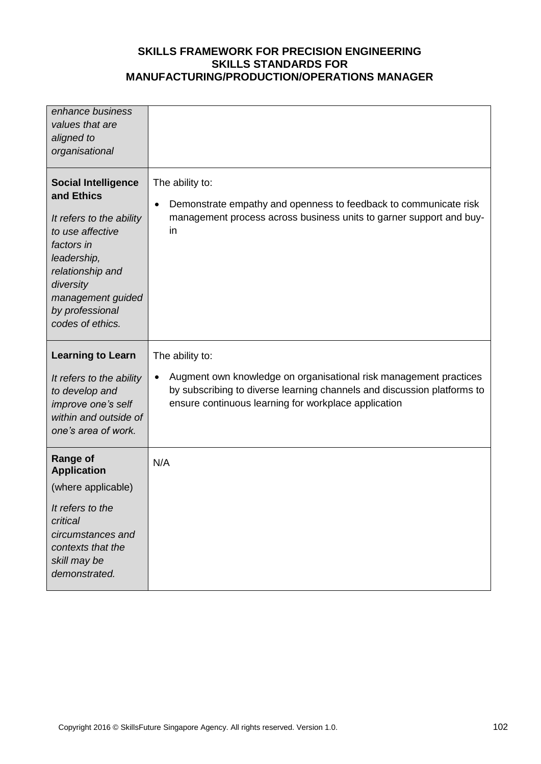| enhance business<br>values that are<br>aligned to<br>organisational                                                                                                                                                |                                                                                                                                                                                                                   |
|--------------------------------------------------------------------------------------------------------------------------------------------------------------------------------------------------------------------|-------------------------------------------------------------------------------------------------------------------------------------------------------------------------------------------------------------------|
| <b>Social Intelligence</b><br>and Ethics<br>It refers to the ability<br>to use affective<br>factors in<br>leadership,<br>relationship and<br>diversity<br>management guided<br>by professional<br>codes of ethics. | The ability to:<br>Demonstrate empathy and openness to feedback to communicate risk<br>$\bullet$<br>management process across business units to garner support and buy-<br>in                                     |
| <b>Learning to Learn</b>                                                                                                                                                                                           | The ability to:                                                                                                                                                                                                   |
|                                                                                                                                                                                                                    |                                                                                                                                                                                                                   |
| It refers to the ability<br>to develop and<br>improve one's self<br>within and outside of<br>one's area of work.                                                                                                   | Augment own knowledge on organisational risk management practices<br>$\bullet$<br>by subscribing to diverse learning channels and discussion platforms to<br>ensure continuous learning for workplace application |
| <b>Range of</b><br><b>Application</b>                                                                                                                                                                              | N/A                                                                                                                                                                                                               |
| (where applicable)                                                                                                                                                                                                 |                                                                                                                                                                                                                   |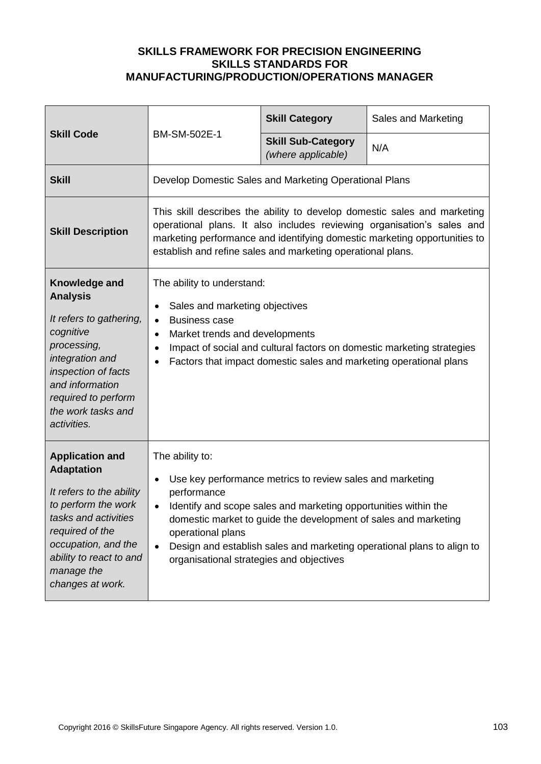| <b>Skill Code</b><br>BM-SM-502E-1                                                                                                                                                                                             |                                                                                                                                                                                                                                                                                                                                                                                                                     | <b>Skill Category</b> | Sales and Marketing |
|-------------------------------------------------------------------------------------------------------------------------------------------------------------------------------------------------------------------------------|---------------------------------------------------------------------------------------------------------------------------------------------------------------------------------------------------------------------------------------------------------------------------------------------------------------------------------------------------------------------------------------------------------------------|-----------------------|---------------------|
|                                                                                                                                                                                                                               | <b>Skill Sub-Category</b><br>(where applicable)                                                                                                                                                                                                                                                                                                                                                                     | N/A                   |                     |
| <b>Skill</b>                                                                                                                                                                                                                  | Develop Domestic Sales and Marketing Operational Plans                                                                                                                                                                                                                                                                                                                                                              |                       |                     |
| <b>Skill Description</b>                                                                                                                                                                                                      | This skill describes the ability to develop domestic sales and marketing<br>operational plans. It also includes reviewing organisation's sales and<br>marketing performance and identifying domestic marketing opportunities to<br>establish and refine sales and marketing operational plans.                                                                                                                      |                       |                     |
| Knowledge and<br><b>Analysis</b><br>It refers to gathering,<br>cognitive<br>processing,<br>integration and<br>inspection of facts<br>and information<br>required to perform<br>the work tasks and<br>activities.              | The ability to understand:<br>Sales and marketing objectives<br>$\bullet$<br><b>Business case</b><br>$\bullet$<br>Market trends and developments<br>$\bullet$<br>Impact of social and cultural factors on domestic marketing strategies<br>$\bullet$<br>Factors that impact domestic sales and marketing operational plans<br>$\bullet$                                                                             |                       |                     |
| <b>Application and</b><br><b>Adaptation</b><br>It refers to the ability<br>to perform the work<br>tasks and activities<br>required of the<br>occupation, and the<br>ability to react to and<br>manage the<br>changes at work. | The ability to:<br>Use key performance metrics to review sales and marketing<br>$\bullet$<br>performance<br>Identify and scope sales and marketing opportunities within the<br>$\bullet$<br>domestic market to guide the development of sales and marketing<br>operational plans<br>Design and establish sales and marketing operational plans to align to<br>$\bullet$<br>organisational strategies and objectives |                       |                     |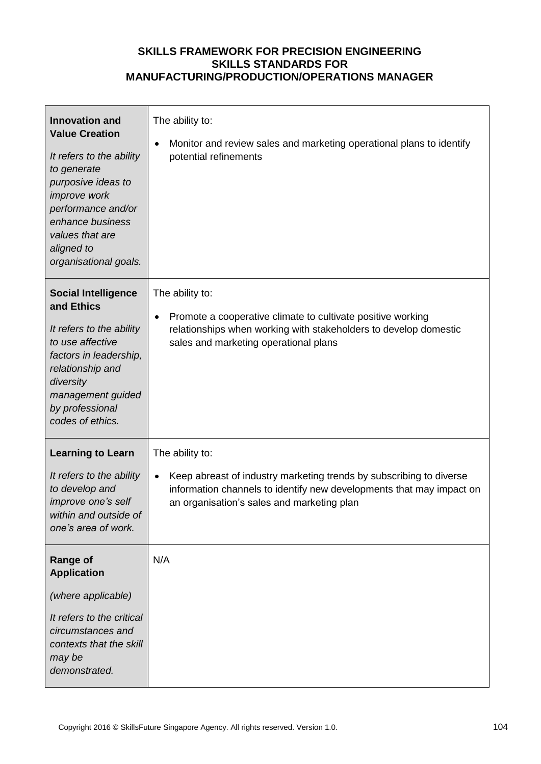| <b>Innovation and</b><br><b>Value Creation</b><br>It refers to the ability<br>to generate<br>purposive ideas to<br>improve work<br>performance and/or<br>enhance business<br>values that are<br>aligned to<br>organisational goals. | The ability to:<br>Monitor and review sales and marketing operational plans to identify<br>potential refinements                                                                                             |
|-------------------------------------------------------------------------------------------------------------------------------------------------------------------------------------------------------------------------------------|--------------------------------------------------------------------------------------------------------------------------------------------------------------------------------------------------------------|
| <b>Social Intelligence</b><br>and Ethics<br>It refers to the ability<br>to use affective<br>factors in leadership,<br>relationship and<br>diversity<br>management guided<br>by professional<br>codes of ethics.                     | The ability to:<br>Promote a cooperative climate to cultivate positive working<br>relationships when working with stakeholders to develop domestic<br>sales and marketing operational plans                  |
| <b>Learning to Learn</b><br>It refers to the ability<br>to develop and<br>improve one's self<br>within and outside of<br>one's area of work.                                                                                        | The ability to:<br>Keep abreast of industry marketing trends by subscribing to diverse<br>information channels to identify new developments that may impact on<br>an organisation's sales and marketing plan |
| <b>Range of</b><br><b>Application</b><br>(where applicable)<br>It refers to the critical<br>circumstances and<br>contexts that the skill<br>may be<br>demonstrated.                                                                 | N/A                                                                                                                                                                                                          |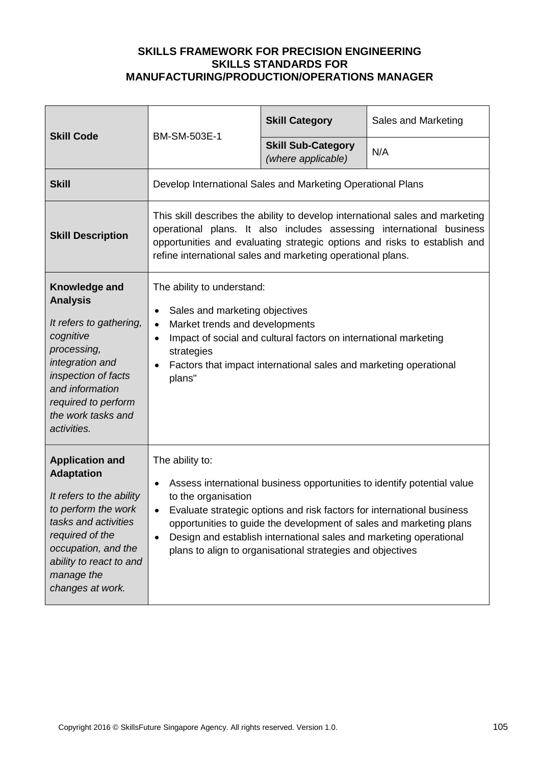| <b>Skill Code</b>                                                                                                                                                                                                             | BM-SM-503E-1                                                                                                                                                                                                                                                                                                                                                                                                        | <b>Skill Category</b>                           | Sales and Marketing |
|-------------------------------------------------------------------------------------------------------------------------------------------------------------------------------------------------------------------------------|---------------------------------------------------------------------------------------------------------------------------------------------------------------------------------------------------------------------------------------------------------------------------------------------------------------------------------------------------------------------------------------------------------------------|-------------------------------------------------|---------------------|
|                                                                                                                                                                                                                               |                                                                                                                                                                                                                                                                                                                                                                                                                     | <b>Skill Sub-Category</b><br>(where applicable) | N/A                 |
| <b>Skill</b>                                                                                                                                                                                                                  | Develop International Sales and Marketing Operational Plans                                                                                                                                                                                                                                                                                                                                                         |                                                 |                     |
| <b>Skill Description</b>                                                                                                                                                                                                      | This skill describes the ability to develop international sales and marketing<br>operational plans. It also includes assessing international business<br>opportunities and evaluating strategic options and risks to establish and<br>refine international sales and marketing operational plans.                                                                                                                   |                                                 |                     |
| Knowledge and<br><b>Analysis</b><br>It refers to gathering,<br>cognitive<br>processing,<br>integration and<br>inspection of facts<br>and information<br>required to perform<br>the work tasks and<br>activities.              | The ability to understand:<br>Sales and marketing objectives<br>$\bullet$<br>Market trends and developments<br>$\bullet$<br>Impact of social and cultural factors on international marketing<br>strategies<br>Factors that impact international sales and marketing operational<br>plans"                                                                                                                           |                                                 |                     |
| <b>Application and</b><br><b>Adaptation</b><br>It refers to the ability<br>to perform the work<br>tasks and activities<br>required of the<br>occupation, and the<br>ability to react to and<br>manage the<br>changes at work. | The ability to:<br>Assess international business opportunities to identify potential value<br>to the organisation<br>Evaluate strategic options and risk factors for international business<br>opportunities to guide the development of sales and marketing plans<br>Design and establish international sales and marketing operational<br>$\bullet$<br>plans to align to organisational strategies and objectives |                                                 |                     |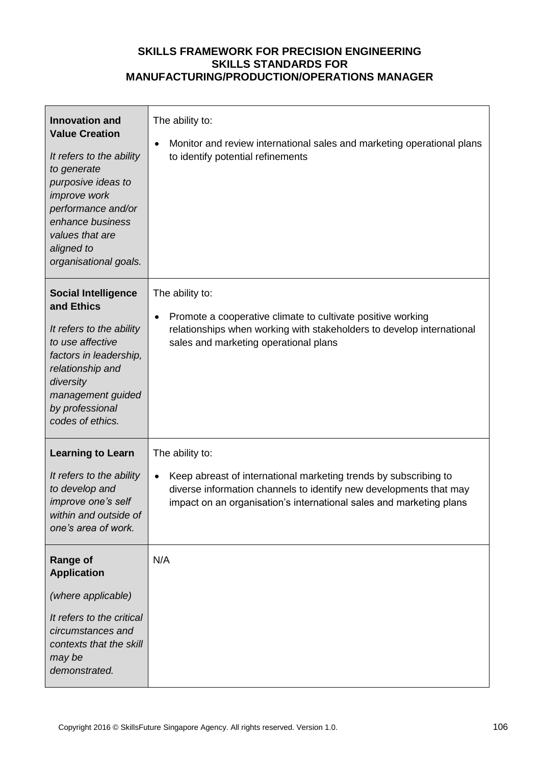| <b>Innovation and</b><br><b>Value Creation</b><br>It refers to the ability<br>to generate<br>purposive ideas to<br>improve work<br>performance and/or<br>enhance business<br>values that are<br>aligned to<br>organisational goals. | The ability to:<br>Monitor and review international sales and marketing operational plans<br>to identify potential refinements                                                                                                                |
|-------------------------------------------------------------------------------------------------------------------------------------------------------------------------------------------------------------------------------------|-----------------------------------------------------------------------------------------------------------------------------------------------------------------------------------------------------------------------------------------------|
| <b>Social Intelligence</b><br>and Ethics<br>It refers to the ability<br>to use affective<br>factors in leadership,<br>relationship and<br>diversity<br>management guided<br>by professional<br>codes of ethics.                     | The ability to:<br>Promote a cooperative climate to cultivate positive working<br>relationships when working with stakeholders to develop international<br>sales and marketing operational plans                                              |
| <b>Learning to Learn</b><br>It refers to the ability<br>to develop and<br>improve one's self<br>within and outside of<br>one's area of work.                                                                                        | The ability to:<br>Keep abreast of international marketing trends by subscribing to<br>$\bullet$<br>diverse information channels to identify new developments that may<br>impact on an organisation's international sales and marketing plans |
| <b>Range of</b><br><b>Application</b><br>(where applicable)<br>It refers to the critical<br>circumstances and<br>contexts that the skill<br>may be<br>demonstrated.                                                                 | N/A                                                                                                                                                                                                                                           |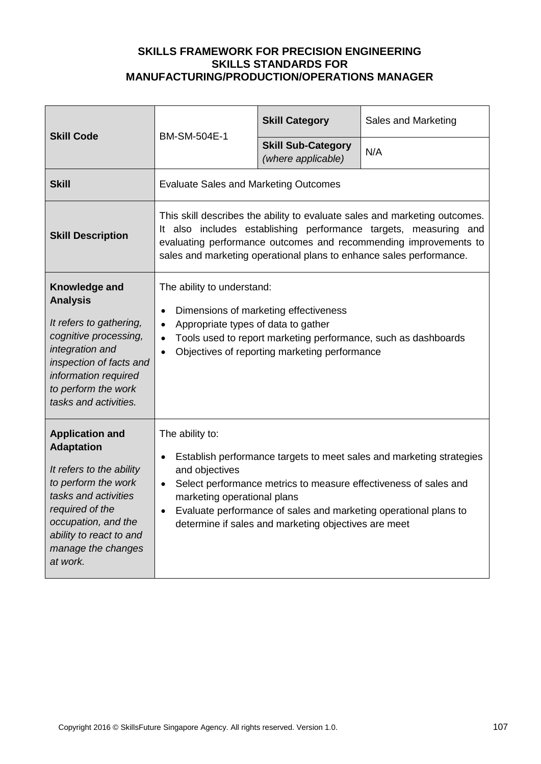| <b>Skill Code</b>                                                                                                                                                                                                             | BM-SM-504E-1                                                                                                                                                                                                                                                                                                                                          | <b>Skill Category</b>                           | Sales and Marketing |
|-------------------------------------------------------------------------------------------------------------------------------------------------------------------------------------------------------------------------------|-------------------------------------------------------------------------------------------------------------------------------------------------------------------------------------------------------------------------------------------------------------------------------------------------------------------------------------------------------|-------------------------------------------------|---------------------|
|                                                                                                                                                                                                                               |                                                                                                                                                                                                                                                                                                                                                       | <b>Skill Sub-Category</b><br>(where applicable) | N/A                 |
| <b>Skill</b>                                                                                                                                                                                                                  | <b>Evaluate Sales and Marketing Outcomes</b>                                                                                                                                                                                                                                                                                                          |                                                 |                     |
| <b>Skill Description</b>                                                                                                                                                                                                      | This skill describes the ability to evaluate sales and marketing outcomes.<br>It also includes establishing performance targets, measuring and<br>evaluating performance outcomes and recommending improvements to<br>sales and marketing operational plans to enhance sales performance.                                                             |                                                 |                     |
| Knowledge and<br><b>Analysis</b><br>It refers to gathering,<br>cognitive processing,<br>integration and<br>inspection of facts and<br>information required<br>to perform the work<br>tasks and activities.                    | The ability to understand:<br>Dimensions of marketing effectiveness<br>$\bullet$<br>Appropriate types of data to gather<br>Tools used to report marketing performance, such as dashboards<br>Objectives of reporting marketing performance                                                                                                            |                                                 |                     |
| <b>Application and</b><br><b>Adaptation</b><br>It refers to the ability<br>to perform the work<br>tasks and activities<br>required of the<br>occupation, and the<br>ability to react to and<br>manage the changes<br>at work. | The ability to:<br>Establish performance targets to meet sales and marketing strategies<br>and objectives<br>Select performance metrics to measure effectiveness of sales and<br>$\bullet$<br>marketing operational plans<br>Evaluate performance of sales and marketing operational plans to<br>determine if sales and marketing objectives are meet |                                                 |                     |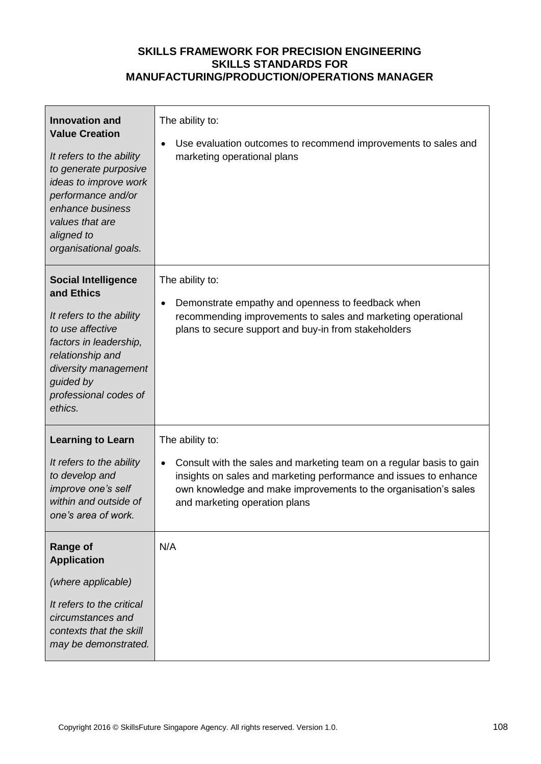| <b>Innovation and</b><br><b>Value Creation</b><br>It refers to the ability<br>to generate purposive<br>ideas to improve work<br>performance and/or<br>enhance business<br>values that are<br>aligned to<br>organisational goals. | The ability to:<br>Use evaluation outcomes to recommend improvements to sales and<br>$\bullet$<br>marketing operational plans                                                                                                                                                 |
|----------------------------------------------------------------------------------------------------------------------------------------------------------------------------------------------------------------------------------|-------------------------------------------------------------------------------------------------------------------------------------------------------------------------------------------------------------------------------------------------------------------------------|
| <b>Social Intelligence</b><br>and Ethics<br>It refers to the ability<br>to use affective<br>factors in leadership,<br>relationship and<br>diversity management<br>guided by<br>professional codes of<br>ethics.                  | The ability to:<br>Demonstrate empathy and openness to feedback when<br>$\bullet$<br>recommending improvements to sales and marketing operational<br>plans to secure support and buy-in from stakeholders                                                                     |
| <b>Learning to Learn</b><br>It refers to the ability<br>to develop and<br>improve one's self<br>within and outside of<br>one's area of work.                                                                                     | The ability to:<br>Consult with the sales and marketing team on a regular basis to gain<br>$\bullet$<br>insights on sales and marketing performance and issues to enhance<br>own knowledge and make improvements to the organisation's sales<br>and marketing operation plans |
| <b>Range of</b><br><b>Application</b><br>(where applicable)<br>It refers to the critical<br>circumstances and<br>contexts that the skill<br>may be demonstrated.                                                                 | N/A                                                                                                                                                                                                                                                                           |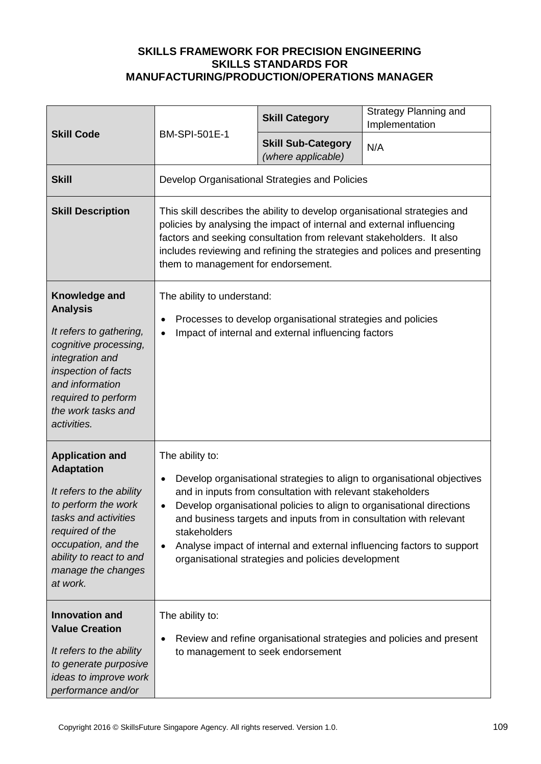| <b>Skill Code</b>                                                                                                                                                                                                             | <b>BM-SPI-501E-1</b>                                                                                                                                                                                                                                                                                                                                                                                                                                                 | <b>Skill Category</b>                           | Strategy Planning and<br>Implementation |
|-------------------------------------------------------------------------------------------------------------------------------------------------------------------------------------------------------------------------------|----------------------------------------------------------------------------------------------------------------------------------------------------------------------------------------------------------------------------------------------------------------------------------------------------------------------------------------------------------------------------------------------------------------------------------------------------------------------|-------------------------------------------------|-----------------------------------------|
|                                                                                                                                                                                                                               |                                                                                                                                                                                                                                                                                                                                                                                                                                                                      | <b>Skill Sub-Category</b><br>(where applicable) | N/A                                     |
| <b>Skill</b>                                                                                                                                                                                                                  | Develop Organisational Strategies and Policies                                                                                                                                                                                                                                                                                                                                                                                                                       |                                                 |                                         |
| <b>Skill Description</b>                                                                                                                                                                                                      | This skill describes the ability to develop organisational strategies and<br>policies by analysing the impact of internal and external influencing<br>factors and seeking consultation from relevant stakeholders. It also<br>includes reviewing and refining the strategies and polices and presenting<br>them to management for endorsement.                                                                                                                       |                                                 |                                         |
| Knowledge and<br><b>Analysis</b><br>It refers to gathering,<br>cognitive processing,<br>integration and<br>inspection of facts<br>and information<br>required to perform<br>the work tasks and<br>activities.                 | The ability to understand:<br>Processes to develop organisational strategies and policies<br>$\bullet$<br>Impact of internal and external influencing factors<br>$\bullet$                                                                                                                                                                                                                                                                                           |                                                 |                                         |
| <b>Application and</b><br><b>Adaptation</b><br>It refers to the ability<br>to perform the work<br>tasks and activities<br>required of the<br>occupation, and the<br>ability to react to and<br>manage the changes<br>at work. | The ability to:<br>Develop organisational strategies to align to organisational objectives<br>and in inputs from consultation with relevant stakeholders<br>Develop organisational policies to align to organisational directions<br>and business targets and inputs from in consultation with relevant<br>stakeholders<br>Analyse impact of internal and external influencing factors to support<br>$\bullet$<br>organisational strategies and policies development |                                                 |                                         |
| <b>Innovation and</b><br><b>Value Creation</b><br>It refers to the ability<br>to generate purposive<br>ideas to improve work<br>performance and/or                                                                            | The ability to:<br>Review and refine organisational strategies and policies and present<br>$\bullet$<br>to management to seek endorsement                                                                                                                                                                                                                                                                                                                            |                                                 |                                         |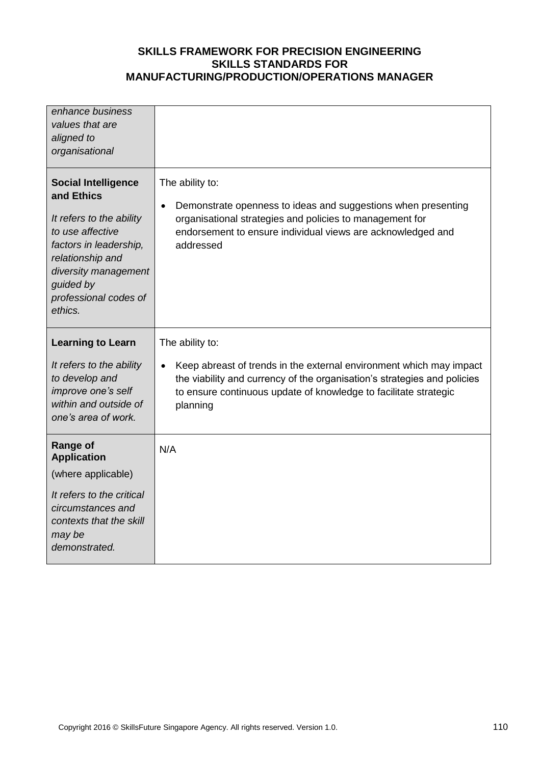| enhance business<br>values that are<br>aligned to<br>organisational                                                                                                                                             |                                                                                                                                                                                                                                                                 |
|-----------------------------------------------------------------------------------------------------------------------------------------------------------------------------------------------------------------|-----------------------------------------------------------------------------------------------------------------------------------------------------------------------------------------------------------------------------------------------------------------|
| <b>Social Intelligence</b><br>and Ethics<br>It refers to the ability<br>to use affective<br>factors in leadership,<br>relationship and<br>diversity management<br>guided by<br>professional codes of<br>ethics. | The ability to:<br>Demonstrate openness to ideas and suggestions when presenting<br>$\bullet$<br>organisational strategies and policies to management for<br>endorsement to ensure individual views are acknowledged and<br>addressed                           |
| <b>Learning to Learn</b><br>It refers to the ability<br>to develop and<br>improve one's self<br>within and outside of<br>one's area of work.                                                                    | The ability to:<br>Keep abreast of trends in the external environment which may impact<br>$\bullet$<br>the viability and currency of the organisation's strategies and policies<br>to ensure continuous update of knowledge to facilitate strategic<br>planning |
| <b>Range of</b><br><b>Application</b><br>(where applicable)<br>It refers to the critical<br>circumstances and<br>contexts that the skill<br>may be                                                              | N/A                                                                                                                                                                                                                                                             |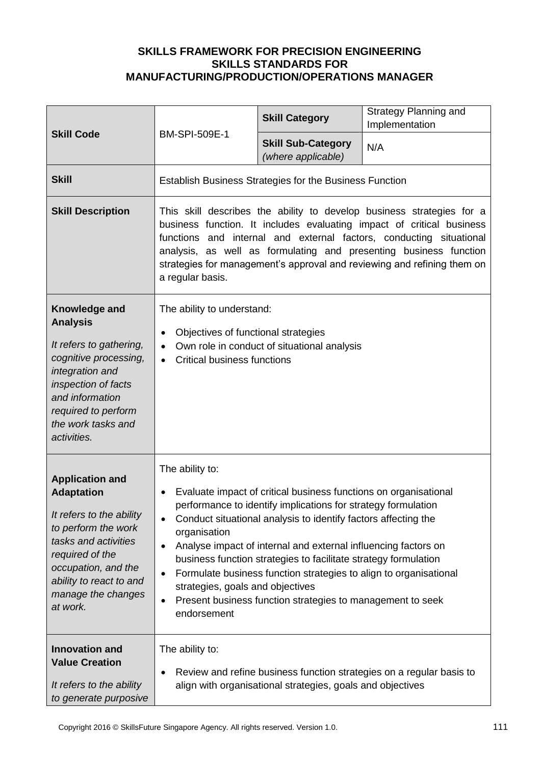| <b>Skill Code</b>                                                                                                                                                                                                             | BM-SPI-509E-1                                                                                                                                                                                                                                                                                                                                                                                                                                                                                                                                                                                                                      | <b>Skill Category</b>                           | <b>Strategy Planning and</b><br>Implementation |
|-------------------------------------------------------------------------------------------------------------------------------------------------------------------------------------------------------------------------------|------------------------------------------------------------------------------------------------------------------------------------------------------------------------------------------------------------------------------------------------------------------------------------------------------------------------------------------------------------------------------------------------------------------------------------------------------------------------------------------------------------------------------------------------------------------------------------------------------------------------------------|-------------------------------------------------|------------------------------------------------|
|                                                                                                                                                                                                                               |                                                                                                                                                                                                                                                                                                                                                                                                                                                                                                                                                                                                                                    | <b>Skill Sub-Category</b><br>(where applicable) | N/A                                            |
| <b>Skill</b>                                                                                                                                                                                                                  | <b>Establish Business Strategies for the Business Function</b>                                                                                                                                                                                                                                                                                                                                                                                                                                                                                                                                                                     |                                                 |                                                |
| <b>Skill Description</b>                                                                                                                                                                                                      | This skill describes the ability to develop business strategies for a<br>business function. It includes evaluating impact of critical business<br>functions and internal and external factors, conducting situational<br>analysis, as well as formulating and presenting business function<br>strategies for management's approval and reviewing and refining them on<br>a regular basis.                                                                                                                                                                                                                                          |                                                 |                                                |
| Knowledge and<br><b>Analysis</b><br>It refers to gathering,<br>cognitive processing,<br>integration and<br>inspection of facts<br>and information<br>required to perform<br>the work tasks and<br>activities.                 | The ability to understand:<br>Objectives of functional strategies<br>$\bullet$<br>Own role in conduct of situational analysis<br>$\bullet$<br><b>Critical business functions</b><br>$\bullet$                                                                                                                                                                                                                                                                                                                                                                                                                                      |                                                 |                                                |
| <b>Application and</b><br><b>Adaptation</b><br>It refers to the ability<br>to perform the work<br>tasks and activities<br>required of the<br>occupation, and the<br>ability to react to and<br>manage the changes<br>at work. | The ability to:<br>Evaluate impact of critical business functions on organisational<br>$\bullet$<br>performance to identify implications for strategy formulation<br>Conduct situational analysis to identify factors affecting the<br>$\bullet$<br>organisation<br>Analyse impact of internal and external influencing factors on<br>$\bullet$<br>business function strategies to facilitate strategy formulation<br>Formulate business function strategies to align to organisational<br>$\bullet$<br>strategies, goals and objectives<br>Present business function strategies to management to seek<br>$\bullet$<br>endorsement |                                                 |                                                |
| <b>Innovation and</b><br><b>Value Creation</b><br>It refers to the ability<br>to generate purposive                                                                                                                           | The ability to:<br>Review and refine business function strategies on a regular basis to<br>$\bullet$<br>align with organisational strategies, goals and objectives                                                                                                                                                                                                                                                                                                                                                                                                                                                                 |                                                 |                                                |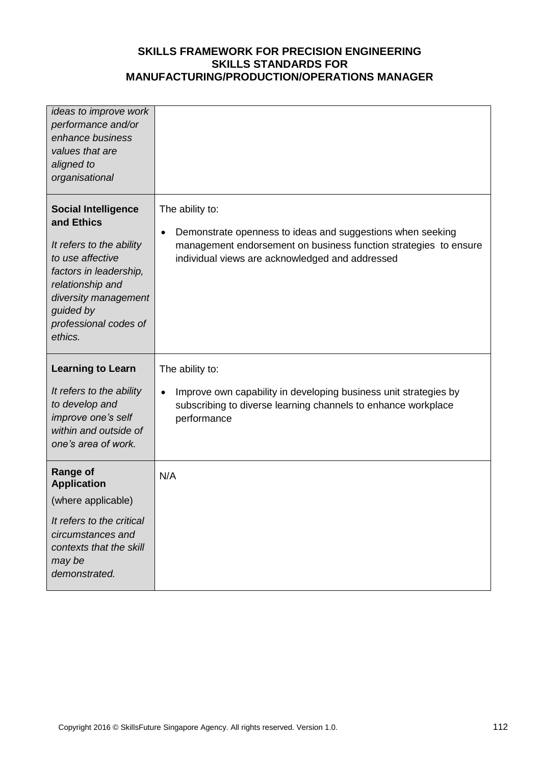| ideas to improve work<br>performance and/or<br>enhance business<br>values that are<br>aligned to<br>organisational                                                                                              |                                                                                                                                                                                                                   |
|-----------------------------------------------------------------------------------------------------------------------------------------------------------------------------------------------------------------|-------------------------------------------------------------------------------------------------------------------------------------------------------------------------------------------------------------------|
| <b>Social Intelligence</b><br>and Ethics<br>It refers to the ability<br>to use affective<br>factors in leadership,<br>relationship and<br>diversity management<br>guided by<br>professional codes of<br>ethics. | The ability to:<br>Demonstrate openness to ideas and suggestions when seeking<br>$\bullet$<br>management endorsement on business function strategies to ensure<br>individual views are acknowledged and addressed |
| <b>Learning to Learn</b><br>It refers to the ability<br>to develop and<br>improve one's self<br>within and outside of<br>one's area of work.                                                                    | The ability to:<br>Improve own capability in developing business unit strategies by<br>$\bullet$<br>subscribing to diverse learning channels to enhance workplace<br>performance                                  |
| <b>Range of</b><br><b>Application</b><br>(where applicable)<br>It refers to the critical<br>circumstances and<br>contexts that the skill<br>may be<br>demonstrated.                                             | N/A                                                                                                                                                                                                               |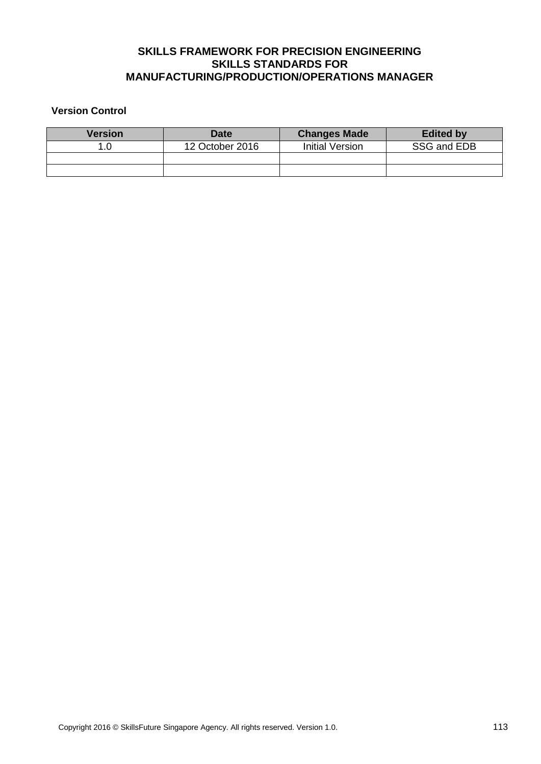### **Version Control**

| <b>Version</b> | <b>Date</b>     | <b>Changes Made</b> | <b>Edited by</b> |
|----------------|-----------------|---------------------|------------------|
|                | 12 October 2016 | Initial Version     | SSG and EDB      |
|                |                 |                     |                  |
|                |                 |                     |                  |